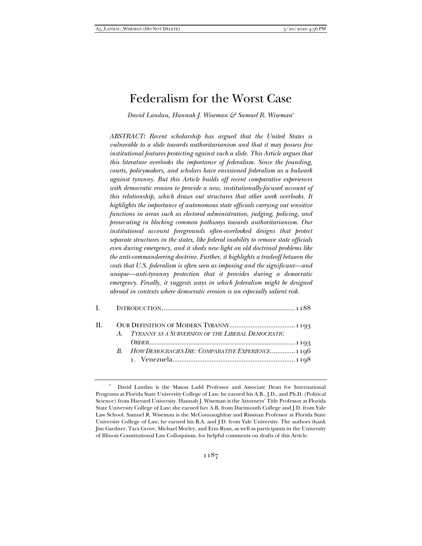# Federalism for the Worst Case

*David Landau, Hannah J. Wiseman & Samuel R. Wiseman*\*

*ABSTRACT: Recent scholarship has argued that the United States is vulnerable to a slide towards authoritarianism and that it may possess few institutional features protecting against such a slide. This Article argues that this literature overlooks the importance of federalism. Since the founding, courts, policymakers, and scholars have envisioned federalism as a bulwark against tyranny. But this Article builds off recent comparative experiences with democratic erosion to provide a new, institutionally-focused account of this relationship, which draws out structures that other work overlooks. It highlights the importance of autonomous state officials carrying out sensitive functions in areas such as electoral administration, judging, policing, and prosecuting in blocking common pathways towards authoritarianism. Our institutional account foregrounds often-overlooked designs that protect separate structures in the states, like federal inability to remove state officials even during emergency, and it sheds new light on old doctrinal problems like the anti-commandeering doctrine. Further, it highlights a tradeoff between the costs that U.S. federalism is often seen as imposing and the significant—and unique—anti-tyranny protection that it provides during a democratic emergency. Finally, it suggests ways in which federalism might be designed abroad in contexts where democratic erosion is an especially salient risk.* 

| $\Pi$ . | A. TYRANNY AS A SUBVERSION OF THE LIBERAL DEMOCRATIC |  |
|---------|------------------------------------------------------|--|
|         | B. HOW DEMOCRACIES DIE: COMPARATIVE EXPERIENCE 1196  |  |

David Landau is the Mason Ladd Professor and Associate Dean for International Programs at Florida State University College of Law; he earned his A.B., J.D., and Ph.D. (Political Science) from Harvard University. Hannah J. Wiseman is the Attorneys' Title Professor at Florida State University College of Law; she earned her A.B. from Dartmouth College and J.D. from Yale Law School. Samuel R. Wiseman is the McConnaughhay and Rissman Professor at Florida State University College of Law; he earned his B.A. and J.D. from Yale University. The authors thank Jim Gardner, Tara Grove, Michael Morley, and Erin Ryan, as well as participants in the University of Illinois Constitutional Law Colloquium, for helpful comments on drafts of this Article.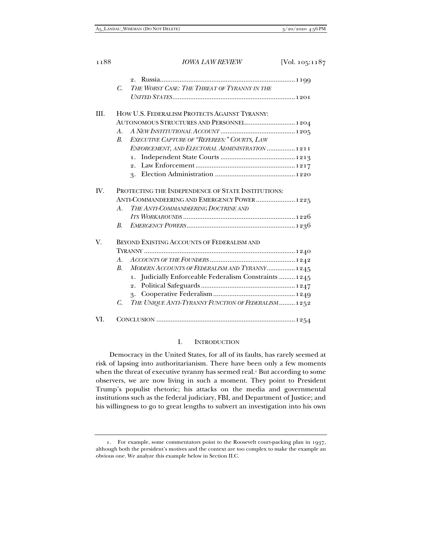|      | C.                                                 | THE WORST CASE: THE THREAT OF TYRANNY IN THE           |  |  |
|------|----------------------------------------------------|--------------------------------------------------------|--|--|
|      |                                                    |                                                        |  |  |
| III. |                                                    | HOW U.S. FEDERALISM PROTECTS AGAINST TYRANNY:          |  |  |
|      |                                                    | AUTONOMOUS STRUCTURES AND PERSONNEL 1204               |  |  |
|      | $A_{\cdot}$                                        |                                                        |  |  |
|      | В.                                                 | EXECUTIVE CAPTURE OF "REFEREES:" COURTS, LAW           |  |  |
|      |                                                    | ENFORCEMENT, AND ELECTORAL ADMINISTRATION  1211        |  |  |
|      |                                                    | $\mathbf{1}$ .                                         |  |  |
|      |                                                    |                                                        |  |  |
|      |                                                    |                                                        |  |  |
| IV.  | PROTECTING THE INDEPENDENCE OF STATE INSTITUTIONS: |                                                        |  |  |
|      |                                                    | ANTI-COMMANDEERING AND EMERGENCY POWER 1225            |  |  |
|      | A.                                                 | THE ANTI-COMMANDEERING DOCTRINE AND                    |  |  |
|      |                                                    |                                                        |  |  |
|      | B.                                                 |                                                        |  |  |
| V.   |                                                    | BEYOND EXISTING ACCOUNTS OF FEDERALISM AND             |  |  |
|      |                                                    |                                                        |  |  |
|      | A.                                                 |                                                        |  |  |
|      | $B_{\cdot}$                                        | MODERN ACCOUNTS OF FEDERALISM AND TYRANNY 1245         |  |  |
|      |                                                    | 1. Judicially Enforceable Federalism Constraints  1245 |  |  |
|      |                                                    |                                                        |  |  |
|      |                                                    |                                                        |  |  |
|      | C.                                                 | THE UNIQUE ANTI-TYRANNY FUNCTION OF FEDERALISM  1252   |  |  |
| VI.  |                                                    |                                                        |  |  |
|      |                                                    |                                                        |  |  |

## I. INTRODUCTION

Democracy in the United States, for all of its faults, has rarely seemed at risk of lapsing into authoritarianism. There have been only a few moments when the threat of executive tyranny has seemed real.<sup>1</sup> But according to some observers, we are now living in such a moment. They point to President Trump's populist rhetoric; his attacks on the media and governmental institutions such as the federal judiciary, FBI, and Department of Justice; and his willingness to go to great lengths to subvert an investigation into his own

 <sup>1.</sup> For example, some commentators point to the Roosevelt court-packing plan in 1937, although both the president's motives and the context are too complex to make the example an obvious one. We analyze this example below in Section II.C.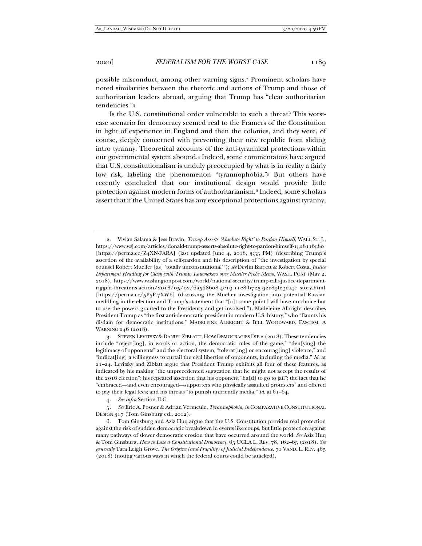possible misconduct, among other warning signs.2 Prominent scholars have noted similarities between the rhetoric and actions of Trump and those of authoritarian leaders abroad, arguing that Trump has "clear authoritarian tendencies."3

Is the U.S. constitutional order vulnerable to such a threat? This worstcase scenario for democracy seemed real to the Framers of the Constitution in light of experience in England and then the colonies, and they were, of course, deeply concerned with preventing their new republic from sliding intro tyranny. Theoretical accounts of the anti-tyrannical protections within our governmental system abound.4 Indeed, some commentators have argued that U.S. constitutionalism is unduly preoccupied by what is in reality a fairly low risk, labeling the phenomenon "tyrannophobia."5 But others have recently concluded that our institutional design would provide little protection against modern forms of authoritarianism.6 Indeed, some scholars assert that if the United States has any exceptional protections against tyranny,

4*. See infra* Section II.C.

5*. See* Eric A. Posner & Adrian Vermeule, *Tyrannophobia*, *in* COMPARATIVE CONSTITUTIONAL DESIGN 317 (Tom Ginsburg ed., 2012).

 <sup>2.</sup> Vivian Salama & Jess Bravin, *Trump Asserts 'Absolute Right' to Pardon Himself*, WALL ST. J., https://www.wsj.com/articles/donald-trump-asserts-absolute-right-to-pardon-himself-1528116580 [https://perma.cc/Z<sub>4</sub>XN-FARA] (last updated June 4, 2018, 3:55 PM) (describing Trump's assertion of the availability of a self-pardon and his description of "the investigation by special counsel Robert Mueller [as] 'totally unconstitutional'"); *see* Devlin Barrett & Robert Costa, *Justice Department Heading for Clash with Trump, Lawmakers over Mueller Probe Memo*, WASH. POST (May 2, 2018), https://www.washingtonpost.com/world/national-security/trump-calls-justice-departmentrigged-threatens-action/2018/05/02/6a568608-4e19-11e8-b725-92c89fe3ca4c\_story.html [https://perma.cc/5P5P-7XWE] (discussing the Mueller investigation into potential Russian meddling in the election and Trump's statement that "[a]t some point I will have no choice but to use the powers granted to the Presidency and get involved!"). Madeleine Albright describes President Trump as "the first anti-democratic president in modern U.S. history," who "flaunts his disdain for democratic institutions." MADELEINE ALBRIGHT & BILL WOODWARD, FASCISM: A WARNING 246 (2018).

 <sup>3.</sup> STEVEN LEVITSKY & DANIEL ZIBLATT, HOW DEMOCRACIES DIE 2 (2018). These tendencies include "reject[ing], in words or action, the democratic rules of the game," "den[ying] the legitimacy of opponents" and the electoral system, "tolerat[ing] or encourag[ing] violence," and "indicat[ing] a willingness to curtail the civil liberties of opponents, including the media." *Id.* at 21–24. Levitsky and Ziblatt argue that President Trump exhibits all four of these features, as indicated by his making "the unprecedented suggestion that he might not accept the results of the 2016 election"; his repeated assertion that his opponent "ha[d] to go to jail"; the fact that he "embraced—and even encouraged—supporters who physically assaulted protesters" and offered to pay their legal fees; and his threats "to punish unfriendly media." *Id.* at 61–64.

 <sup>6.</sup> Tom Ginsburg and Aziz Huq argue that the U.S. Constitution provides real protection against the risk of sudden democratic breakdown in events like coups, but little protection against many pathways of slower democratic erosion that have occurred around the world. *See* Aziz Huq & Tom Ginsburg, *How to Lose a Constitutional Democracy*, 65 UCLA L. REV. 78, 162–65 (2018). *See generally* Tara Leigh Grove, *The Origins (and Fragility) of Judicial Independence*, 71 VAND. L. REV. 465 (2018) (noting various ways in which the federal courts could be attacked).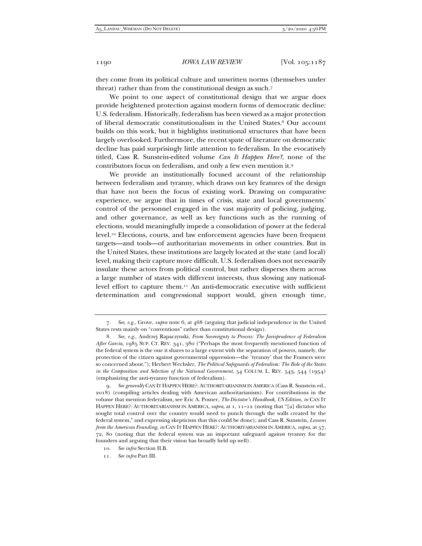they come from its political culture and unwritten norms (themselves under threat) rather than from the constitutional design as such.7

We point to one aspect of constitutional design that we argue does provide heightened protection against modern forms of democratic decline: U.S. federalism. Historically, federalism has been viewed as a major protection of liberal democratic constitutionalism in the United States.8 Our account builds on this work, but it highlights institutional structures that have been largely overlooked. Furthermore, the recent spate of literature on democratic decline has paid surprisingly little attention to federalism. In the evocatively titled, Cass R. Sunstein-edited volume *Can It Happen Here?*, none of the contributors focus on federalism, and only a few even mention it.9

We provide an institutionally focused account of the relationship between federalism and tyranny, which draws out key features of the design that have not been the focus of existing work. Drawing on comparative experience, we argue that in times of crisis, state and local governments' control of the personnel engaged in the vast majority of policing, judging, and other governance, as well as key functions such as the running of elections, would meaningfully impede a consolidation of power at the federal level.10 Elections, courts, and law enforcement agencies have been frequent targets—and tools—of authoritarian movements in other countries. But in the United States, these institutions are largely located at the state (and local) level, making their capture more difficult. U.S. federalism does not necessarily insulate these actors from political control, but rather disperses them across a large number of states with different interests, thus slowing any nationallevel effort to capture them.11 An anti-democratic executive with sufficient determination and congressional support would, given enough time,

<sup>7</sup>*. See, e.g.*, Grove, *supra* note 6, at 468 (arguing that judicial independence in the United States rests mainly on "conventions" rather than constitutional design).

<sup>8</sup>*. See, e.g.*, Andrzej Rapaczynski, *From Sovereignty to Process: The Jurisprudence of Federalism After Garcia*, 1985 SUP. CT. REV. 341, 380 ("Perhaps the most frequently mentioned function of the federal system is the one it shares to a large extent with the separation of powers, namely, the protection of the citizen against governmental oppression—the 'tyranny' that the Framers were so concerned about."); Herbert Wechsler, *The Political Safeguards of Federalism: The Role of the States in the Composition and Selection of the National Government*, 54 COLUM. L. REV. 543, 544 (1954) (emphasizing the anti-tyranny function of federalism).

<sup>9</sup>*. See generally* CAN IT HAPPEN HERE?: AUTHORITARIANISM IN AMERICA (Cass R. Sunstein ed., 2018) (compiling articles dealing with American authoritarianism). For contributions in the volume that mention federalism, see Eric A. Posner, *The Dictator's Handbook, US Edition*, *in* CAN IT HAPPEN HERE?: AUTHORITARIANISM IN AMERICA, *supra*, at 1, 11–12 (noting that "[a] dictator who sought total control over the country would need to punch through the walls created by the federal system," and expressing skepticism that this could be done); and Cass R. Sunstein, *Lessons from the American Founding*, *in* CAN IT HAPPEN HERE?: AUTHORITARIANISM IN AMERICA, *supra*, at 57, 72, 80 (noting that the federal system was an important safeguard against tyranny for the founders and arguing that their vision has broadly held up well).

<sup>10</sup>*. See infra* Section II.B.

<sup>11</sup>*. See infra* Part III.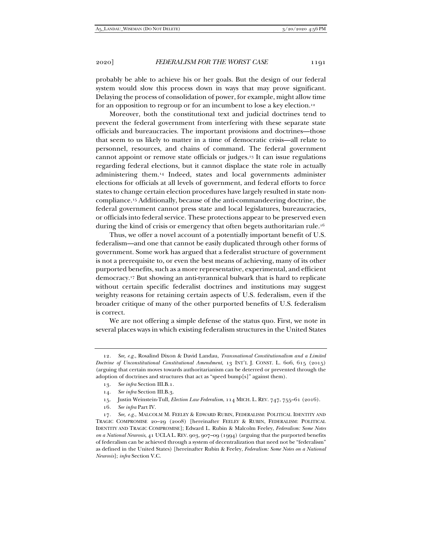probably be able to achieve his or her goals. But the design of our federal system would slow this process down in ways that may prove significant. Delaying the process of consolidation of power, for example, might allow time for an opposition to regroup or for an incumbent to lose a key election.12

Moreover, both the constitutional text and judicial doctrines tend to prevent the federal government from interfering with these separate state officials and bureaucracies. The important provisions and doctrines—those that seem to us likely to matter in a time of democratic crisis—all relate to personnel, resources, and chains of command. The federal government cannot appoint or remove state officials or judges.13 It can issue regulations regarding federal elections, but it cannot displace the state role in actually administering them.14 Indeed, states and local governments administer elections for officials at all levels of government, and federal efforts to force states to change certain election procedures have largely resulted in state noncompliance.15 Additionally, because of the anti-commandeering doctrine, the federal government cannot press state and local legislatures, bureaucracies, or officials into federal service. These protections appear to be preserved even during the kind of crisis or emergency that often begets authoritarian rule.16

Thus, we offer a novel account of a potentially important benefit of U.S. federalism—and one that cannot be easily duplicated through other forms of government. Some work has argued that a federalist structure of government is not a prerequisite to, or even the best means of achieving, many of its other purported benefits, such as a more representative, experimental, and efficient democracy.17 But showing an anti-tyrannical bulwark that is hard to replicate without certain specific federalist doctrines and institutions may suggest weighty reasons for retaining certain aspects of U.S. federalism, even if the broader critique of many of the other purported benefits of U.S. federalism is correct.

We are not offering a simple defense of the status quo. First, we note in several places ways in which existing federalism structures in the United States

16*. See infra* Part IV.

<sup>12</sup>*. See, e.g.*, Rosalind Dixon & David Landau, *Transnational Constitutionalism and a Limited Doctrine of Unconstitutional Constitutional Amendment*, 13 INT'L J. CONST. L. 606, 615 (2015) (arguing that certain moves towards authoritarianism can be deterred or prevented through the adoption of doctrines and structures that act as "speed bump[s]" against them).

<sup>13</sup>*. See infra* Section III.B.1.

<sup>14</sup>*. See infra* Section III.B.3.

 <sup>15.</sup> Justin Weinstein-Tull, *Election Law Federalism*, 114 MICH. L. REV. 747, 755–61 (2016).

<sup>17</sup>*. See, e.g.*, MALCOLM M. FEELEY & EDWARD RUBIN, FEDERALISM: POLITICAL IDENTITY AND TRAGIC COMPROMISE 20–29 (2008) [hereinafter FEELEY & RUBIN, FEDERALISM: POLITICAL IDENTITY AND TRAGIC COMPROMISE]; Edward L. Rubin & Malcolm Feeley, *Federalism: Some Notes on a National Neurosis*, 41 UCLA L. REV. 903, 907–09 (1994) (arguing that the purported benefits of federalism can be achieved through a system of decentralization that need not be "federalism" as defined in the United States) [hereinafter Rubin & Feeley, *Federalism: Some Notes on a National Neurosis*]; *infra* Section V.C.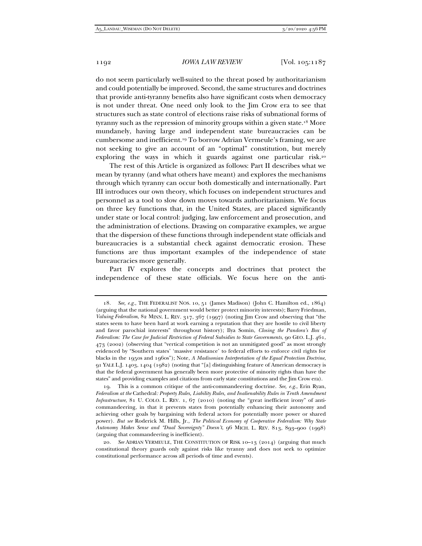do not seem particularly well-suited to the threat posed by authoritarianism and could potentially be improved. Second, the same structures and doctrines that provide anti-tyranny benefits also have significant costs when democracy is not under threat. One need only look to the Jim Crow era to see that structures such as state control of elections raise risks of subnational forms of tyranny such as the repression of minority groups within a given state.<sup>18</sup> More mundanely, having large and independent state bureaucracies can be cumbersome and inefficient.19 To borrow Adrian Vermeule's framing, we are not seeking to give an account of an "optimal" constitution, but merely exploring the ways in which it guards against one particular risk.20

 The rest of this Article is organized as follows: Part II describes what we mean by tyranny (and what others have meant) and explores the mechanisms through which tyranny can occur both domestically and internationally. Part III introduces our own theory, which focuses on independent structures and personnel as a tool to slow down moves towards authoritarianism. We focus on three key functions that, in the United States, are placed significantly under state or local control: judging, law enforcement and prosecution, and the administration of elections. Drawing on comparative examples, we argue that the dispersion of these functions through independent state officials and bureaucracies is a substantial check against democratic erosion. These functions are thus important examples of the independence of state bureaucracies more generally.

Part IV explores the concepts and doctrines that protect the independence of these state officials. We focus here on the anti-

<sup>18</sup>*. See, e.g.*, THE FEDERALIST NOS. 10, 51 (James Madison) (John C. Hamilton ed., 1864) (arguing that the national government would better protect minority interests); Barry Friedman, *Valuing Federalism*, 82 MINN. L. REV. 317, 367 (1997) (noting Jim Crow and observing that "the states seem to have been hard at work earning a reputation that they are hostile to civil liberty and favor parochial interests" throughout history); Ilya Somin, *Closing the Pandora's Box of Federalism: The Case for Judicial Restriction of Federal Subsidies to State Governments*, 90 GEO. L.J. 461, 473 (2002) (observing that "vertical competition is not an unmitigated good" as most strongly evidenced by "Southern states' 'massive resistance' to federal efforts to enforce civil rights for blacks in the 1950s and 1960s"); Note, *A Madisonian Interpretation of the Equal Protection Doctrine*, 91 YALE L.J. 1403, 1404 (1982) (noting that "[a] distinguishing feature of American democracy is that the federal government has generally been more protective of minority rights than have the states" and providing examples and citations from early state constitutions and the Jim Crow era).

 <sup>19.</sup> This is a common critique of the anti-commandeering doctrine. *See, e.g.*, Erin Ryan, *Federalism at the* Cathedral*: Property Rules, Liability Rules, and Inalienability Rules in Tenth Amendment Infrastructure*, 81 U. COLO. L. REV. 1, 67 (2010) (noting the "great inefficient irony" of anticommandeering, in that it prevents states from potentially enhancing their autonomy and achieving other goals by bargaining with federal actors for potentially more power or shared power). *But see* Roderick M. Hills, Jr., *The Political Economy of Cooperative Federalism: Why State Autonomy Makes Sense and "Dual Sovereignty" Doesn't*, 96 MICH. L. REV. 813, 893–900 (1998) (arguing that commandeering is inefficient).

<sup>20</sup>*. See* ADRIAN VERMEULE, THE CONSTITUTION OF RISK 10–13 (2014) (arguing that much constitutional theory guards only against risks like tyranny and does not seek to optimize constitutional performance across all periods of time and events).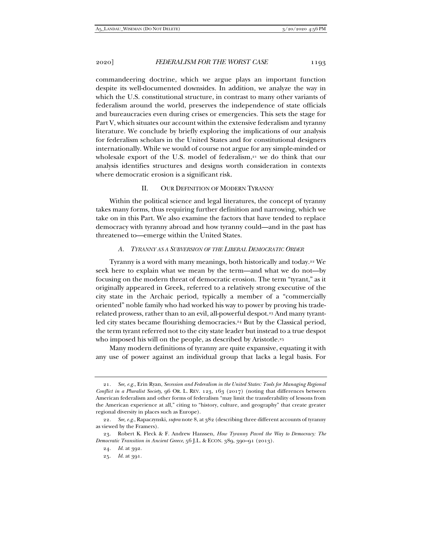commandeering doctrine, which we argue plays an important function despite its well-documented downsides. In addition, we analyze the way in which the U.S. constitutional structure, in contrast to many other variants of federalism around the world, preserves the independence of state officials and bureaucracies even during crises or emergencies. This sets the stage for Part V, which situates our account within the extensive federalism and tyranny literature. We conclude by briefly exploring the implications of our analysis for federalism scholars in the United States and for constitutional designers internationally. While we would of course not argue for any simple-minded or wholesale export of the U.S. model of federalism,<sup>21</sup> we do think that our analysis identifies structures and designs worth consideration in contexts where democratic erosion is a significant risk.

## II. OUR DEFINITION OF MODERN TYRANNY

Within the political science and legal literatures, the concept of tyranny takes many forms, thus requiring further definition and narrowing, which we take on in this Part. We also examine the factors that have tended to replace democracy with tyranny abroad and how tyranny could—and in the past has threatened to—emerge within the United States.

## *A. TYRANNY AS A SUBVERSION OF THE LIBERAL DEMOCRATIC ORDER*

Tyranny is a word with many meanings, both historically and today.22 We seek here to explain what we mean by the term—and what we do not—by focusing on the modern threat of democratic erosion. The term "tyrant," as it originally appeared in Greek, referred to a relatively strong executive of the city state in the Archaic period, typically a member of a "commercially oriented" noble family who had worked his way to power by proving his traderelated prowess, rather than to an evil, all-powerful despot.23 And many tyrantled city states became flourishing democracies.<sup>24</sup> But by the Classical period, the term tyrant referred not to the city state leader but instead to a true despot who imposed his will on the people, as described by Aristotle.<sup>25</sup>

Many modern definitions of tyranny are quite expansive, equating it with any use of power against an individual group that lacks a legal basis. For

<sup>21</sup>*. See, e.g.*, Erin Ryan, *Secession and Federalism in the United States: Tools for Managing Regional Conflict in a Pluralist Society*, 96 OR. L. REV. 123, 163 (2017) (noting that differences between American federalism and other forms of federalism "may limit the transferability of lessons from the American experience at all," citing to "history, culture, and geography" that create greater regional diversity in places such as Europe).

<sup>22</sup>*. See, e.g.*, Rapaczynski, *supra* note 8, at 382 (describing three different accounts of tyranny as viewed by the Framers).

 <sup>23.</sup> Robert K. Fleck & F. Andrew Hanssen, *How Tyranny Paved the Way to Democracy: The Democratic Transition in Ancient Greece*, 56 J.L. & ECON. 389, 390–91 (2013).

<sup>24</sup>*. Id.* at 392.

<sup>25</sup>*. Id.* at 391.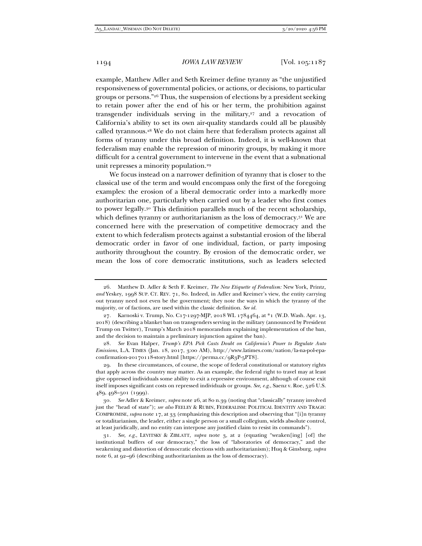example, Matthew Adler and Seth Kreimer define tyranny as "the unjustified responsiveness of governmental policies, or actions, or decisions, to particular groups or persons."26 Thus, the suspension of elections by a president seeking to retain power after the end of his or her term, the prohibition against transgender individuals serving in the military, $27$  and a revocation of California's ability to set its own air-quality standards could all be plausibly called tyrannous.28 We do not claim here that federalism protects against all forms of tyranny under this broad definition. Indeed, it is well-known that federalism may enable the repression of minority groups, by making it more difficult for a central government to intervene in the event that a subnational unit represses a minority population.29

We focus instead on a narrower definition of tyranny that is closer to the classical use of the term and would encompass only the first of the foregoing examples: the erosion of a liberal democratic order into a markedly more authoritarian one, particularly when carried out by a leader who first comes to power legally.30 This definition parallels much of the recent scholarship, which defines tyranny or authoritarianism as the loss of democracy.<sup>31</sup> We are concerned here with the preservation of competitive democracy and the extent to which federalism protects against a substantial erosion of the liberal democratic order in favor of one individual, faction, or party imposing authority throughout the country. By erosion of the democratic order, we mean the loss of core democratic institutions, such as leaders selected

 <sup>26.</sup> Matthew D. Adler & Seth F. Kreimer, *The New Etiquette of Federalism:* New York*,* Printz*, and* Yeskey, 1998 SUP. CT. REV. 71, 80. Indeed, in Adler and Kreimer's view, the entity carrying out tyranny need not even be the government; they note the ways in which the tyranny of the majority, or of factions, are used within the classic definition. *See id.*

<sup>27.</sup> Karnoski v. Trump, No. C17-1297-MJP, 2018 WL 1784464, at  $*1$  (W.D. Wash. Apr. 13, 2018) (describing a blanket ban on transgenders serving in the military (announced by President Trump on Twitter), Trump's March 2018 memorandum explaining implementation of the ban, and the decision to maintain a preliminary injunction against the ban).

<sup>28</sup>*. See* Evan Halper, *Trump's EPA Pick Casts Doubt on California's Power to Regulate Auto Emissions*, L.A. TIMES (Jan. 18, 2017, 3:00 AM), http://www.latimes.com/nation/la-na-pol-epaconfirmation-20170118-story.html [https://perma.cc/9R3P-5PT8].

 <sup>29.</sup> In these circumstances, of course, the scope of federal constitutional or statutory rights that apply across the country may matter. As an example, the federal right to travel may at least give oppressed individuals some ability to exit a repressive environment, although of course exit itself imposes significant costs on repressed individuals or groups. *See, e.g.*, Saenz v. Roe, 526 U.S. 489, 498–501 (1999).

<sup>30</sup>*. See* Adler & Kreimer, *supra* note 26, at 80 n.39 (noting that "classically" tyranny involved just the "head of state"); *see also* FEELEY & RUBIN, FEDERALISM: POLITICAL IDENTITY AND TRAGIC COMPROMISE, *supra* note 17, at 33 (emphasizing this description and observing that "[i]n tyranny or totalitarianism, the leader, either a single person or a small collegium, wields absolute control, at least juridically, and no entity can interpose any justified claim to resist its commands").

<sup>31</sup>*. See, e.g.*, LEVITSKY & ZIBLATT, *supra* note 3, at 2 (equating "weaken[ing] [of] the institutional buffers of our democracy," the loss of "laboratories of democracy," and the weakening and distortion of democratic elections with authoritarianism); Huq & Ginsburg, *supra*  note 6, at 92–96 (describing authoritarianism as the loss of democracy).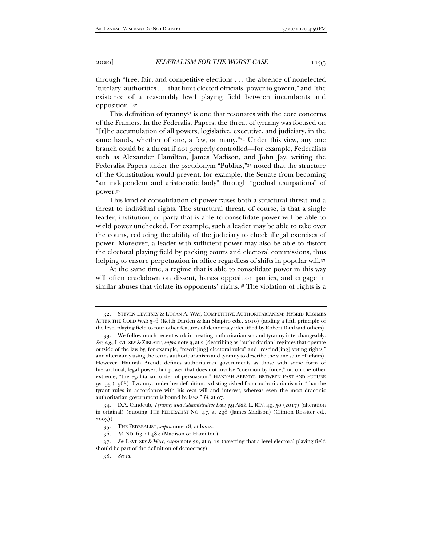through "free, fair, and competitive elections . . . the absence of nonelected 'tutelary' authorities . . . that limit elected officials' power to govern," and "the existence of a reasonably level playing field between incumbents and opposition."32

This definition of tyranny33 is one that resonates with the core concerns of the Framers. In the Federalist Papers, the threat of tyranny was focused on "[t]he accumulation of all powers, legislative, executive, and judiciary, in the same hands, whether of one, a few, or many."34 Under this view, any one branch could be a threat if not properly controlled—for example, Federalists such as Alexander Hamilton, James Madison, and John Jay, writing the Federalist Papers under the pseudonym "Publius,"35 noted that the structure of the Constitution would prevent, for example, the Senate from becoming "an independent and aristocratic body" through "gradual usurpations" of power.36

This kind of consolidation of power raises both a structural threat and a threat to individual rights. The structural threat, of course, is that a single leader, institution, or party that is able to consolidate power will be able to wield power unchecked. For example, such a leader may be able to take over the courts, reducing the ability of the judiciary to check illegal exercises of power. Moreover, a leader with sufficient power may also be able to distort the electoral playing field by packing courts and electoral commissions, thus helping to ensure perpetuation in office regardless of shifts in popular will.37

At the same time, a regime that is able to consolidate power in this way will often crackdown on dissent, harass opposition parties, and engage in similar abuses that violate its opponents' rights.<sup>38</sup> The violation of rights is a

 <sup>32.</sup> STEVEN LEVITSKY & LUCAN A. WAY, COMPETITIVE AUTHORITARIANISM: HYBRID REGIMES AFTER THE COLD WAR 5–6 (Keith Darden & Ian Shapiro eds., 2010) (adding a fifth principle of the level playing field to four other features of democracy identified by Robert Dahl and others).

 <sup>33.</sup> We follow much recent work in treating authoritarianism and tyranny interchangeably. *See, e.g.*, LEVITSKY & ZIBLATT, *supra* note 3, at 2 (describing as "authoritarian" regimes that operate outside of the law by, for example, "rewrit[ing] electoral rules" and "rescind[ing] voting rights," and alternately using the terms authoritarianism and tyranny to describe the same state of affairs). However, Hannah Arendt defines authoritarian governments as those with some form of hierarchical, legal power, but power that does not involve "coercion by force," or, on the other extreme, "the egalitarian order of persuasion." HANNAH ARENDT, BETWEEN PAST AND FUTURE 92–93 (1968). Tyranny, under her definition, is distinguished from authoritarianism in "that the tyrant rules in accordance with his own will and interest, whereas even the most draconic authoritarian government is bound by laws." *Id.* at 97.

 <sup>34.</sup> D.A. Candeub, *Tyranny and Administrative Law*, 59 ARIZ. L. REV. 49, 50 (2017) (alteration in original) (quoting THE FEDERALIST NO. 47, at 298 (James Madison) (Clinton Rossiter ed., 2003)).

 <sup>35.</sup> THE FEDERALIST, *supra* note 18, at lxxxv.

<sup>36</sup>*. Id.* NO. 63, at 482 (Madison or Hamilton).

<sup>37</sup>*. See* LEVITSKY & WAY, *supra* note 32, at 9–12 (asserting that a level electoral playing field should be part of the definition of democracy).

<sup>38</sup>*. See id.*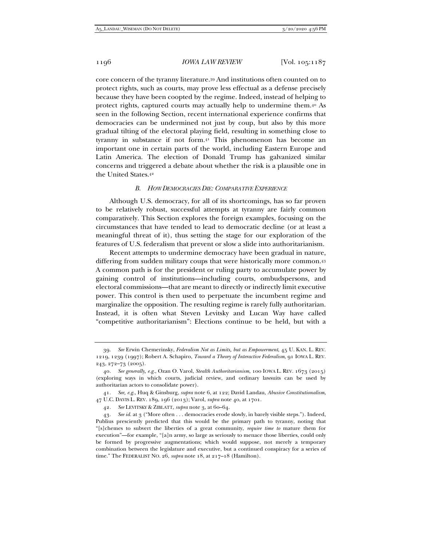core concern of the tyranny literature.39 And institutions often counted on to protect rights, such as courts, may prove less effectual as a defense precisely because they have been coopted by the regime. Indeed, instead of helping to protect rights, captured courts may actually help to undermine them.40 As seen in the following Section, recent international experience confirms that democracies can be undermined not just by coup, but also by this more gradual tilting of the electoral playing field, resulting in something close to tyranny in substance if not form.41 This phenomenon has become an important one in certain parts of the world, including Eastern Europe and Latin America. The election of Donald Trump has galvanized similar concerns and triggered a debate about whether the risk is a plausible one in the United States.42

#### *B. HOW DEMOCRACIES DIE: COMPARATIVE EXPERIENCE*

Although U.S. democracy, for all of its shortcomings, has so far proven to be relatively robust, successful attempts at tyranny are fairly common comparatively. This Section explores the foreign examples, focusing on the circumstances that have tended to lead to democratic decline (or at least a meaningful threat of it), thus setting the stage for our exploration of the features of U.S. federalism that prevent or slow a slide into authoritarianism.

Recent attempts to undermine democracy have been gradual in nature, differing from sudden military coups that were historically more common.43 A common path is for the president or ruling party to accumulate power by gaining control of institutions—including courts, ombudspersons, and electoral commissions—that are meant to directly or indirectly limit executive power. This control is then used to perpetuate the incumbent regime and marginalize the opposition. The resulting regime is rarely fully authoritarian. Instead, it is often what Steven Levitsky and Lucan Way have called "competitive authoritarianism": Elections continue to be held, but with a

<sup>39</sup>*. See* Erwin Chemerinsky, *Federalism Not as Limits, but as Empowerment*, 45 U. KAN. L. REV. 1219, 1239 (1997); Robert A. Schapiro, *Toward a Theory of Interactive Federalism*, 91 IOWA L. REV. 243, 272–73 (2005).

<sup>40</sup>*. See generally, e.g.*, Ozan O. Varol, *Stealth Authoritarianism*, 100 IOWA L. REV. 1673 (2015) (exploring ways in which courts, judicial review, and ordinary lawsuits can be used by authoritarian actors to consolidate power).

<sup>41</sup>*. See, e.g.*, Huq & Ginsburg, *supra* note 6, at 122; David Landau, *Abusive Constitutionalism*, 47 U.C. DAVIS L. REV. 189, 196 (2013); Varol, *supra* note 40, at 1701.

<sup>42</sup>*. See* LEVITSKY & ZIBLATT, *supra* note 3, at 60–64.

<sup>43</sup>*. See id.* at 3 ("More often . . . democracies erode slowly, in barely visible steps."). Indeed, Publius presciently predicted that this would be the primary path to tyranny, noting that "[s]chemes to subvert the liberties of a great community, *require time to* mature them for execution"—for example, "[a]n army, so large as seriously to menace those liberties, could only be formed by progressive augmentations; which would suppose, not merely a temporary combination between the legislature and executive, but a continued conspiracy for a series of time." The FEDERALIST NO. 26, *supra* note 18, at 217–18 (Hamilton).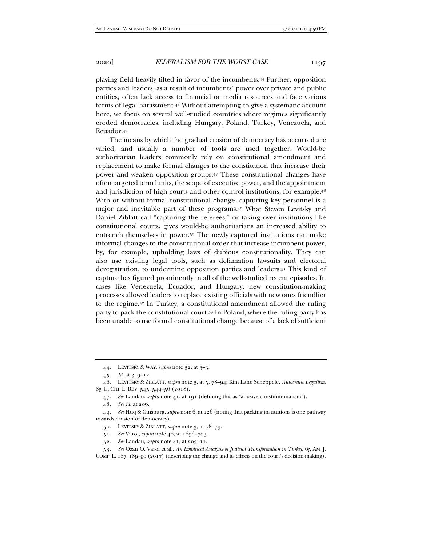playing field heavily tilted in favor of the incumbents.44 Further, opposition parties and leaders, as a result of incumbents' power over private and public entities, often lack access to financial or media resources and face various forms of legal harassment.45 Without attempting to give a systematic account here, we focus on several well-studied countries where regimes significantly eroded democracies, including Hungary, Poland, Turkey, Venezuela, and Ecuador.46

The means by which the gradual erosion of democracy has occurred are varied, and usually a number of tools are used together. Would-be authoritarian leaders commonly rely on constitutional amendment and replacement to make formal changes to the constitution that increase their power and weaken opposition groups.47 These constitutional changes have often targeted term limits, the scope of executive power, and the appointment and jurisdiction of high courts and other control institutions, for example.48 With or without formal constitutional change, capturing key personnel is a major and inevitable part of these programs.49 What Steven Levitsky and Daniel Ziblatt call "capturing the referees," or taking over institutions like constitutional courts, gives would-be authoritarians an increased ability to entrench themselves in power.50 The newly captured institutions can make informal changes to the constitutional order that increase incumbent power, by, for example, upholding laws of dubious constitutionality. They can also use existing legal tools, such as defamation lawsuits and electoral deregistration, to undermine opposition parties and leaders.51 This kind of capture has figured prominently in all of the well-studied recent episodes. In cases like Venezuela, Ecuador, and Hungary, new constitution-making processes allowed leaders to replace existing officials with new ones friendlier to the regime.52 In Turkey, a constitutional amendment allowed the ruling party to pack the constitutional court.53 In Poland, where the ruling party has been unable to use formal constitutional change because of a lack of sufficient

48*. See id.* at 206.

- 51*. See* Varol, *supra* note 40, at 1696–703.
- 52*. See* Landau, *supra* note 41, at 203–11.

53*. See* Ozan O. Varol et al., *An Empirical Analysis of Judicial Transformation in Turkey*, 65 AM. J. COMP. L. 187, 189–90 (2017) (describing the change and its effects on the court's decision-making).

 <sup>44.</sup> LEVITSKY & WAY, *supra* note 32, at 3–5.

<sup>45</sup>*. Id.* at 3, 9–12.

 <sup>46.</sup> LEVITSKY & ZIBLATT, *supra* note 3, at 5, 78–94; Kim Lane Scheppele, *Autocratic Legalism*, 85 U. CHI. L. REV. 545, 549–56 (2018).

<sup>47</sup>*. See* Landau, *supra* note 41, at 191 (defining this as "abusive constitutionalism").

<sup>49</sup>*. See* Huq & Ginsburg, *supra* note 6, at 126 (noting that packing institutions is one pathway towards erosion of democracy).

 <sup>50.</sup> LEVITSKY & ZIBLATT, *supra* note 3, at 78–79.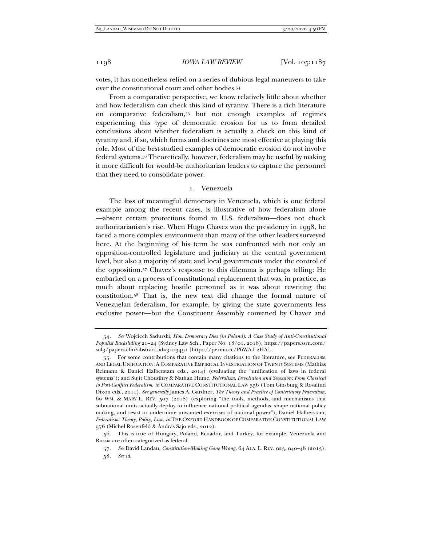votes, it has nonetheless relied on a series of dubious legal maneuvers to take over the constitutional court and other bodies.54

From a comparative perspective, we know relatively little about whether and how federalism can check this kind of tyranny. There is a rich literature on comparative federalism,55 but not enough examples of regimes experiencing this type of democratic erosion for us to form detailed conclusions about whether federalism is actually a check on this kind of tyranny and, if so, which forms and doctrines are most effective at playing this role. Most of the best-studied examples of democratic erosion do not involve federal systems.56 Theoretically, however, federalism may be useful by making it more difficult for would-be authoritarian leaders to capture the personnel that they need to consolidate power.

## 1. Venezuela

The loss of meaningful democracy in Venezuela, which is one federal example among the recent cases, is illustrative of how federalism alone —absent certain protections found in U.S. federalism—does not check authoritarianism's rise. When Hugo Chavez won the presidency in 1998, he faced a more complex environment than many of the other leaders surveyed here. At the beginning of his term he was confronted with not only an opposition-controlled legislature and judiciary at the central government level, but also a majority of state and local governments under the control of the opposition.57 Chavez's response to this dilemma is perhaps telling: He embarked on a process of constitutional replacement that was, in practice, as much about replacing hostile personnel as it was about rewriting the constitution.58 That is, the new text did change the formal nature of Venezuelan federalism, for example, by giving the state governments less exclusive power—but the Constituent Assembly convened by Chavez and

<sup>54</sup>*. See* Wojciech Sadurski, *How Democracy Dies (in Poland): A Case Study of Anti-Constitutional Populist Backsliding* 21–24 (Sydney Law Sch., Paper No. 18/01, 2018), https://papers.ssrn.com/ sol3/papers.cfm?abstract\_id=3103491 [https://perma.cc/P6WA-L2HA].

 <sup>55.</sup> For some contributions that contain many citations to the literature, see FEDERALISM AND LEGAL UNIFICATION: A COMPARATIVE EMPIRICAL INVESTIGATION OF TWENTY SYSTEMS (Mathias Reimann & Daniel Halberstam eds., 2014) (evaluating the "unification of laws in federal systems"); and Sujit Choudhry & Nathan Hume, *Federalism, Devolution and Secession: From Classical to Post-Conflict Federalism*, *in* COMPARATIVE CONSTITUTIONAL LAW 356 (Tom Ginsburg & Rosalind Dixon eds., 2011). *See generally* James A. Gardner, *The Theory and Practice of Contestatory Federalism*, 60 WM. & MARY L. REV. 507 (2018) (exploring "the tools, methods, and mechanisms that subnational units actually deploy to influence national political agendas, shape national policy making, and resist or undermine unwanted exercises of national power"); Daniel Halberstam, *Federalism: Theory, Policy, Law*, *in* THE OXFORD HANDBOOK OF COMPARATIVE CONSTITUTIONAL LAW 576 (Michel Rosenfeld & András Sajo eds., 2012).

 <sup>56.</sup> This is true of Hungary, Poland, Ecuador, and Turkey, for example. Venezuela and Russia are often categorized as federal.

<sup>57</sup>*. See* David Landau, *Constitution-Making Gone Wrong*, 64 ALA. L. REV. 923, 940–48 (2013).

<sup>58</sup>*. See id.*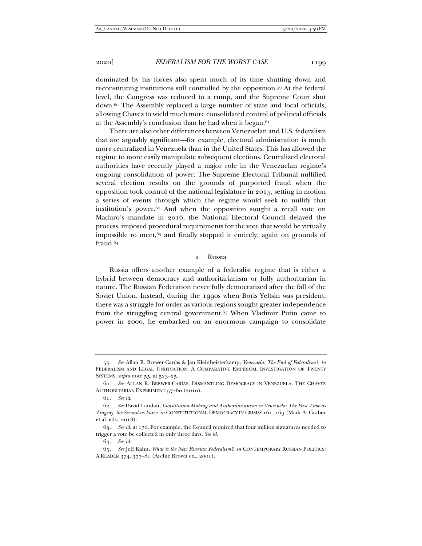dominated by his forces also spent much of its time shutting down and reconstituting institutions still controlled by the opposition.59 At the federal level, the Congress was reduced to a rump, and the Supreme Court shut down.60 The Assembly replaced a large number of state and local officials, allowing Chavez to wield much more consolidated control of political officials at the Assembly's conclusion than he had when it began.<sup>61</sup>

There are also other differences between Venezuelan and U.S. federalism that are arguably significant—for example, electoral administration is much more centralized in Venezuela than in the United States. This has allowed the regime to more easily manipulate subsequent elections. Centralized electoral authorities have recently played a major role in the Venezuelan regime's ongoing consolidation of power: The Supreme Electoral Tribunal nullified several election results on the grounds of purported fraud when the opposition took control of the national legislature in 2015, setting in motion a series of events through which the regime would seek to nullify that institution's power.62 And when the opposition sought a recall vote on Maduro's mandate in 2016, the National Electoral Council delayed the process, imposed procedural requirements for the vote that would be virtually impossible to meet, $63$  and finally stopped it entirely, again on grounds of fraud.64

## 2. Russia

Russia offers another example of a federalist regime that is either a hybrid between democracy and authoritarianism or fully authoritarian in nature. The Russian Federation never fully democratized after the fall of the Soviet Union. Instead, during the 1990s when Boris Yeltsin was president, there was a struggle for order as various regions sought greater independence from the struggling central government.<sup>65</sup> When Vladimir Putin came to power in 2000, he embarked on an enormous campaign to consolidate

 <sup>59.</sup> *See* Allan R. Brewer-Carías & Jan Kleinheisterkamp, *Venezuela: The End of Federalism?*, *in*  FEDERALISM AND LEGAL UNIFICATION: A COMPARATIVE EMPIRICAL INVESTIGATION OF TWENTY SYSTEMS, *supra* note 55, at 523–25.

<sup>60</sup>*. See* ALLAN R. BREWER-CARÍAS, DISMANTLING DEMOCRACY IN VENEZUELA: THE CHÁVEZ AUTHORITARIAN EXPERIMENT 57–60 (2010).

<sup>61</sup>*. See id.*

<sup>62</sup>*. See* David Landau, *Constitution-Making and Authoritarianism in Venezuela: The First Time as Tragedy, the Second as Farce*, *in* CONSTITUTIONAL DEMOCRACY IN CRISIS? 161, 169 (Mark A. Graber et al. eds., 2018).

<sup>63</sup>*. See id.* at 170. For example, the Council required that four million signatures needed to trigger a vote be collected in only three days. *See id.*

<sup>64</sup>*. See id.*

<sup>65</sup>*. See* Jeff Kahn, *What is the New Russian Federalism?*, *in* CONTEMPORARY RUSSIAN POLITICS: A READER 374, 377–81 (Archie Brown ed., 2001).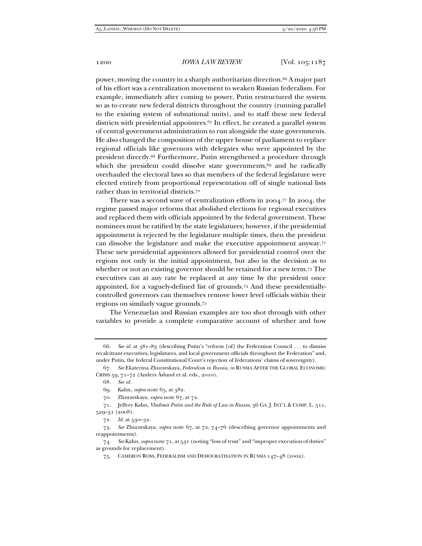power, moving the country in a sharply authoritarian direction.66 A major part of his effort was a centralization movement to weaken Russian federalism. For example, immediately after coming to power, Putin restructured the system so as to create new federal districts throughout the country (running parallel to the existing system of subnational units), and to staff these new federal districts with presidential appointees.<sup>67</sup> In effect, he created a parallel system of central government administration to run alongside the state governments. He also changed the composition of the upper house of parliament to replace regional officials like governors with delegates who were appointed by the president directly.68 Furthermore, Putin strengthened a procedure through which the president could dissolve state governments, $69$  and he radically overhauled the electoral laws so that members of the federal legislature were elected entirely from proportional representation off of single national lists rather than in territorial districts.70

There was a second wave of centralization efforts in  $2004$ .<sup>71</sup> In  $2004$ , the regime passed major reforms that abolished elections for regional executives and replaced them with officials appointed by the federal government. These nominees must be ratified by the state legislatures; however, if the presidential appointment is rejected by the legislature multiple times, then the president can dissolve the legislature and make the executive appointment anyway.72 These new presidential appointees allowed for presidential control over the regions not only in the initial appointment, but also in the decision as to whether or not an existing governor should be retained for a new term.73 The executives can at any rate be replaced at any time by the president once appointed, for a vaguely-defined list of grounds.74 And these presidentiallycontrolled governors can themselves remove lower level officials within their regions on similarly vague grounds.75

The Venezuelan and Russian examples are too shot through with other variables to provide a complete comparative account of whether and how

<sup>66</sup>*. See id.* at 381–83 (describing Putin's "reform [of] the Federation Council . . . to dismiss recalcitrant executives, legislatures, and local government officials throughout the Federation" and, under Putin, the federal Constitutional Court's rejection of federations' claims of sovereignty).

<sup>67</sup>*. See* Ekaterina Zhuravskaya, *Federalism in Russia*, *in* RUSSIA AFTER THE GLOBAL ECONOMIC CRISIS 59, 71–72 (Anders Åslund et al. eds., 2010).

<sup>68</sup>*. See id.*

 <sup>69.</sup> Kahn, *supra* note 65, at 382.

 <sup>70.</sup> Zhuravskaya, *supra* note 67, at 72.

 <sup>71.</sup> Jeffrey Kahn, *Vladimir Putin and the Rule of Law in Russia*, 36 GA. J. INT'L & COMP. L. 511, 529–31 (2008).

<sup>72</sup>*. Id.* at 530–32.

<sup>73</sup>*. See* Zhuravskaya, *supra* note 67, at 72, 74–76 (describing governor appointments and reappointments).

<sup>74</sup>*. See* Kahn, *supra* note 71, at 531 (noting "loss of trust" and "improper execution of duties" as grounds for replacement).

 <sup>75.</sup> CAMERON ROSS, FEDERALISM AND DEMOCRATISATION IN RUSSIA 147–48 (2002).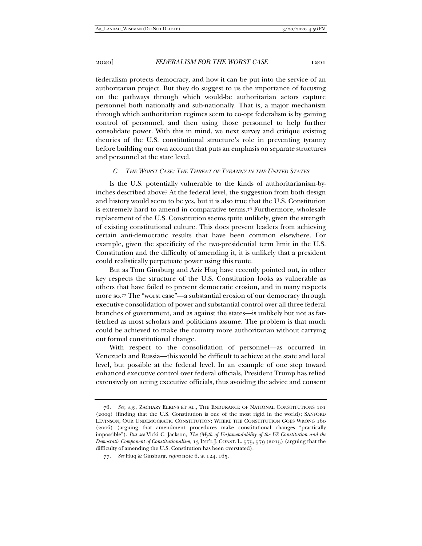federalism protects democracy, and how it can be put into the service of an authoritarian project. But they do suggest to us the importance of focusing on the pathways through which would-be authoritarian actors capture personnel both nationally and sub-nationally. That is, a major mechanism through which authoritarian regimes seem to co-opt federalism is by gaining control of personnel, and then using those personnel to help further consolidate power. With this in mind, we next survey and critique existing theories of the U.S. constitutional structure's role in preventing tyranny before building our own account that puts an emphasis on separate structures and personnel at the state level.

## *C. THE WORST CASE: THE THREAT OF TYRANNY IN THE UNITED STATES*

Is the U.S. potentially vulnerable to the kinds of authoritarianism-byinches described above? At the federal level, the suggestion from both design and history would seem to be yes, but it is also true that the U.S. Constitution is extremely hard to amend in comparative terms.76 Furthermore, wholesale replacement of the U.S. Constitution seems quite unlikely, given the strength of existing constitutional culture. This does prevent leaders from achieving certain anti-democratic results that have been common elsewhere. For example, given the specificity of the two-presidential term limit in the U.S. Constitution and the difficulty of amending it, it is unlikely that a president could realistically perpetuate power using this route.

But as Tom Ginsburg and Aziz Huq have recently pointed out, in other key respects the structure of the U.S. Constitution looks as vulnerable as others that have failed to prevent democratic erosion, and in many respects more so.77 The "worst case"—a substantial erosion of our democracy through executive consolidation of power and substantial control over all three federal branches of government, and as against the states—is unlikely but not as farfetched as most scholars and politicians assume. The problem is that much could be achieved to make the country more authoritarian without carrying out formal constitutional change.

With respect to the consolidation of personnel—as occurred in Venezuela and Russia—this would be difficult to achieve at the state and local level, but possible at the federal level. In an example of one step toward enhanced executive control over federal officials, President Trump has relied extensively on acting executive officials, thus avoiding the advice and consent

<sup>76</sup>*. See, e.g.*, ZACHARY ELKINS ET AL., THE ENDURANCE OF NATIONAL CONSTITUTIONS 101 (2009) (finding that the U.S. Constitution is one of the most rigid in the world); SANFORD LEVINSON, OUR UNDEMOCRATIC CONSTITUTION: WHERE THE CONSTITUTION GOES WRONG 160 (2006) (arguing that amendment procedures make constitutional changes "practically impossible"). *But see* Vicki C. Jackson, *The (Myth of Un)amendability of the US Constitution and the Democratic Component of Constitutionalism*, 13 INT'L J. CONST. L. 575, 579 (2015) (arguing that the difficulty of amending the U.S. Constitution has been overstated).

<sup>77</sup>*. See* Huq & Ginsburg, *supra* note 6, at 124, 165.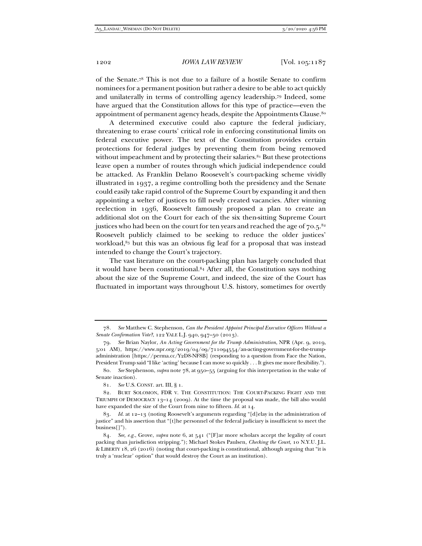of the Senate.78 This is not due to a failure of a hostile Senate to confirm nominees for a permanent position but rather a desire to be able to act quickly and unilaterally in terms of controlling agency leadership.79 Indeed, some have argued that the Constitution allows for this type of practice—even the appointment of permanent agency heads, despite the Appointments Clause.<sup>80</sup>

A determined executive could also capture the federal judiciary, threatening to erase courts' critical role in enforcing constitutional limits on federal executive power. The text of the Constitution provides certain protections for federal judges by preventing them from being removed without impeachment and by protecting their salaries. $81$  But these protections leave open a number of routes through which judicial independence could be attacked. As Franklin Delano Roosevelt's court-packing scheme vividly illustrated in 1937, a regime controlling both the presidency and the Senate could easily take rapid control of the Supreme Court by expanding it and then appointing a welter of justices to fill newly created vacancies. After winning reelection in 1936, Roosevelt famously proposed a plan to create an additional slot on the Court for each of the six then-sitting Supreme Court justices who had been on the court for ten years and reached the age of  $70.5$ .<sup>82</sup> Roosevelt publicly claimed to be seeking to reduce the older justices' workload, $83$  but this was an obvious fig leaf for a proposal that was instead intended to change the Court's trajectory.

The vast literature on the court-packing plan has largely concluded that it would have been constitutional.84 After all, the Constitution says nothing about the size of the Supreme Court, and indeed, the size of the Court has fluctuated in important ways throughout U.S. history, sometimes for overtly

<sup>78</sup>*. See* Matthew C. Stephenson, *Can the President Appoint Principal Executive Officers Without a Senate Confirmation Vote?*, 122 YALE L.J. 940, 947–50 (2013).

<sup>79</sup>*. See* Brian Naylor, *An Acting Government for the Trump Administration*, NPR (Apr. 9, 2019, 5:01 AM), https://www.npr.org/2019/04/09/711094554/an-acting-government-for-the-trumpadministration [https://perma.cc/Y2D8-NF8B] (responding to a question from Face the Nation, President Trump said "I like 'acting' because I can move so quickly . . . It gives me more flexibility.").

<sup>80</sup>*. See* Stephenson, *supra* note 78, at 950–55 (arguing for this interpretation in the wake of Senate inaction).

<sup>81</sup>*. See* U.S. CONST. art. III, § 1.

 <sup>82.</sup> BURT SOLOMON, FDR V. THE CONSTITUTION: THE COURT-PACKING FIGHT AND THE TRIUMPH OF DEMOCRACY  $13-14$  (2009). At the time the proposal was made, the bill also would have expanded the size of the Court from nine to fifteen. *Id.* at 14.

<sup>83</sup>*. Id.* at 12–13 (noting Roosevelt's arguments regarding "[d]elay in the administration of justice" and his assertion that "[t]he personnel of the federal judiciary is insufficient to meet the business[]").

<sup>84</sup>*. See, e.g.*, Grove, *supra* note 6, at 541 ("[F]ar more scholars accept the legality of court packing than jurisdiction stripping."); Michael Stokes Paulsen, *Checking the Court*, 10 N.Y.U. J.L. & LIBERTY 18, 26 (2016) (noting that court-packing is constitutional, although arguing that "it is truly a 'nuclear' option" that would destroy the Court as an institution).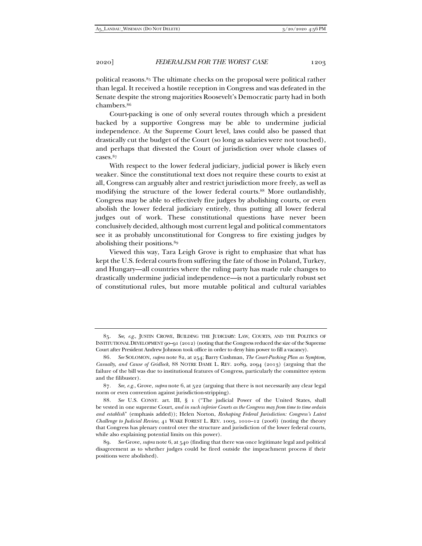political reasons.85 The ultimate checks on the proposal were political rather than legal. It received a hostile reception in Congress and was defeated in the Senate despite the strong majorities Roosevelt's Democratic party had in both chambers.86

Court-packing is one of only several routes through which a president backed by a supportive Congress may be able to undermine judicial independence. At the Supreme Court level, laws could also be passed that drastically cut the budget of the Court (so long as salaries were not touched), and perhaps that divested the Court of jurisdiction over whole classes of cases.87

With respect to the lower federal judiciary, judicial power is likely even weaker. Since the constitutional text does not require these courts to exist at all, Congress can arguably alter and restrict jurisdiction more freely, as well as modifying the structure of the lower federal courts.88 More outlandishly, Congress may be able to effectively fire judges by abolishing courts, or even abolish the lower federal judiciary entirely, thus putting all lower federal judges out of work. These constitutional questions have never been conclusively decided, although most current legal and political commentators see it as probably unconstitutional for Congress to fire existing judges by abolishing their positions.89

Viewed this way, Tara Leigh Grove is right to emphasize that what has kept the U.S. federal courts from suffering the fate of those in Poland, Turkey, and Hungary—all countries where the ruling party has made rule changes to drastically undermine judicial independence—is not a particularly robust set of constitutional rules, but more mutable political and cultural variables

<sup>85</sup>*. See, e.g.*, JUSTIN CROWE, BUILDING THE JUDICIARY: LAW, COURTS, AND THE POLITICS OF INSTITUTIONAL DEVELOPMENT 90–91 (2012) (noting that the Congress reduced the size of the Supreme Court after President Andrew Johnson took office in order to deny him power to fill a vacancy).

<sup>86</sup>*. See* SOLOMON, *supra* note 82, at 254; Barry Cushman, *The Court-Packing Plan as Symptom, Casualty, and Cause of Gridlock*, 88 NOTRE DAME L. REV. 2089, 2094 (2013) (arguing that the failure of the bill was due to institutional features of Congress, particularly the committee system and the filibuster).

<sup>87</sup>*. See, e.g.*, Grove, *supra* note 6, at 522 (arguing that there is not necessarily any clear legal norm or even convention against jurisdiction-stripping).

<sup>88</sup>*. See* U.S. CONST. art. III, § 1 ("The judicial Power of the United States, shall be vested in one supreme Court, *and in such inferior Courts as the Congress may from time to time ordain and establish*" (emphasis added)); Helen Norton, *Reshaping Federal Jurisdiction: Congress's Latest Challenge to Judicial Review*, 41 WAKE FOREST L. REV. 1003, 1010–12 (2006) (noting the theory that Congress has plenary control over the structure and jurisdiction of the lower federal courts, while also explaining potential limits on this power).

<sup>89</sup>*. See* Grove, *supra* note 6, at 540 (finding that there was once legitimate legal and political disagreement as to whether judges could be fired outside the impeachment process if their positions were abolished).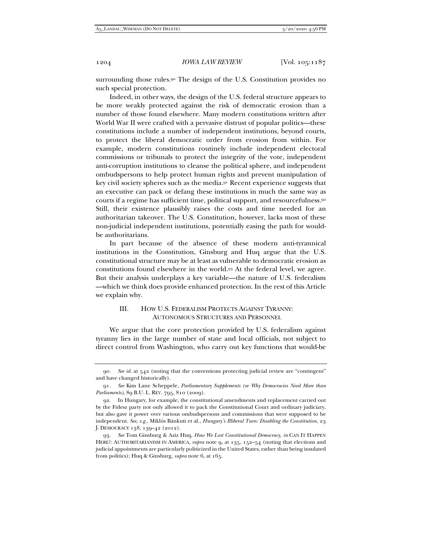surrounding those rules.<sup>90</sup> The design of the U.S. Constitution provides no such special protection.

Indeed, in other ways, the design of the U.S. federal structure appears to be more weakly protected against the risk of democratic erosion than a number of those found elsewhere. Many modern constitutions written after World War II were crafted with a pervasive distrust of popular politics—these constitutions include a number of independent institutions, beyond courts, to protect the liberal democratic order from erosion from within. For example, modern constitutions routinely include independent electoral commissions or tribunals to protect the integrity of the vote, independent anti-corruption institutions to cleanse the political sphere, and independent ombudspersons to help protect human rights and prevent manipulation of key civil society spheres such as the media.91 Recent experience suggests that an executive can pack or defang these institutions in much the same way as courts if a regime has sufficient time, political support, and resourcefulness.92 Still, their existence plausibly raises the costs and time needed for an authoritarian takeover. The U.S. Constitution, however, lacks most of these non-judicial independent institutions, potentially easing the path for wouldbe authoritarians.

In part because of the absence of these modern anti-tyrannical institutions in the Constitution, Ginsburg and Huq argue that the U.S. constitutional structure may be at least as vulnerable to democratic erosion as constitutions found elsewhere in the world.93 At the federal level, we agree. But their analysis underplays a key variable—the nature of U.S. federalism —which we think does provide enhanced protection. In the rest of this Article we explain why.

# III. HOW U.S. FEDERALISM PROTECTS AGAINST TYRANNY: AUTONOMOUS STRUCTURES AND PERSONNEL

We argue that the core protection provided by U.S. federalism against tyranny lies in the large number of state and local officials, not subject to direct control from Washington, who carry out key functions that would-be

<sup>90</sup>*. See id.* at 542 (noting that the conventions protecting judicial review are "contingent" and have changed historically).

<sup>91</sup>*. See* Kim Lane Scheppele, *Parliamentary Supplements (or Why Democracies Need More than Parliaments)*, 89 B.U. L. REV. 795, 810 (2009)*.*

 <sup>92.</sup> In Hungary, for example, the constitutional amendments and replacement carried out by the Fidesz party not only allowed it to pack the Constitutional Court and ordinary judiciary, but also gave it power over various ombudspersons and commissions that were supposed to be independent. *See, e.g.*, Miklós Bánkuti et al., *Hungary's Illiberal Turn: Disabling the Constitution*, 23 J. DEMOCRACY 138, 139–42 (2012).

<sup>93</sup>*. See* Tom Ginsburg & Aziz Huq, *How We Lost Constitutional Democracy*, *in* CAN IT HAPPEN HERE?: AUTHORITARIANISM IN AMERICA, *supra* note 9, at 135, 152-54 (noting that elections and judicial appointments are particularly politicized in the United States, rather than being insulated from politics); Huq & Ginsburg, *supra* note 6, at 165.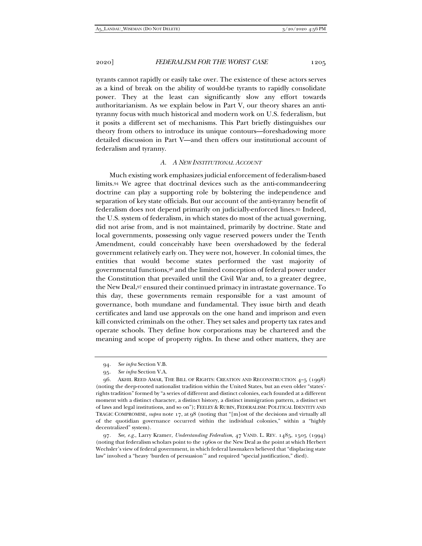tyrants cannot rapidly or easily take over. The existence of these actors serves as a kind of break on the ability of would-be tyrants to rapidly consolidate power. They at the least can significantly slow any effort towards authoritarianism. As we explain below in Part V, our theory shares an antityranny focus with much historical and modern work on U.S. federalism, but it posits a different set of mechanisms. This Part briefly distinguishes our theory from others to introduce its unique contours—foreshadowing more detailed discussion in Part V—and then offers our institutional account of federalism and tyranny.

## *A. A NEW INSTITUTIONAL ACCOUNT*

Much existing work emphasizes judicial enforcement of federalism-based limits.94 We agree that doctrinal devices such as the anti-commandeering doctrine can play a supporting role by bolstering the independence and separation of key state officials. But our account of the anti-tyranny benefit of federalism does not depend primarily on judicially-enforced lines.95 Indeed, the U.S. system of federalism, in which states do most of the actual governing, did not arise from, and is not maintained, primarily by doctrine. State and local governments, possessing only vague reserved powers under the Tenth Amendment, could conceivably have been overshadowed by the federal government relatively early on. They were not, however. In colonial times, the entities that would become states performed the vast majority of governmental functions,96 and the limited conception of federal power under the Constitution that prevailed until the Civil War and, to a greater degree, the New Deal,97 ensured their continued primacy in intrastate governance. To this day, these governments remain responsible for a vast amount of governance, both mundane and fundamental. They issue birth and death certificates and land use approvals on the one hand and imprison and even kill convicted criminals on the other. They set sales and property tax rates and operate schools. They define how corporations may be chartered and the meaning and scope of property rights. In these and other matters, they are

<sup>94</sup>*. See infra* Section V.B.

<sup>95</sup>*. See infra* Section V.A.

 <sup>96.</sup> AKHIL REED AMAR, THE BILL OF RIGHTS: CREATION AND RECONSTRUCTION 4–5 (1998) (noting the deep-rooted nationalist tradition within the United States, but an even older "states' rights tradition" formed by "a series of different and distinct colonies, each founded at a different moment with a distinct character, a distinct history, a distinct immigration pattern, a distinct set of laws and legal institutions, and so on"); FEELEY & RUBIN, FEDERALISM: POLITICAL IDENTITY AND TRAGIC COMPROMISE, *supra* note 17, at 98 (noting that "[m]ost of the decisions and virtually all of the quotidian governance occurred within the individual colonies," within a "highly decentralized" system).

<sup>97</sup>*. See, e.g.*, Larry Kramer, *Understanding Federalism*, 47 VAND. L. REV. 1485, 1505 (1994) (noting that federalism scholars point to the 1960s or the New Deal as the point at which Herbert Wechsler's view of federal government, in which federal lawmakers believed that "displacing state law" involved a "heavy 'burden of persuasion'" and required "special justification," died).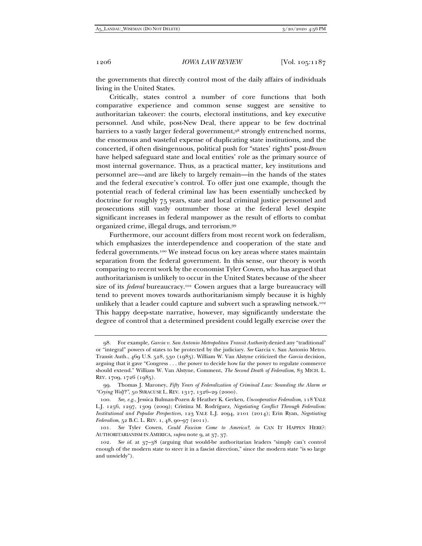the governments that directly control most of the daily affairs of individuals living in the United States.

Critically, states control a number of core functions that both comparative experience and common sense suggest are sensitive to authoritarian takeover: the courts, electoral institutions, and key executive personnel. And while, post-New Deal, there appear to be few doctrinal barriers to a vastly larger federal government,98 strongly entrenched norms, the enormous and wasteful expense of duplicating state institutions, and the concerted, if often disingenuous, political push for "states' rights" post-*Brown* have helped safeguard state and local entities' role as the primary source of most internal governance. Thus, as a practical matter, key institutions and personnel are—and are likely to largely remain—in the hands of the states and the federal executive's control. To offer just one example, though the potential reach of federal criminal law has been essentially unchecked by doctrine for roughly 75 years, state and local criminal justice personnel and prosecutions still vastly outnumber those at the federal level despite significant increases in federal manpower as the result of efforts to combat organized crime, illegal drugs, and terrorism.99

Furthermore, our account differs from most recent work on federalism, which emphasizes the interdependence and cooperation of the state and federal governments.100 We instead focus on key areas where states maintain separation from the federal government. In this sense, our theory is worth comparing to recent work by the economist Tyler Cowen, who has argued that authoritarianism is unlikely to occur in the United States because of the sheer size of its *federal* bureaucracy.<sup>101</sup> Cowen argues that a large bureaucracy will tend to prevent moves towards authoritarianism simply because it is highly unlikely that a leader could capture and subvert such a sprawling network.<sup>102</sup> This happy deep-state narrative, however, may significantly understate the degree of control that a determined president could legally exercise over the

 <sup>98.</sup> For example, *Garcia v. San Antonio Metropolitan Transit Authority* denied any "traditional" or "integral" powers of states to be protected by the judiciary. *See* Garcia v. San Antonio Metro. Transit Auth., 469 U.S. 528, 530 (1985). William W. Van Alstyne criticized the *Garcia* decision, arguing that it gave "Congress . . . the power to decide how far the power to regulate commerce should extend." William W. Van Alstyne, Comment, *The Second Death of Federalism*, 83 MICH. L. REV. 1709, 1726 (1985).

 <sup>99.</sup> Thomas J. Maroney, *Fifty Years of Federalization of Criminal Law: Sounding the Alarm or "Crying Wolf?"*, 50 SYRACUSE L. REV. 1317, 1326–29 (2000).

<sup>100</sup>*. See, e.g.*, Jessica Bulman-Pozen & Heather K. Gerken, *Uncooperative Federalism*, 118 YALE L.J. 1256, 1297, 1309 (2009); Cristina M. Rodríguez, *Negotiating Conflict Through Federalism: Institutional and Popular Perspectives*, 123 YALE L.J. 2094, 2101 (2014); Erin Ryan, *Negotiating Federalism*, 52 B.C. L. REV. 1, 48, 90–97 (2011).

<sup>101</sup>*. See* Tyler Cowen, *Could Fascism Come to America?*, *in* CAN IT HAPPEN HERE?: AUTHORITARIANISM IN AMERICA, *supra* note 9, at 37, 37.

<sup>102</sup>*. See id.* at 37–38 (arguing that would-be authoritarian leaders "simply can't control enough of the modern state to steer it in a fascist direction," since the modern state "is so large and unwieldy").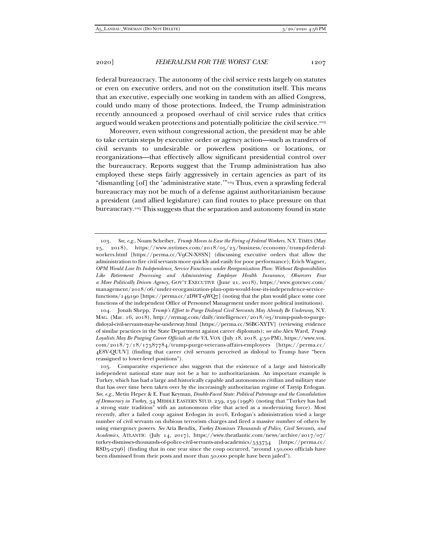federal bureaucracy. The autonomy of the civil service rests largely on statutes or even on executive orders, and not on the constitution itself. This means that an executive, especially one working in tandem with an allied Congress, could undo many of those protections. Indeed, the Trump administration recently announced a proposed overhaul of civil service rules that critics argued would weaken protections and potentially politicize the civil service.103

Moreover, even without congressional action, the president may be able to take certain steps by executive order or agency action—such as transfers of civil servants to undesirable or powerless positions or locations, or reorganizations—that effectively allow significant presidential control over the bureaucracy. Reports suggest that the Trump administration has also employed these steps fairly aggressively in certain agencies as part of its "dismantling [of] the 'administrative state.'"104 Thus, even a sprawling federal bureaucracy may not be much of a defense against authoritarianism because a president (and allied legislature) can find routes to place pressure on that bureaucracy.105 This suggests that the separation and autonomy found in state

 104. Jonah Shepp, *Trump's Effort to Purge Disloyal Civil Servants May Already Be Underway*, N.Y. MAG. (Mar. 16, 2018), http://nymag.com/daily/intelligencer/2018/03/trump-push-to-purgedisloyal-civil-servants-may-be-underway.html [https://perma.cc/S6BC-XYTV] (reviewing evidence of similar practices in the State Department against career diplomats); *see also* Alex Ward, *Trump Loyalists May Be Purging Career Officials at the VA*, VOX (July 18, 2018, 4:50 PM), https://www.vox. com/2018/7/18/17587784/trump-purge-veterans-affairs-employees [https://perma.cc/ 4E8V-QUUV] (finding that career civil servants perceived as disloyal to Trump have "been reassigned to lower-level positions").

 105. Comparative experience also suggests that the existence of a large and historically independent national state may not be a bar to authoritarianism. An important example is Turkey, which has had a large and historically capable and autonomous civilian and military state that has over time been taken over by the increasingly authoritarian regime of Tayyip Erdogan. *See, e.g.*, Metin Heper & E. Fuat Keyman, *Double-Faced State: Political Patronage and the Consolidation of Democracy in Turkey*, 34 MIDDLE EASTERN STUD. 259, 259 (1998) (noting that "Turkey has had a strong state tradition" with an autonomous elite that acted as a modernizing force). Most recently, after a failed coup against Erdogan in 2016, Erdogan's administration tried a large number of civil servants on dubious terrorism charges and fired a massive number of others by using emergency powers. *See* Aria Bendix, *Turkey Dismisses Thousands of Police, Civil Servants, and Academics*, ATLANTIC (July 14, 2017), https://www.theatlantic.com/news/archive/2017/07/ turkey-dismisses-thousands-of-police-civil-servants-and-academics/533754 [https://perma.cc/ R8D5-2796] (finding that in one year since the coup occurred, "around 150,000 officials have been dismissed from their posts and more than 50,000 people have been jailed").

<sup>103</sup>*. See, e.g.*, Noam Scheiber, *Trump Moves to Ease the Firing of Federal Workers*, N.Y. TIMES (May 25, 2018), https://www.nytimes.com/2018/05/25/business/economy/trump-federalworkers.html [https://perma.cc/V9CN-X8SN] (discussing executive orders that allow the administration to fire civil servants more quickly and easily for poor performance); Erich Wagner, *OPM Would Lose Its Independence, Service Functions under Reorganization Plan: Without Responsibilities Like Retirement Processing and Administering Employee Health Insurance, Observers Fear a More Politically Driven Agency*, GOV'T EXECUTIVE (June 21, 2018), https://www.govexec.com/ management/2018/06/under-reorganization-plan-opm-would-lose-its-independence-servicefunctions/149190 [https://perma.cc/2DWT-9WQ7] (noting that the plan would place some core functions of the independent Office of Personnel Management under more political institutions).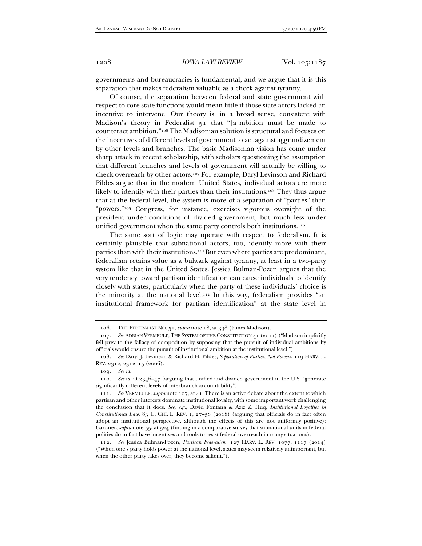governments and bureaucracies is fundamental, and we argue that it is this separation that makes federalism valuable as a check against tyranny.

Of course, the separation between federal and state government with respect to core state functions would mean little if those state actors lacked an incentive to intervene. Our theory is, in a broad sense, consistent with Madison's theory in Federalist 51 that "[a]mbition must be made to counteract ambition."106 The Madisonian solution is structural and focuses on the incentives of different levels of government to act against aggrandizement by other levels and branches. The basic Madisonian vision has come under sharp attack in recent scholarship, with scholars questioning the assumption that different branches and levels of government will actually be willing to check overreach by other actors.107 For example, Daryl Levinson and Richard Pildes argue that in the modern United States, individual actors are more likely to identify with their parties than their institutions.<sup>108</sup> They thus argue that at the federal level, the system is more of a separation of "parties" than "powers."109 Congress, for instance, exercises vigorous oversight of the president under conditions of divided government, but much less under unified government when the same party controls both institutions.<sup>110</sup>

The same sort of logic may operate with respect to federalism. It is certainly plausible that subnational actors, too, identify more with their parties than with their institutions.<sup>111</sup> But even where parties are predominant, federalism retains value as a bulwark against tyranny, at least in a two-party system like that in the United States. Jessica Bulman-Pozen argues that the very tendency toward partisan identification can cause individuals to identify closely with states, particularly when the party of these individuals' choice is the minority at the national level.112 In this way, federalism provides "an institutional framework for partisan identification" at the state level in

 <sup>106.</sup> THE FEDERALIST NO. 51, *supra* note 18, at 398 (James Madison).

<sup>107</sup>*. See* ADRIAN VERMEULE, THE SYSTEM OF THE CONSTITUTION 41 (2011) ("Madison implicitly fell prey to the fallacy of composition by supposing that the pursuit of individual ambitions by officials would ensure the pursuit of institutional ambition at the institutional level.").

<sup>108</sup>*. See* Daryl J. Levinson & Richard H. Pildes, *Separation of Parties, Not Powers*, 119 HARV. L. REV. 2312, 2312–15 (2006).

<sup>109</sup>*. See id.*

<sup>110</sup>*. See id.* at 2346–47 (arguing that unified and divided government in the U.S. "generate significantly different levels of interbranch accountability").

<sup>111</sup>*. See* VERMEULE, *supra* note 107, at 41. There is an active debate about the extent to which partisan and other interests dominate institutional loyalty, with some important work challenging the conclusion that it does. *See, e.g.*, David Fontana & Aziz Z. Huq, *Institutional Loyalties in Constitutional Law*, 85 U. CHI. L. REV. 1, 27–38 (2018) (arguing that officials do in fact often adopt an institutional perspective, although the effects of this are not uniformly positive); Gardner, *supra* note 55, at 524 (finding in a comparative survey that subnational units in federal polities do in fact have incentives and tools to resist federal overreach in many situations).

<sup>112</sup>*. See* Jessica Bulman-Pozen, *Partisan Federalism*, 127 HARV. L. REV. 1077, 1117 (2014) ("When one's party holds power at the national level, states may seem relatively unimportant, but when the other party takes over, they become salient.").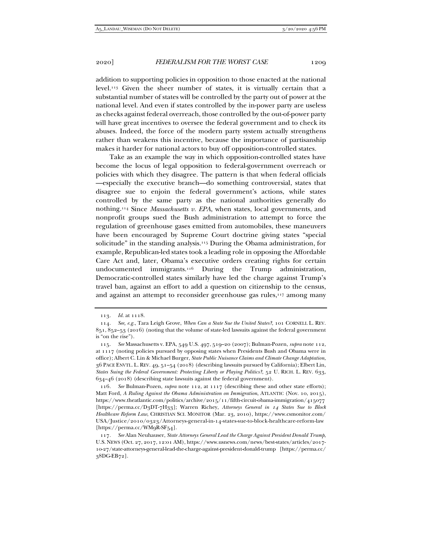addition to supporting policies in opposition to those enacted at the national level.113 Given the sheer number of states, it is virtually certain that a substantial number of states will be controlled by the party out of power at the national level. And even if states controlled by the in-power party are useless as checks against federal overreach, those controlled by the out-of-power party will have great incentives to oversee the federal government and to check its abuses. Indeed, the force of the modern party system actually strengthens rather than weakens this incentive, because the importance of partisanship makes it harder for national actors to buy off opposition-controlled states.

Take as an example the way in which opposition-controlled states have become the locus of legal opposition to federal-government overreach or policies with which they disagree. The pattern is that when federal officials —especially the executive branch—do something controversial, states that disagree sue to enjoin the federal government's actions, while states controlled by the same party as the national authorities generally do nothing.114 Since *Massachusetts v. EPA*, when states, local governments, and nonprofit groups sued the Bush administration to attempt to force the regulation of greenhouse gases emitted from automobiles, these maneuvers have been encouraged by Supreme Court doctrine giving states "special solicitude" in the standing analysis.115 During the Obama administration, for example, Republican-led states took a leading role in opposing the Affordable Care Act and, later, Obama's executive orders creating rights for certain undocumented immigrants.116 During the Trump administration, Democratic-controlled states similarly have led the charge against Trump's travel ban, against an effort to add a question on citizenship to the census, and against an attempt to reconsider greenhouse gas rules,<sup>117</sup> among many

<sup>113</sup>*. Id.* at 1118.

<sup>114</sup>*. See, e.g.*, Tara Leigh Grove, *When Can a State Sue the United States?*, 101 CORNELL L. REV. 851, 852–53 (2016) (noting that the volume of state-led lawsuits against the federal government is "on the rise").

<sup>115</sup>*. See* Massachusetts v. EPA, 549 U.S. 497, 519–20 (2007); Bulman-Pozen, *supra* note 112, at 1117 (noting policies pursued by opposing states when Presidents Bush and Obama were in office); Albert C. Lin & Michael Burger, *State Public Nuisance Claims and Climate Change Adaptation*, 36 PACE ENVTL. L. REV. 49, 51–54 (2018) (describing lawsuits pursued by California); Elbert Lin, *States Suing the Federal Government: Protecting Liberty or Playing Politics?*, 52 U. RICH. L. REV. 633, 634–46 (2018) (describing state lawsuits against the federal government).

<sup>116</sup>*. See* Bulman-Pozen, *supra* note 112, at 1117 (describing these and other state efforts); Matt Ford, *A Ruling Against the Obama Administration on Immigration*, ATLANTIC (Nov. 10, 2015), https://www.theatlantic.com/politics/archive/2015/11/fifth-circuit-obama-immigration/415077 [https://perma.cc/D3DT-7H33]; Warren Richey, *Attorneys General in 14 States Sue to Block Healthcare Reform Law*, CHRISTIAN SCI. MONITOR (Mar. 23, 2010), https://www.csmonitor.com/ USA/Justice/2010/0323/Attorneys-general-in-14-states-sue-to-block-healthcare-reform-law [https://perma.cc/WM9R-SF54].

<sup>117</sup>*. See* Alan Neuhauser, *State Attorneys General Lead the Charge Against President Donald Trump*, U.S. NEWS (Oct. 27, 2017, 12:01 AM), https://www.usnews.com/news/best-states/articles/2017- 10-27/state-attorneys-general-lead-the-charge-against-president-donald-trump [https://perma.cc/ 38DG-EB72].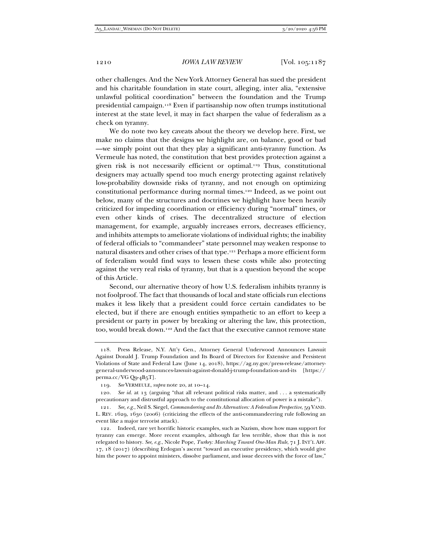other challenges. And the New York Attorney General has sued the president and his charitable foundation in state court, alleging, inter alia, "extensive unlawful political coordination" between the foundation and the Trump presidential campaign.118 Even if partisanship now often trumps institutional interest at the state level, it may in fact sharpen the value of federalism as a check on tyranny.

We do note two key caveats about the theory we develop here. First, we make no claims that the designs we highlight are, on balance, good or bad —we simply point out that they play a significant anti-tyranny function. As Vermeule has noted, the constitution that best provides protection against a given risk is not necessarily efficient or optimal.119 Thus, constitutional designers may actually spend too much energy protecting against relatively low-probability downside risks of tyranny, and not enough on optimizing constitutional performance during normal times.120 Indeed, as we point out below, many of the structures and doctrines we highlight have been heavily criticized for impeding coordination or efficiency during "normal" times, or even other kinds of crises. The decentralized structure of election management, for example, arguably increases errors, decreases efficiency, and inhibits attempts to ameliorate violations of individual rights; the inability of federal officials to "commandeer" state personnel may weaken response to natural disasters and other crises of that type.121 Perhaps a more efficient form of federalism would find ways to lessen these costs while also protecting against the very real risks of tyranny, but that is a question beyond the scope of this Article.

Second, our alternative theory of how U.S. federalism inhibits tyranny is not foolproof. The fact that thousands of local and state officials run elections makes it less likely that a president could force certain candidates to be elected, but if there are enough entities sympathetic to an effort to keep a president or party in power by breaking or altering the law, this protection, too, would break down.122 And the fact that the executive cannot remove state

 <sup>118.</sup> Press Release, N.Y. Att'y Gen., Attorney General Underwood Announces Lawsuit Against Donald J. Trump Foundation and Its Board of Directors for Extensive and Persistent Violations of State and Federal Law (June 14, 2018), https://ag.ny.gov/press-release/attorneygeneral-underwood-announces-lawsuit-against-donald-j-trump-foundation-and-its [https:// perma.cc/VG Q9-4B5T].

<sup>119</sup>*. See* VERMEULE, *supra* note 20, at 10–14.

<sup>120</sup>*. See id.* at 13 (arguing "that all relevant political risks matter, and . . . a systematically precautionary and distrustful approach to the constitutional allocation of power is a mistake").

<sup>121</sup>*. See, e.g.*, Neil S. Siegel, *Commandeering and Its Alternatives: A Federalism Perspective*, 59 VAND. L. REV. 1629, 1630 (2006) (criticizing the effects of the anti-commandeering rule following an event like a major terrorist attack).

 <sup>122.</sup> Indeed, rare yet horrific historic examples, such as Nazism, show how mass support for tyranny can emerge. More recent examples, although far less terrible, show that this is not relegated to history. *See, e.g.*, Nicole Pope, *Turkey: Marching Toward One-Man Rule*, 71 J. INT'L AFF. 17, 18 (2017) (describing Erdogan's ascent "toward an executive presidency, which would give him the power to appoint ministers, dissolve parliament, and issue decrees with the force of law,"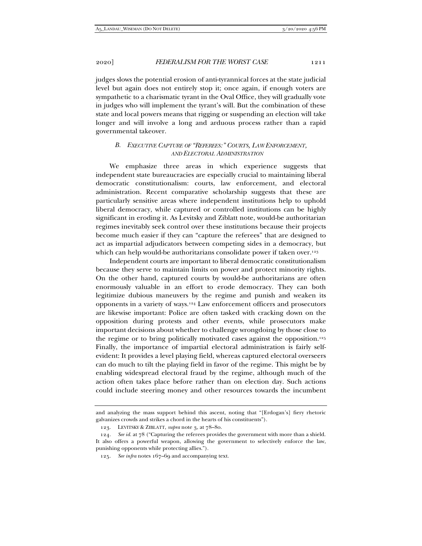judges slows the potential erosion of anti-tyrannical forces at the state judicial level but again does not entirely stop it; once again, if enough voters are sympathetic to a charismatic tyrant in the Oval Office, they will gradually vote in judges who will implement the tyrant's will. But the combination of these state and local powers means that rigging or suspending an election will take longer and will involve a long and arduous process rather than a rapid governmental takeover.

# *B. EXECUTIVE CAPTURE OF "REFEREES:" COURTS, LAW ENFORCEMENT, AND ELECTORAL ADMINISTRATION*

We emphasize three areas in which experience suggests that independent state bureaucracies are especially crucial to maintaining liberal democratic constitutionalism: courts, law enforcement, and electoral administration. Recent comparative scholarship suggests that these are particularly sensitive areas where independent institutions help to uphold liberal democracy, while captured or controlled institutions can be highly significant in eroding it. As Levitsky and Ziblatt note, would-be authoritarian regimes inevitably seek control over these institutions because their projects become much easier if they can "capture the referees" that are designed to act as impartial adjudicators between competing sides in a democracy, but which can help would-be authoritarians consolidate power if taken over.<sup>123</sup>

Independent courts are important to liberal democratic constitutionalism because they serve to maintain limits on power and protect minority rights. On the other hand, captured courts by would-be authoritarians are often enormously valuable in an effort to erode democracy. They can both legitimize dubious maneuvers by the regime and punish and weaken its opponents in a variety of ways.124 Law enforcement officers and prosecutors are likewise important: Police are often tasked with cracking down on the opposition during protests and other events, while prosecutors make important decisions about whether to challenge wrongdoing by those close to the regime or to bring politically motivated cases against the opposition.<sup>125</sup> Finally, the importance of impartial electoral administration is fairly selfevident: It provides a level playing field, whereas captured electoral overseers can do much to tilt the playing field in favor of the regime. This might be by enabling widespread electoral fraud by the regime, although much of the action often takes place before rather than on election day. Such actions could include steering money and other resources towards the incumbent

and analyzing the mass support behind this ascent, noting that "[Erdogan's] fiery rhetoric galvanizes crowds and strikes a chord in the hearts of his constituents").

 <sup>123.</sup> LEVITSKY & ZIBLATT, *supra* note 3, at 78–80.

<sup>124</sup>*. See id.* at 78 ("Capturing the referees provides the government with more than a shield. It also offers a powerful weapon, allowing the government to selectively enforce the law, punishing opponents while protecting allies.").

<sup>125</sup>*. See infra* notes 167–69 and accompanying text.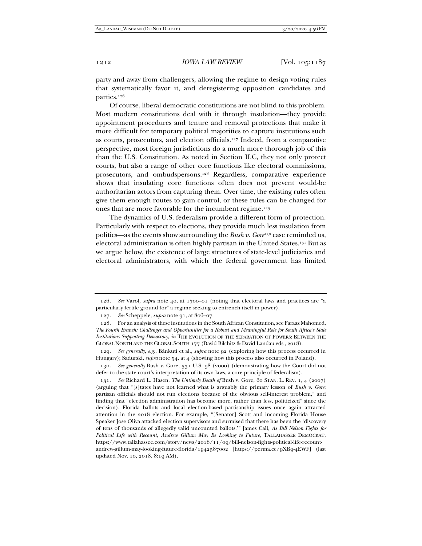party and away from challengers, allowing the regime to design voting rules that systematically favor it, and deregistering opposition candidates and parties.126

Of course, liberal democratic constitutions are not blind to this problem. Most modern constitutions deal with it through insulation—they provide appointment procedures and tenure and removal protections that make it more difficult for temporary political majorities to capture institutions such as courts, prosecutors, and election officials.127 Indeed, from a comparative perspective, most foreign jurisdictions do a much more thorough job of this than the U.S. Constitution. As noted in Section II.C, they not only protect courts, but also a range of other core functions like electoral commissions, prosecutors, and ombudspersons.128 Regardless, comparative experience shows that insulating core functions often does not prevent would-be authoritarian actors from capturing them. Over time, the existing rules often give them enough routes to gain control, or these rules can be changed for ones that are more favorable for the incumbent regime.129

The dynamics of U.S. federalism provide a different form of protection. Particularly with respect to elections, they provide much less insulation from politics—as the events show surrounding the *Bush v. Gore*<sup>130</sup> case reminded us, electoral administration is often highly partisan in the United States.131 But as we argue below, the existence of large structures of state-level judiciaries and electoral administrators, with which the federal government has limited

<sup>126</sup>*. See* Varol, *supra* note 40, at 1700–01 (noting that electoral laws and practices are "a particularly fertile ground for" a regime seeking to entrench itself in power).

<sup>127</sup>*. See* Scheppele, *supra* note 91, at 806–07.

 <sup>128.</sup> For an analysis of these institutions in the South African Constitution, see Faraaz Mahomed, *The Fourth Branch: Challenges and Opportunities for a Robust and Meaningful Role for South Africa's State Institutions Supporting Democracy*, *in* THE EVOLUTION OF THE SEPARATION OF POWERS: BETWEEN THE GLOBAL NORTH AND THE GLOBAL SOUTH 177 (David Bilchitz & David Landau eds., 2018).

<sup>129</sup>*. See generally, e.g.*, Bánkuti et al., *supra* note 92 (exploring how this process occurred in Hungary); Sadurski, *supra* note 54, at 4 (showing how this process also occurred in Poland).

<sup>130</sup>*. See generally* Bush v. Gore, 531 U.S. 98 (2000) (demonstrating how the Court did not defer to the state court's interpretation of its own laws, a core principle of federalism).

<sup>131</sup>*. See* Richard L. Hasen, *The Untimely Death of* Bush v. Gore, 60 STAN. L. REV. 1, 4 (2007) (arguing that "[s]tates have not learned what is arguably the primary lesson of *Bush v. Gore*: partisan officials should not run elections because of the obvious self-interest problem," and finding that "election administration has become more, rather than less, politicized" since the decision). Florida ballots and local election-based partisanship issues once again attracted attention in the 2018 election. For example, "[Senator] Scott and incoming Florida House Speaker Jose Oliva attacked election supervisors and surmised that there has been the 'discovery of tens of thousands of allegedly valid uncounted ballots.'" James Call, *As Bill Nelson Fights for Political Life with Recount, Andrew Gillum May Be Looking to Future*, TALLAHASSEE DEMOCRAT, https://www.tallahassee.com/story/news/2018/11/09/bill-nelson-fights-political-life-recountandrew-gillum-may-looking-future-florida/1942587002 [https://perma.cc/9XB9-4EWF] (last updated Nov. 10, 2018, 8:19 AM).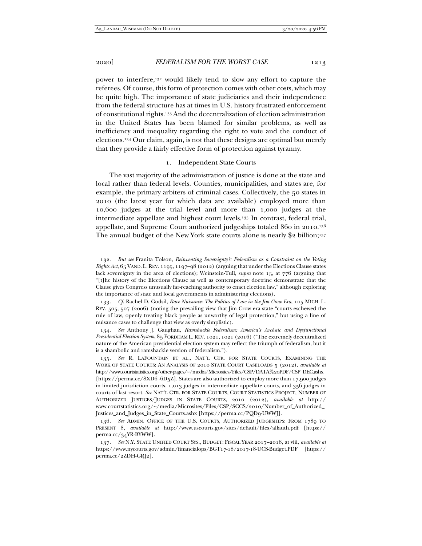power to interfere,132 would likely tend to slow any effort to capture the referees. Of course, this form of protection comes with other costs, which may be quite high. The importance of state judiciaries and their independence from the federal structure has at times in U.S. history frustrated enforcement of constitutional rights.133 And the decentralization of election administration in the United States has been blamed for similar problems, as well as inefficiency and inequality regarding the right to vote and the conduct of elections.134 Our claim, again, is not that these designs are optimal but merely that they provide a fairly effective form of protection against tyranny.

#### 1. Independent State Courts

The vast majority of the administration of justice is done at the state and local rather than federal levels. Counties, municipalities, and states are, for example, the primary arbiters of criminal cases. Collectively, the 50 states in 2010 (the latest year for which data are available) employed more than 10,600 judges at the trial level and more than 1,000 judges at the intermediate appellate and highest court levels.135 In contrast, federal trial, appellate, and Supreme Court authorized judgeships totaled 860 in 2010.136 The annual budget of the New York state courts alone is nearly \$2 billion;<sup>137</sup>

<sup>132</sup>*. But see* Franita Tolson, *Reinventing Sovereignty?: Federalism as a Constraint on the Voting Rights Act*, 65 VAND. L.REV. 1195, 1197–98 (2012) (arguing that under the Elections Clause states lack sovereignty in the area of elections); Weinstein-Tull, *supra* note 15, at 776 (arguing that "[t]he history of the Elections Clause as well as contemporary doctrine demonstrate that the Clause gives Congress unusually far-reaching authority to enact election law," although exploring the importance of state and local governments in administering elections).

<sup>133</sup>*. Cf.* Rachel D. Godsil, *Race Nuisance: The Politics of Law in the Jim Crow Era*, 105 MICH. L. REV. 505, 507 (2006) (noting the prevailing view that Jim Crow era state "courts eschewed the rule of law, openly treating black people as unworthy of legal protection," but using a line of nuisance cases to challenge that view as overly simplistic).

<sup>134</sup>*. See* Anthony J. Gaughan, *Ramshackle Federalism: America's Archaic and Dysfunctional Presidential Election System*, 85 FORDHAM L. REV. 1021, 1021 (2016) ("The extremely decentralized nature of the American presidential election system may reflect the triumph of federalism, but it is a shambolic and ramshackle version of federalism.").

<sup>135</sup>*. See* R. LAFOUNTAIN ET AL., NAT'L CTR. FOR STATE COURTS, EXAMINING THE WORK OF STATE COURTS: AN ANALYSIS OF 2010 STATE COURT CASELOADS 5 (2012), *available at* http://www.courtstatistics.org/other-pages/~/media/Microsites/Files/CSP/DATA%20PDF/CSP\_DEC.ashx [https://perma.cc/8XD6 -6D5Z]. States are also authorized to employ more than 17,900 judges in limited jurisdiction courts, 1,013 judges in intermediate appellate courts, and 356 judges in courts of last resort. *See* NAT'L CTR. FOR STATE COURTS, COURT STATISTICS PROJECT, NUMBER OF AUTHORIZED JUSTICES/JUDGES IN STATE COURTS, 2010 (2012), *available at* http:// www.courtstatistics.org/~/media/Microsites/Files/CSP/SCCS/2010/Number\_of\_Authorized\_ Justices\_and\_Judges\_in\_State\_Courts.ashx [https://perma.cc/PQD9-UWWJ].

<sup>136</sup>*. See* ADMIN. OFFICE OF THE U.S. COURTS, AUTHORIZED JUDGESHIPS: FROM 1789 TO PRESENT 8, *available at* http://www.uscourts.gov/sites/default/files/allauth.pdf [https:// perma.cc/34YR-BYWW].

<sup>137</sup>*. See* N.Y. STATE UNIFIED COURT SYS., BUDGET: FISCAL YEAR 2017–2018, at viii, *available at* https://www.nycourts.gov/admin/financialops/BGT17-18/2017-18-UCS-Budget.PDF [https:// perma.cc/2ZDH-GRJ2].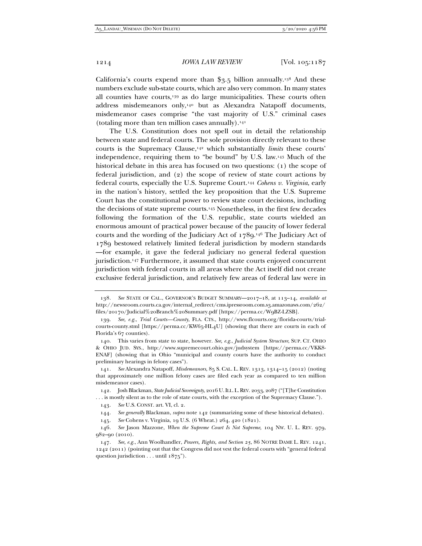California's courts expend more than  $\S$ 3.5 billion annually.<sup>138</sup> And these numbers exclude sub-state courts, which are also very common. In many states all counties have courts,139 as do large municipalities. These courts often address misdemeanors only,140 but as Alexandra Natapoff documents, misdemeanor cases comprise "the vast majority of U.S." criminal cases (totaling more than ten million cases annually). $141$ 

The U.S. Constitution does not spell out in detail the relationship between state and federal courts. The sole provision directly relevant to these courts is the Supremacy Clause,142 which substantially *limits* these courts' independence, requiring them to "be bound" by U.S. law.143 Much of the historical debate in this area has focused on two questions: (1) the scope of federal jurisdiction, and (2) the scope of review of state court actions by federal courts, especially the U.S. Supreme Court.144 *Cohens v. Virginia*, early in the nation's history, settled the key proposition that the U.S. Supreme Court has the constitutional power to review state court decisions, including the decisions of state supreme courts.145 Nonetheless, in the first few decades following the formation of the U.S. republic, state courts wielded an enormous amount of practical power because of the paucity of lower federal courts and the wording of the Judiciary Act of 1789.146 The Judiciary Act of 1789 bestowed relatively limited federal jurisdiction by modern standards —for example, it gave the federal judiciary no general federal question jurisdiction.<sup>147</sup> Furthermore, it assumed that state courts enjoyed concurrent jurisdiction with federal courts in all areas where the Act itself did not create exclusive federal jurisdiction, and relatively few areas of federal law were in

 142. Josh Blackman, *State Judicial Sovereignty*, 2016 U.ILL.L.REV. 2033, 2087 ("[T]he Constitution . . . is mostly silent as to the role of state courts, with the exception of the Supremacy Clause.").

143*. See* U.S. CONST. art. VI, cl. 2.

144*. See generally* Blackman, *supra* note 142 (summarizing some of these historical debates).

145*. See* Cohens v. Virginia, 19 U.S. (6 Wheat.) 264, 420 (1821).

146*. See* Jason Mazzone, *When the Supreme Court Is Not Supreme*, 104 NW. U. L. REV. 979, 982–90 (2010).

<sup>138</sup>*. See* STATE OF CAL., GOVERNOR'S BUDGET SUMMARY—2017–18, at 113–14, *available at* http://newsroom.courts.ca.gov/internal\_redirect/cms.ipressroom.com.s3.amazonaws.com/262/ files/20170/Judicial%20Branch%20Summary.pdf [https://perma.cc/W9BZ-LZSB].

<sup>139</sup>*. See, e.g.*, *Trial Courts—County*, FLA. CTS., http://www.flcourts.org/florida-courts/trialcourts-county.stml [https://perma.cc/KW65-HL4U] (showing that there are courts in each of Florida's 67 counties).

 <sup>140.</sup> This varies from state to state, however. *See, e.g.*, *Judicial System Structure*, SUP. CT. OHIO & OHIO JUD. SYS., http://www.supremecourt.ohio.gov/judsystem [https://perma.cc/VKK8- ENAF] (showing that in Ohio "municipal and county courts have the authority to conduct preliminary hearings in felony cases").

<sup>141</sup>*. See* Alexandra Natapoff, *Misdemeanors*, 85 S. CAL. L. REV. 1313, 1314–15 (2012) (noting that approximately one million felony cases are filed each year as compared to ten million misdemeanor cases).

<sup>147</sup>*. See, e.g.*, Ann Woolhandler, *Powers, Rights, and Section 25*, 86 NOTRE DAME L. REV. 1241, 1242 (2011) (pointing out that the Congress did not vest the federal courts with "general federal question jurisdiction . . . until 1875").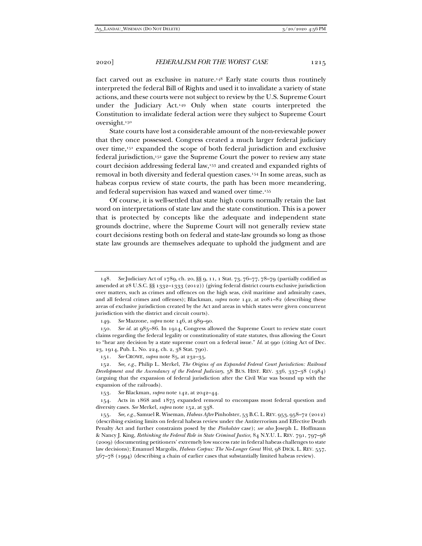fact carved out as exclusive in nature.148 Early state courts thus routinely interpreted the federal Bill of Rights and used it to invalidate a variety of state actions, and these courts were not subject to review by the U.S. Supreme Court under the Judiciary Act.149 Only when state courts interpreted the Constitution to invalidate federal action were they subject to Supreme Court oversight.150

State courts have lost a considerable amount of the non-reviewable power that they once possessed. Congress created a much larger federal judiciary over time,151 expanded the scope of both federal jurisdiction and exclusive federal jurisdiction,152 gave the Supreme Court the power to review any state court decision addressing federal law,153 and created and expanded rights of removal in both diversity and federal question cases.154 In some areas, such as habeas corpus review of state courts, the path has been more meandering, and federal supervision has waxed and waned over time.155

Of course, it is well-settled that state high courts normally retain the last word on interpretations of state law and the state constitution. This is a power that is protected by concepts like the adequate and independent state grounds doctrine, where the Supreme Court will not generally review state court decisions resting both on federal and state-law grounds so long as those state law grounds are themselves adequate to uphold the judgment and are

<sup>148</sup>*. See* Judiciary Act of 1789, ch. 20, §§ 9, 11, 1 Stat. 73, 76–77, 78–79 (partially codified as amended at 28 U.S.C. §§ 1332–1333 (2012)) (giving federal district courts exclusive jurisdiction over matters, such as crimes and offences on the high seas, civil maritime and admiralty cases, and all federal crimes and offenses); Blackman, *supra* note 142, at 2081–82 (describing these areas of exclusive jurisdiction created by the Act and areas in which states were given concurrent jurisdiction with the district and circuit courts).

<sup>149</sup>*. See* Mazzone, *supra* note 146, at 989–90.

<sup>150</sup>*. See id.* at 985–86. In 1914, Congress allowed the Supreme Court to review state court claims regarding the federal legality or constitutionality of state statutes, thus allowing the Court to "hear any decision by a state supreme court on a federal issue." *Id.* at 990 (citing Act of Dec. 23, 1914, Pub. L. No. 224, ch. 2, 38 Stat. 790).

<sup>151</sup>*. See* CROWE, *supra* note 85, at 232–35.

<sup>152</sup>*. See, e.g.*, Philip L. Merkel, *The Origins of an Expanded Federal Court Jurisdiction: Railroad Development and the Ascendancy of the Federal Judiciary*, 58 BUS. HIST. REV. 336, 337–38 (1984) (arguing that the expansion of federal jurisdiction after the Civil War was bound up with the expansion of the railroads).

<sup>153</sup>*. See* Blackman, *supra* note 142, at 2042–44.

 <sup>154.</sup> Acts in 1868 and 1875 expanded removal to encompass most federal question and diversity cases. *See* Merkel, *supra* note 152, at 338.

<sup>155</sup>*. See, e.g.*, Samuel R. Wiseman, *Habeas After* Pinholster, 53 B.C. L. REV. 953, 958–72 (2012) (describing existing limits on federal habeas review under the Antiterrorism and Effective Death Penalty Act and further constraints posed by the *Pinholster* case); *see also* Joseph L. Hoffmann & Nancy J. King, *Rethinking the Federal Role in State Criminal Justice*, 84 N.Y.U. L. REV. 791, 797–98 (2009) (documenting petitioners' extremely low success rate in federal habeas challenges to state law decisions); Emanuel Margolis, *Habeas Corpus: The No-Longer Great Writ*, 98 DICK. L. REV. 557, 567–78 (1994) (describing a chain of earlier cases that substantially limited habeas review).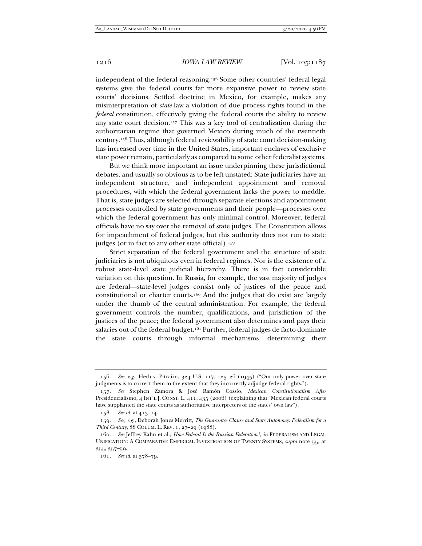independent of the federal reasoning.156 Some other countries' federal legal systems give the federal courts far more expansive power to review state courts' decisions. Settled doctrine in Mexico, for example, makes any misinterpretation of *state* law a violation of due process rights found in the *federal* constitution, effectively giving the federal courts the ability to review any state court decision.157 This was a key tool of centralization during the authoritarian regime that governed Mexico during much of the twentieth century.158 Thus, although federal reviewability of state court decision-making has increased over time in the United States, important enclaves of exclusive state power remain, particularly as compared to some other federalist systems.

But we think more important an issue underpinning these jurisdictional debates, and usually so obvious as to be left unstated: State judiciaries have an independent structure, and independent appointment and removal procedures, with which the federal government lacks the power to meddle. That is, state judges are selected through separate elections and appointment processes controlled by state governments and their people—processes over which the federal government has only minimal control. Moreover, federal officials have no say over the removal of state judges. The Constitution allows for impeachment of federal judges, but this authority does not run to state judges (or in fact to any other state official).<sup>159</sup>

Strict separation of the federal government and the structure of state judiciaries is not ubiquitous even in federal regimes. Nor is the existence of a robust state-level state judicial hierarchy. There is in fact considerable variation on this question. In Russia, for example, the vast majority of judges are federal—state-level judges consist only of justices of the peace and constitutional or charter courts.160 And the judges that do exist are largely under the thumb of the central administration. For example, the federal government controls the number, qualifications, and jurisdiction of the justices of the peace; the federal government also determines and pays their salaries out of the federal budget.<sup>161</sup> Further, federal judges de facto dominate the state courts through informal mechanisms, determining their

<sup>156</sup>*. See, e.g.*, Herb v. Pitcairn, 324 U.S. 117, 125–26 (1945) ("Our only power over state judgments is to correct them to the extent that they incorrectly adjudge federal rights.").

<sup>157</sup>*. See* Stephen Zamora & José Ramón Cossío, *Mexican Constitutionalism After*  Presidencialismo, 4 INT'L J. CONST. L. 411, 435 (2006) (explaining that "Mexican federal courts have supplanted the state courts as authoritative interpreters of the states' own law").

<sup>158</sup>*. See id.* at 413–14.

<sup>159</sup>*. See, e.g.*, Deborah Jones Merritt, *The Guarantee Clause and State Autonomy: Federalism for a Third Century*, 88 COLUM. L. REV. 1, 27–29 (1988).

<sup>160</sup>*. See* Jeffrey Kahn et al., *How Federal Is the Russian Federation?*, *in* FEDERALISM AND LEGAL UNIFICATION: A COMPARATIVE EMPIRICAL INVESTIGATION OF TWENTY SYSTEMS, *supra* note 55, at 355, 357–59.

<sup>161</sup>*. See id.* at 378–79.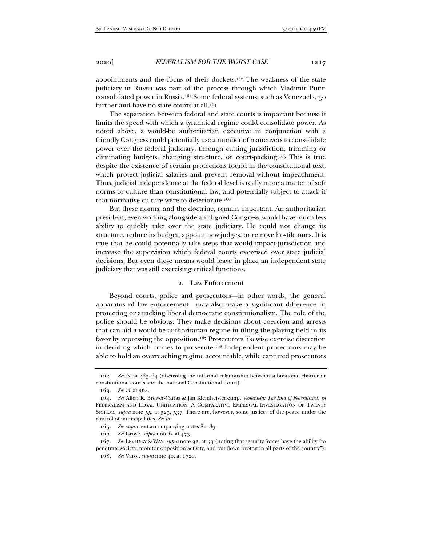appointments and the focus of their dockets.<sup>162</sup> The weakness of the state judiciary in Russia was part of the process through which Vladimir Putin consolidated power in Russia.163 Some federal systems, such as Venezuela, go further and have no state courts at all.<sup>164</sup>

The separation between federal and state courts is important because it limits the speed with which a tyrannical regime could consolidate power. As noted above, a would-be authoritarian executive in conjunction with a friendly Congress could potentially use a number of maneuvers to consolidate power over the federal judiciary, through cutting jurisdiction, trimming or eliminating budgets, changing structure, or court-packing.165 This is true despite the existence of certain protections found in the constitutional text, which protect judicial salaries and prevent removal without impeachment. Thus, judicial independence at the federal level is really more a matter of soft norms or culture than constitutional law, and potentially subject to attack if that normative culture were to deteriorate.<sup>166</sup>

But these norms, and the doctrine, remain important. An authoritarian president, even working alongside an aligned Congress, would have much less ability to quickly take over the state judiciary. He could not change its structure, reduce its budget, appoint new judges, or remove hostile ones. It is true that he could potentially take steps that would impact jurisdiction and increase the supervision which federal courts exercised over state judicial decisions. But even these means would leave in place an independent state judiciary that was still exercising critical functions.

## 2. Law Enforcement

Beyond courts, police and prosecutors—in other words, the general apparatus of law enforcement—may also make a significant difference in protecting or attacking liberal democratic constitutionalism. The role of the police should be obvious: They make decisions about coercion and arrests that can aid a would-be authoritarian regime in tilting the playing field in its favor by repressing the opposition.167 Prosecutors likewise exercise discretion in deciding which crimes to prosecute.168 Independent prosecutors may be able to hold an overreaching regime accountable, while captured prosecutors

<sup>162</sup>*. See id.* at 363–64 (discussing the informal relationship between subnational charter or constitutional courts and the national Constitutional Court).

<sup>163</sup>*. See id.* at 364.

<sup>164</sup>*. See* Allen R. Brewer-Carías & Jan Kleinheisterkamp, *Venezuela: The End of Federalism?*, *in*  FEDERALISM AND LEGAL UNIFICATION: A COMPARATIVE EMPIRICAL INVESTIGATION OF TWENTY SYSTEMS, *supra* note 55, at 523, 537. There are, however, some justices of the peace under the control of municipalities. *See id.*

<sup>165</sup>*. See supra* text accompanying notes 81–89.

<sup>166</sup>*. See* Grove, *supra* note 6, at 473.

<sup>167</sup>*. See* LEVITSKY & WAY, *supra* note 32, at 59 (noting that security forces have the ability "to penetrate society, monitor opposition activity, and put down protest in all parts of the country").

<sup>168</sup>*. See* Varol, *supra* note 40, at 1720.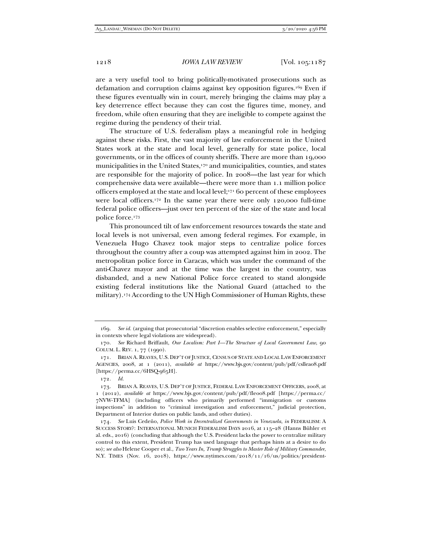are a very useful tool to bring politically-motivated prosecutions such as defamation and corruption claims against key opposition figures.169 Even if these figures eventually win in court, merely bringing the claims may play a key deterrence effect because they can cost the figures time, money, and freedom, while often ensuring that they are ineligible to compete against the regime during the pendency of their trial.

The structure of U.S. federalism plays a meaningful role in hedging against these risks. First, the vast majority of law enforcement in the United States work at the state and local level, generally for state police, local governments, or in the offices of county sheriffs. There are more than 19,000 municipalities in the United States,<sup>170</sup> and municipalities, counties, and states are responsible for the majority of police. In 2008—the last year for which comprehensive data were available—there were more than 1.1 million police officers employed at the state and local level;171 60 percent of these employees were local officers.172 In the same year there were only 120,000 full-time federal police officers—just over ten percent of the size of the state and local police force.173

This pronounced tilt of law enforcement resources towards the state and local levels is not universal, even among federal regimes. For example, in Venezuela Hugo Chavez took major steps to centralize police forces throughout the country after a coup was attempted against him in 2002. The metropolitan police force in Caracas, which was under the command of the anti-Chavez mayor and at the time was the largest in the country, was disbanded, and a new National Police force created to stand alongside existing federal institutions like the National Guard (attached to the military).174 According to the UN High Commissioner of Human Rights, these

<sup>169</sup>*. See id.* (arguing that prosecutorial "discretion enables selective enforcement," especially in contexts where legal violations are widespread).

<sup>170</sup>*. See* Richard Briffault, *Our Localism: Part I—The Structure of Local Government Law*, 90 COLUM. L. REV. 1, 77 (1990).

 <sup>171.</sup> BRIAN A.REAVES, U.S. DEP'T OF JUSTICE, CENSUS OF STATE AND LOCAL LAW ENFORCEMENT AGENCIES, 2008, at 1 (2011), *available at* https://www.bjs.gov/content/pub/pdf/csllea08.pdf [https://perma.cc/6HSQ-965H].

<sup>172</sup>*. Id.* 

 <sup>173.</sup> BRIAN A. REAVES, U.S. DEP'T OF JUSTICE, FEDERAL LAW ENFORCEMENT OFFICERS, 2008, at 1 (2012), *available at* https://www.bjs.gov/content/pub/pdf/fleo08.pdf [https://perma.cc/ 7NVW-TFMA] (including officers who primarily performed "immigration or customs inspections" in addition to "criminal investigation and enforcement," judicial protection, Department of Interior duties on public lands, and other duties).

<sup>174</sup>*. See* Luis Cedeño, *Police Work in Decentralized Governments in Venezuela*, *in* FEDERALISM: A SUCCESS STORY?: INTERNATIONAL MUNICH FEDERALISM DAYS 2016, at 115–28 (Hanns Bühler et al. eds., 2016) (concluding that although the U.S. President lacks the power to centralize military control to this extent, President Trump has used language that perhaps hints at a desire to do so); *see also* Helene Cooper et al., *Two Years In, Trump Struggles to Master Role of Military Commander*, N.Y. TIMES (Nov. 16, 2018), https://www.nytimes.com/2018/11/16/us/politics/president-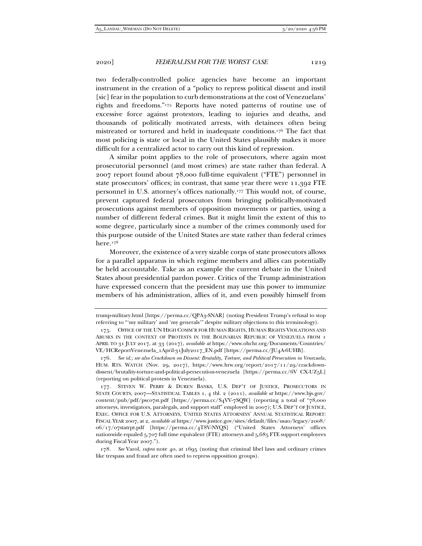two federally-controlled police agencies have become an important instrument in the creation of a "policy to repress political dissent and instil [sic] fear in the population to curb demonstrations at the cost of Venezuelans' rights and freedoms."175 Reports have noted patterns of routine use of excessive force against protestors, leading to injuries and deaths, and thousands of politically motivated arrests, with detainees often being mistreated or tortured and held in inadequate conditions.176 The fact that most policing is state or local in the United States plausibly makes it more difficult for a centralized actor to carry out this kind of repression.

A similar point applies to the role of prosecutors, where again most prosecutorial personnel (and most crimes) are state rather than federal. A 2007 report found about 78,000 full-time equivalent ("FTE") personnel in state prosecutors' offices; in contrast, that same year there were 11,392 FTE personnel in U.S. attorney's offices nationally.177 This would not, of course, prevent captured federal prosecutors from bringing politically-motivated prosecutions against members of opposition movements or parties, using a number of different federal crimes. But it might limit the extent of this to some degree, particularly since a number of the crimes commonly used for this purpose outside of the United States are state rather than federal crimes here.178

Moreover, the existence of a very sizable corps of state prosecutors allows for a parallel apparatus in which regime members and allies can potentially be held accountable. Take as an example the current debate in the United States about presidential pardon power. Critics of the Trump administration have expressed concern that the president may use this power to immunize members of his administration, allies of it, and even possibly himself from

trump-military.html [https://perma.cc/QPA3-SNAR] (noting President Trump's refusal to stop referring to "'my military' and 'my generals'" despite military objections to this terminology).

 <sup>175.</sup> OFFICE OF THE UN HIGH COMM'R FOR HUMAN RIGHTS, HUMAN RIGHTS VIOLATIONS AND ABUSES IN THE CONTEXT OF PROTESTS IN THE BOLIVARIAN REPUBLIC OF VENEZUELA FROM 1 APRIL TO 31 JULY 2017, at 33 (2017), *available at* https://www.ohchr.org/Documents/Countries/ VE/HCReportVenezuela\_1April-31July2017\_EN.pdf [https://perma.cc/JU4A-6UHB].

<sup>176</sup>*. See id.*; *see also Crackdown on Dissent: Brutality, Torture, and Political Persecution in Venezuela*, HUM. RTS. WATCH (Nov. 29, 2017), https://www.hrw.org/report/2017/11/29/crackdowndissent/brutality-torture-and-political-persecution-venezuela [https://perma.cc/6V CX-UZ5L] (reporting on political protests in Venezuela).

 <sup>177.</sup> STEVEN W. PERRY & DUREN BANKS, U.S. DEP'T OF JUSTICE, PROSECUTORS IN STATE COURTS, 2007—STATISTICAL TABLES 1, 4 tbl. 2 (2011), *available at* https://www.bjs.gov/ content/pub/pdf/psc07st.pdf [https://perma.cc/S4VV-7SQW] (reporting a total of "78,000 attorneys, investigators, paralegals, and support staff" employed in 2007); U.S. DEP'T OF JUSTICE, EXEC. OFFICE FOR U.S. ATTORNEYS, UNITED STATES ATTORNEYS' ANNUAL STATISTICAL REPORT: FISCAL YEAR 2007, at 2, *available at* https://www.justice.gov/sites/default/files/usao/legacy/2008/ 06/17/07statrpt.pdf [https://perma.cc/4T8V-NYQS] ("United States Attorneys' offices nationwide equaled 5,707 full time equivalent (FTE) attorneys and 5,685 FTE support employees during Fiscal Year 2007.").

<sup>178</sup>*. See* Varol, *supra* note 40, at 1695 (noting that criminal libel laws and ordinary crimes like trespass and fraud are often used to repress opposition groups).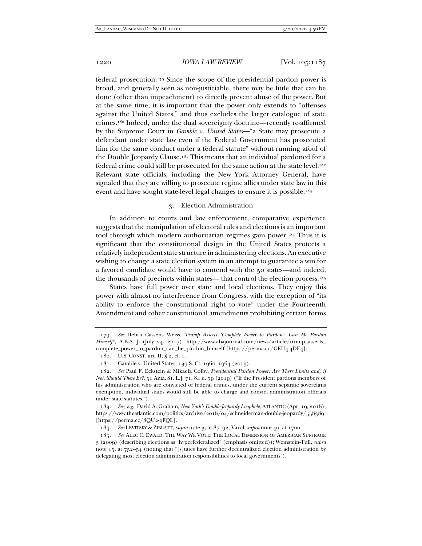federal prosecution.179 Since the scope of the presidential pardon power is broad, and generally seen as non-justiciable, there may be little that can be done (other than impeachment) to directly prevent abuse of the power. But at the same time, it is important that the power only extends to "offenses against the United States," and thus excludes the larger catalogue of state crimes.180 Indeed, under the dual sovereignty doctrine—recently re-affirmed by the Supreme Court in *Gamble v. United States*—"a State may prosecute a defendant under state law even if the Federal Government has prosecuted him for the same conduct under a federal statute" without running afoul of the Double Jeopardy Clause.<sup>181</sup> This means that an individual pardoned for a federal crime could still be prosecuted for the same action at the state level.<sup>182</sup> Relevant state officials, including the New York Attorney General, have signaled that they are willing to prosecute regime allies under state law in this event and have sought state-level legal changes to ensure it is possible.183

## 3. Election Administration

In addition to courts and law enforcement, comparative experience suggests that the manipulation of electoral rules and elections is an important tool through which modern authoritarian regimes gain power.184 Thus it is significant that the constitutional design in the United States protects a relatively independent state structure in administering elections. An executive wishing to change a state election system in an attempt to guarantee a win for a favored candidate would have to contend with the 50 states—and indeed, the thousands of precincts within states— that control the election process.185

States have full power over state and local elections. They enjoy this power with almost no interference from Congress, with the exception of "its ability to enforce the constitutional right to vote" under the Fourteenth Amendment and other constitutional amendments prohibiting certain forms

184*. See* LEVITSKY & ZIBLATT, *supra* note 3, at 87–92; Varol, *supra* note 40, at 1700.

<sup>179</sup>*. See* Debra Cassens Weiss, *Trump Asserts 'Complete Power to Pardon': Can He Pardon Himself?,* A.B.A. J. (July 24, 2017), http://www.abajournal.com/news/article/trump\_asserts\_ complete\_power\_to\_pardon\_can\_he\_pardon\_himself [https://perma.cc/GEU4-4DE4].

 <sup>180.</sup> U.S. CONST. art. II, § 2, cl. 1.

 <sup>181.</sup> Gamble v. United States, 139 S. Ct. 1960, 1964 (2019).

<sup>182</sup>*. See* Paul F. Eckstein & Mikaela Colby, *Presidential Pardon Power: Are There Limits and, if Not, Should There Be?*, 51 ARIZ. ST. L.J. 71, 84 n. 79 (2019) ("If the President pardons members of his administration who are convicted of federal crimes, under the current separate sovereigns exemption, individual states would still be able to charge and convict administration officials under state statutes.").

<sup>183</sup>*. See, e.g.*, David A. Graham, *New York's Double-Jeopardy Loophole*, ATLANTIC (Apr. 19, 2018), https://www.theatlantic.com/politics/archive/2018/04/schneiderman-double-jeopardy/558389 [https://perma.cc/8QU2-9FQL].

<sup>185</sup>*. See* ALEC C. EWALD, THE WAY WE VOTE: THE LOCAL DIMENSION OF AMERICAN SUFFRAGE 3 (2009) (describing elections as "hyperfederalized" (emphasis omitted)); Weinstein-Tull, *supra*  note 15, at 752–54 (noting that "[s]tates have further decentralized election administration by delegating most election administration responsibilities to local governments").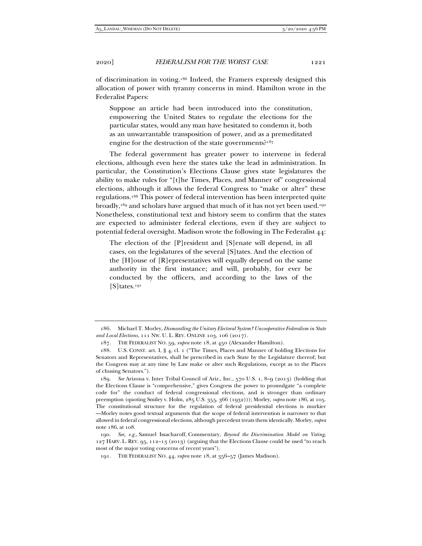of discrimination in voting.186 Indeed, the Framers expressly designed this allocation of power with tyranny concerns in mind. Hamilton wrote in the Federalist Papers:

Suppose an article had been introduced into the constitution, empowering the United States to regulate the elections for the particular states, would any man have hesitated to condemn it, both as an unwarrantable transposition of power, and as a premeditated engine for the destruction of the state governments?187

The federal government has greater power to intervene in federal elections, although even here the states take the lead in administration. In particular, the Constitution's Elections Clause gives state legislatures the ability to make rules for "[t]he Times, Places, and Manner of" congressional elections, although it allows the federal Congress to "make or alter" these regulations.188 This power of federal intervention has been interpreted quite broadly,<sup>189</sup> and scholars have argued that much of it has not yet been used.<sup>190</sup> Nonetheless, constitutional text and history seem to confirm that the states are expected to administer federal elections, even if they are subject to potential federal oversight. Madison wrote the following in The Federalist 44:

The election of the [P]resident and [S]enate will depend, in all cases, on the legislatures of the several [S]tates. And the election of the [H]ouse of [R]epresentatives will equally depend on the same authority in the first instance; and will, probably, for ever be conducted by the officers, and according to the laws of the [S]tates*.*191

 <sup>186.</sup> Michael T. Morley, *Dismantling the Unitary Electoral System? Uncooperative Federalism in State and Local Elections*, 111 NW. U. L. REV. ONLINE 103, 106 (2017).

 <sup>187.</sup> THE FEDERALIST NO. 59, *supra* note 18, at 450 (Alexander Hamilton).

 <sup>188.</sup> U.S. CONST. art. I, § 4, cl. 1 ("The Times, Places and Manner of holding Elections for Senators and Representatives, shall be prescribed in each State by the Legislature thereof; but the Congress may at any time by Law make or alter such Regulations, except as to the Places of chusing Senators.").

<sup>189</sup>*. See* Arizona v. Inter Tribal Council of Ariz., Inc., 570 U.S. 1, 8–9 (2013) (holding that the Elections Clause is "comprehensive," gives Congress the power to promulgate "a complete code for" the conduct of federal congressional elections, and is stronger than ordinary preemption (quoting Smiley v. Holm, 285 U.S. 355, 366 (1932))); Morley, *supra* note 186, at 105. The constitutional structure for the regulation of federal presidential elections is murkier —Morley notes good textual arguments that the scope of federal intervention is narrower to that allowed in federal congressional elections, although precedent treats them identically. Morley, *supra* note 186, at 108.

<sup>190</sup>*. See, e.g.*, Samuel Issacharoff, Commentary, *Beyond the Discrimination Model on Voting*, 127 HARV. L. REV. 95, 112–13 (2013) (arguing that the Elections Clause could be used "to reach most of the major voting concerns of recent years").

 <sup>191.</sup> THE FEDERALIST NO. 44, *supra* note 18, at 356–57 (James Madison).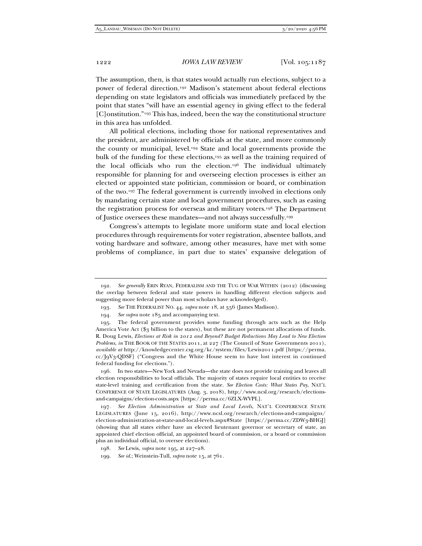The assumption, then, is that states would actually run elections, subject to a power of federal direction.192 Madison's statement about federal elections depending on state legislators and officials was immediately prefaced by the point that states "will have an essential agency in giving effect to the federal [C]onstitution."<sup>193</sup> This has, indeed, been the way the constitutional structure in this area has unfolded.

All political elections, including those for national representatives and the president, are administered by officials at the state, and more commonly the county or municipal, level.194 State and local governments provide the bulk of the funding for these elections,195 as well as the training required of the local officials who run the election.196 The individual ultimately responsible for planning for and overseeing election processes is either an elected or appointed state politician, commission or board, or combination of the two.197 The federal government is currently involved in elections only by mandating certain state and local government procedures, such as easing the registration process for overseas and military voters.198 The Department of Justice oversees these mandates—and not always successfully.199

Congress's attempts to legislate more uniform state and local election procedures through requirements for voter registration, absentee ballots, and voting hardware and software, among other measures, have met with some problems of compliance, in part due to states' expansive delegation of

 196. In two states—New York and Nevada—the state does not provide training and leaves all election responsibilities to local officials. The majority of states require local entities to receive state-level training and certification from the state. *See Election Costs: What States Pay*, NAT'L CONFERENCE OF STATE LEGISLATURES (Aug. 3, 2018), http://www.ncsl.org/research/electionsand-campaigns/election-costs.aspx [https://perma.cc/6ZLX-WVPL].

197*. See Election Administration at State and Local Levels*, NAT'L CONFERENCE STATE LEGISLATURES (June 15, 2016), http://www.ncsl.org/research/elections-and-campaigns/ election-administration-at-state-and-local-levels.aspx#State [https://perma.cc/ZDW3-BHGJ] (showing that all states either have an elected lieutenant governor or secretary of state, an appointed chief election official, an appointed board of commission, or a board or commission plus an individual official, to oversee elections).

 <sup>192.</sup> *See generally* ERIN RYAN, FEDERALISM AND THE TUG OF WAR WITHIN (2012) (discussing the overlap between federal and state powers in handling different election subjects and suggesting more federal power than most scholars have acknowledged).

<sup>193</sup>*. See* THE FEDERALIST NO. 44, *supra* note 18, at 356 (James Madison).

<sup>194</sup>*. See supra* note 185 and accompanying text.

 <sup>195.</sup> The federal government provides some funding through acts such as the Help America Vote Act (\$3 billion to the states), but these are not permanent allocations of funds. R. Doug Lewis, *Elections at Risk in 2012 and Beyond? Budget Reductions May Lead to New Election Problems*, *in* THE BOOK OF THE STATES 2011, at 227 (The Council of State Governments 2011), *available at* http://knowledgecenter.csg.org/kc/system/files/Lewis2011.pdf [https://perma. cc/J9V3-QDSF] ("Congress and the White House seem to have lost interest in continued federal funding for elections.").

<sup>198</sup>*. See* Lewis, *supra* note 195, at 227–28.

<sup>199</sup>*. See id.*; Weinstein-Tull, *supra* note 15, at 761.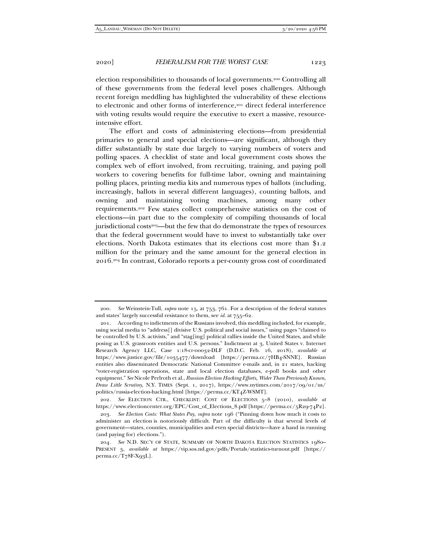election responsibilities to thousands of local governments.200 Controlling all of these governments from the federal level poses challenges. Although recent foreign meddling has highlighted the vulnerability of these elections to electronic and other forms of interference,<sup>201</sup> direct federal interference with voting results would require the executive to exert a massive, resourceintensive effort.

The effort and costs of administering elections—from presidential primaries to general and special elections—are significant, although they differ substantially by state due largely to varying numbers of voters and polling spaces. A checklist of state and local government costs shows the complex web of effort involved, from recruiting, training, and paying poll workers to covering benefits for full-time labor, owning and maintaining polling places, printing media kits and numerous types of ballots (including, increasingly, ballots in several different languages), counting ballots, and owning and maintaining voting machines, among many other requirements.202 Few states collect comprehensive statistics on the cost of elections—in part due to the complexity of compiling thousands of local jurisdictional costs<sup>203—</sup>but the few that do demonstrate the types of resources that the federal government would have to invest to substantially take over elections. North Dakota estimates that its elections cost more than \$1.2 million for the primary and the same amount for the general election in 2016.204 In contrast, Colorado reports a per-county gross cost of coordinated

<sup>200</sup>*. See* Weinstein-Tull, *supra* note 15, at 753, 761. For a description of the federal statutes and states' largely successful resistance to them, see *id.* at 755–62.

 <sup>201.</sup> According to indictments of the Russians involved, this meddling included, for example, using social media to "address[] divisive U.S. political and social issues," using pages "claimed to be controlled by U.S. activists," and "stag[ing] political rallies inside the United States, and while posing as U.S. grassroots entities and U.S. persons." Indictment at 3, United States v. Internet Research Agency LLC, Case 1:18-cr-00032-DLF (D.D.C. Feb. 16, 2018), *available at* https://www.justice.gov/file/1035477/download [https://perma.cc/7HB4-SNNE]. Russian entities also disseminated Democratic National Committee e-mails and, in 21 states, hacking "voter-registration operations, state and local election databases, e-poll books and other equipment." *See* Nicole Perlroth et al., *Russian Election Hacking Efforts, Wider Than Previously Known, Draw Little Scrutiny*, N.Y. TIMES (Sept. 1, 2017), https://www.nytimes.com/2017/09/01/us/ politics/russia-election-hacking.html [https://perma.cc/KT4Z-WSMT].

<sup>202</sup>*. See* ELECTION CTR., CHECKLIST: COST OF ELECTIONS 5–8 (2010), *available at*  https://www.electioncenter.org/EPC/Cost\_of\_Elections\_8.pdf [https://perma.cc/5R29-74P2].

<sup>203</sup>*. See Election Costs: What States Pay*, *supra* note 196 ("Pinning down how much it costs to administer an election is notoriously difficult. Part of the difficulty is that several levels of government—states, counties, municipalities and even special districts—have a hand in running (and paying for) elections.").

<sup>204</sup>*. See* N.D. SEC'Y OF STATE, SUMMARY OF NORTH DAKOTA ELECTION STATISTICS 1980– PRESENT 3, *available at* https://vip.sos.nd.gov/pdfs/Portals/statistics-turnout.pdf [https:// perma.cc/T78F-X93L].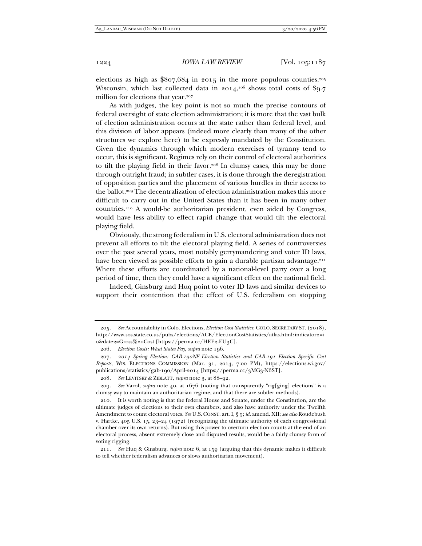elections as high as  $807,684$  in 2015 in the more populous counties.<sup>205</sup> Wisconsin, which last collected data in 2014,<sup>206</sup> shows total costs of \$9.7 million for elections that year.207

As with judges, the key point is not so much the precise contours of federal oversight of state election administration; it is more that the vast bulk of election administration occurs at the state rather than federal level, and this division of labor appears (indeed more clearly than many of the other structures we explore here) to be expressly mandated by the Constitution. Given the dynamics through which modern exercises of tyranny tend to occur, this is significant. Regimes rely on their control of electoral authorities to tilt the playing field in their favor.208 In clumsy cases, this may be done through outright fraud; in subtler cases, it is done through the deregistration of opposition parties and the placement of various hurdles in their access to the ballot.209 The decentralization of election administration makes this more difficult to carry out in the United States than it has been in many other countries.210 A would-be authoritarian president, even aided by Congress, would have less ability to effect rapid change that would tilt the electoral playing field.

Obviously, the strong federalism in U.S. electoral administration does not prevent all efforts to tilt the electoral playing field. A series of controversies over the past several years, most notably gerrymandering and voter ID laws, have been viewed as possible efforts to gain a durable partisan advantage.<sup>211</sup> Where these efforts are coordinated by a national-level party over a long period of time, then they could have a significant effect on the national field.

Indeed, Ginsburg and Huq point to voter ID laws and similar devices to support their contention that the effect of U.S. federalism on stopping

<sup>205</sup>*. See* Accountability in Colo. Elections, *Election Cost Statistics*, COLO. SECRETARY ST. (2018), http://www.sos.state.co.us/pubs/elections/ACE/ElectionCostStatistics/atlas.html?indicator2=i 0&date2=Gross%20Cost [https://perma.cc/HEE2-EU3C].

<sup>206</sup>*. Election Costs: What States Pay*, *supra* note 196.

<sup>207</sup>*. 2014 Spring Election: GAB-190NF Election Statistics and GAB-191 Election Specific Cost Reports*, WIS. ELECTIONS COMMISSION (Mar. 31, 2014, 7:00 PM), https://elections.wi.gov/ publications/statistics/gab-190/April-2014 [https://perma.cc/3MG3-N6ST].

<sup>208</sup>*. See* LEVITSKY & ZIBLATT, *supra* note 3, at 88–92.

<sup>209</sup>*. See* Varol, *supra* note 40, at 1676 (noting that transparently "rig[ging] elections" is a clumsy way to maintain an authoritarian regime, and that there are subtler methods).

 <sup>210.</sup> It is worth noting is that the federal House and Senate, under the Constitution, are the ultimate judges of elections to their own chambers, and also have authority under the Twelfth Amendment to count electoral votes. *See* U.S. CONST. art. I, § 5; *id.* amend. XII; *see also* Roudebush v. Hartke, 405 U.S. 15, 23–24 (1972) (recognizing the ultimate authority of each congressional chamber over its own returns). But using this power to overturn election counts at the end of an electoral process, absent extremely close and disputed results, would be a fairly clumsy form of voting rigging.

<sup>211</sup>*. See* Huq & Ginsburg, *supra* note 6, at 159 (arguing that this dynamic makes it difficult to tell whether federalism advances or slows authoritarian movement).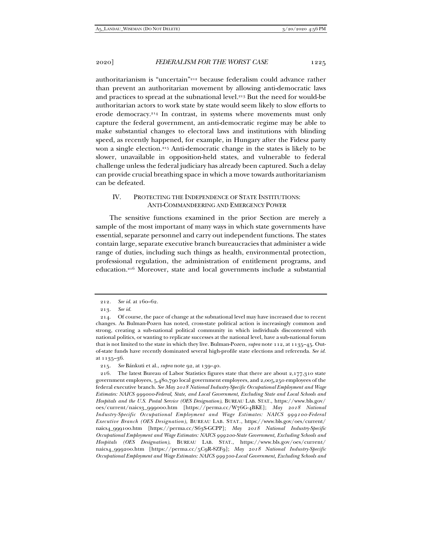authoritarianism is "uncertain"212 because federalism could advance rather than prevent an authoritarian movement by allowing anti-democratic laws and practices to spread at the subnational level.<sup>213</sup> But the need for would-be authoritarian actors to work state by state would seem likely to slow efforts to erode democracy.214 In contrast, in systems where movements must only capture the federal government, an anti-democratic regime may be able to make substantial changes to electoral laws and institutions with blinding speed, as recently happened, for example, in Hungary after the Fidesz party won a single election.<sup>215</sup> Anti-democratic change in the states is likely to be slower, unavailable in opposition-held states, and vulnerable to federal challenge unless the federal judiciary has already been captured. Such a delay can provide crucial breathing space in which a move towards authoritarianism can be defeated.

# IV. PROTECTING THE INDEPENDENCE OF STATE INSTITUTIONS: ANTI-COMMANDEERING AND EMERGENCY POWER

The sensitive functions examined in the prior Section are merely a sample of the most important of many ways in which state governments have essential, separate personnel and carry out independent functions. The states contain large, separate executive branch bureaucracies that administer a wide range of duties, including such things as health, environmental protection, professional regulation, the administration of entitlement programs, and education.216 Moreover, state and local governments include a substantial

<sup>212</sup>*. See id.* at 160–62.

<sup>213</sup>*. See id.*

 <sup>214.</sup> Of course, the pace of change at the subnational level may have increased due to recent changes. As Bulman-Pozen has noted, cross-state political action is increasingly common and strong, creating a sub-national political community in which individuals discontented with national politics, or wanting to replicate successes at the national level, have a sub-national forum that is not limited to the state in which they live. Bulman-Pozen, *supra* note 112, at 1135–45. Outof-state funds have recently dominated several high-profile state elections and referenda. *See id.* at 1135–36.

<sup>215</sup>*. See* Bánkuti et al., *supra* note 92, at 139–40.

 <sup>216.</sup> The latest Bureau of Labor Statistics figures state that there are about 2,177,310 state government employees, 5,480,790 local government employees, and 2,005,250 employees of the federal executive branch. *See May 2018 National Industry-Specific Occupational Employment and Wage Estimates: NAICS 999000-Federal, State, and Local Government, Excluding State and Local Schools and Hospitals and the U.S. Postal Service (OES Designation)*, BUREAU LAB. STAT., https://www.bls.gov/ oes/current/naics3\_999000.htm [https://perma.cc/W76G-4BKE]; *May 2018 National Industry-Specific Occupational Employment and Wage Estimates: NAICS 999100-Federal Executive Branch (OES Designation)*, BUREAU LAB. STAT., https://www.bls.gov/oes/current/ naics4\_999100.htm [https://perma.cc/S63S-GCPP]; *May 2018 National Industry-Specific Occupational Employment and Wage Estimates: NAICS 999200-State Government, Excluding Schools and Hospitals (OES Designation)*, BUREAU LAB. STAT., https://www.bls.gov/oes/current/ naics4\_999200.htm [https://perma.cc/5C9R-8ZF9]; *May 2018 National Industry-Specific Occupational Employment and Wage Estimates: NAICS 999300-Local Government, Excluding Schools and*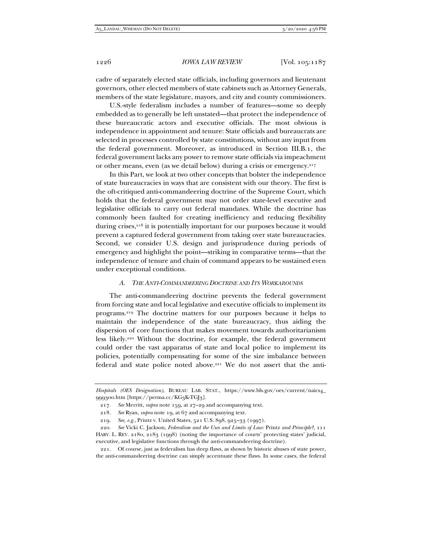cadre of separately elected state officials, including governors and lieutenant governors, other elected members of state cabinets such as Attorney Generals, members of the state legislature, mayors, and city and county commissioners.

U.S.-style federalism includes a number of features—some so deeply embedded as to generally be left unstated—that protect the independence of these bureaucratic actors and executive officials. The most obvious is independence in appointment and tenure: State officials and bureaucrats are selected in processes controlled by state constitutions, without any input from the federal government. Moreover, as introduced in Section III.B.1, the federal government lacks any power to remove state officials via impeachment or other means, even (as we detail below) during a crisis or emergency.217

In this Part, we look at two other concepts that bolster the independence of state bureaucracies in ways that are consistent with our theory. The first is the oft-critiqued anti-commandeering doctrine of the Supreme Court, which holds that the federal government may not order state-level executive and legislative officials to carry out federal mandates. While the doctrine has commonly been faulted for creating inefficiency and reducing flexibility during crises,<sup>218</sup> it is potentially important for our purposes because it would prevent a captured federal government from taking over state bureaucracies. Second, we consider U.S. design and jurisprudence during periods of emergency and highlight the point—striking in comparative terms—that the independence of tenure and chain of command appears to be sustained even under exceptional conditions.

## *A. THE ANTI-COMMANDEERING DOCTRINE AND ITS WORKAROUNDS*

The anti-commandeering doctrine prevents the federal government from forcing state and local legislative and executive officials to implement its programs.219 The doctrine matters for our purposes because it helps to maintain the independence of the state bureaucracy, thus aiding the dispersion of core functions that makes movement towards authoritarianism less likely.220 Without the doctrine, for example, the federal government could order the vast apparatus of state and local police to implement its policies, potentially compensating for some of the size imbalance between federal and state police noted above.221 We do not assert that the anti-

*Hospitals (OES Designation)*, BUREAU LAB. STAT., https://www.bls.gov/oes/current/naics4\_ 999300.htm [https://perma.cc/KG3K-TG[3].

<sup>217</sup>*. See* Merritt, *supra* note 159, at 27–29 and accompanying text.

<sup>218</sup>*. See* Ryan, *supra* note 19, at 67 and accompanying text.

<sup>219</sup>*. See, e.g.*, Printz v. United States, 521 U.S. 898, 925–33 (1997).

<sup>220</sup>*. See* Vicki C. Jackson, *Federalism and the Uses and Limits of Law:* Printz *and Principle?*, 111 HARV. L. REV. 2180, 2183 (1998) (noting the importance of courts' protecting states' judicial, executive, and legislative functions through the anti-commandeering doctrine).

 <sup>221.</sup> Of course, just as federalism has deep flaws, as shown by historic abuses of state power, the anti-commandeering doctrine can simply accentuate these flaws. In some cases, the federal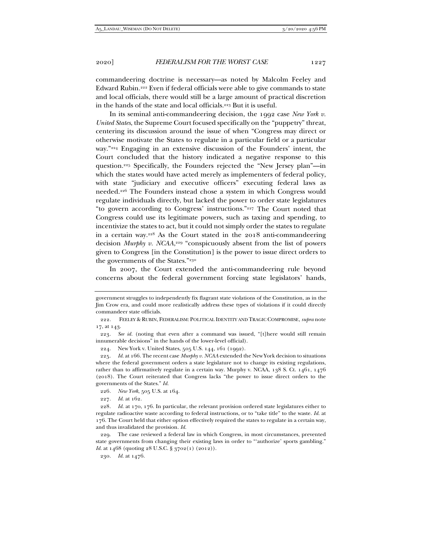commandeering doctrine is necessary—as noted by Malcolm Feeley and Edward Rubin.222 Even if federal officials were able to give commands to state and local officials, there would still be a large amount of practical discretion in the hands of the state and local officials.223 But it is useful.

In its seminal anti-commandeering decision, the 1992 case *New York v. United States*, the Supreme Court focused specifically on the "puppetry" threat, centering its discussion around the issue of when "Congress may direct or otherwise motivate the States to regulate in a particular field or a particular way."224 Engaging in an extensive discussion of the Founders' intent, the Court concluded that the history indicated a negative response to this question.225 Specifically, the Founders rejected the "New Jersey plan"—in which the states would have acted merely as implementers of federal policy, with state "judiciary and executive officers" executing federal laws as needed.226 The Founders instead chose a system in which Congress would regulate individuals directly, but lacked the power to order state legislatures "to govern according to Congress' instructions."227 The Court noted that Congress could use its legitimate powers, such as taxing and spending, to incentivize the states to act, but it could not simply order the states to regulate in a certain way.228 As the Court stated in the 2018 anti-commandeering decision *Murphy v. NCAA*, 229 "conspicuously absent from the list of powers given to Congress [in the Constitution] is the power to issue direct orders to the governments of the States."230

In 2007, the Court extended the anti-commandeering rule beyond concerns about the federal government forcing state legislators' hands,

227*. Id.* at 162.

government struggles to independently fix flagrant state violations of the Constitution, as in the Jim Crow era, and could more realistically address these types of violations if it could directly commandeer state officials.

 <sup>222.</sup> FEELEY & RUBIN, FEDERALISM: POLITICAL IDENTITY AND TRAGIC COMPROMISE, *supra* note 17, at 143.

<sup>223</sup>*. See id.* (noting that even after a command was issued, "[t]here would still remain innumerable decisions" in the hands of the lower-level official).

 <sup>224.</sup> New York v. United States, 505 U.S. 144, 161 (1992).

<sup>225</sup>*. Id.* at 166. The recent case *Murphy v. NCAA* extended the New York decision to situations where the federal government orders a state legislature not to change its existing regulations, rather than to affirmatively regulate in a certain way. Murphy v. NCAA, 138 S. Ct. 1461, 1476 (2018). The Court reiterated that Congress lacks "the power to issue direct orders to the governments of the States." *Id.*

<sup>226</sup>*. New York*, 505 U.S. at 164.

<sup>228</sup>*. Id.* at 170, 176. In particular, the relevant provision ordered state legislatures either to regulate radioactive waste according to federal instructions, or to "take title" to the waste. *Id.* at 176. The Court held that either option effectively required the states to regulate in a certain way, and thus invalidated the provision. *Id.*

 <sup>229.</sup> The case reviewed a federal law in which Congress, in most circumstances, prevented state governments from changing their existing laws in order to "'authorize' sports gambling." *Id.* at 1468 (quoting 28 U.S.C. § 3702(1) (2012)).

<sup>230</sup>*. Id.* at 1476.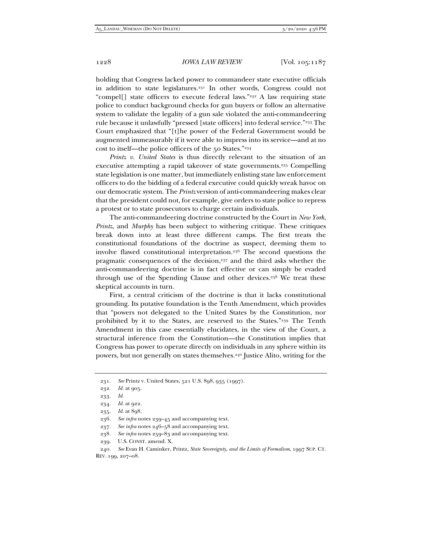holding that Congress lacked power to commandeer state executive officials in addition to state legislatures.231 In other words, Congress could not "compel[] state officers to execute federal laws."232 A law requiring state police to conduct background checks for gun buyers or follow an alternative system to validate the legality of a gun sale violated the anti-commandeering rule because it unlawfully "pressed [state officers] into federal service."233 The Court emphasized that "[t]he power of the Federal Government would be augmented immeasurably if it were able to impress into its service—and at no cost to itself—the police officers of the 50 States."234

*Printz v. United States* is thus directly relevant to the situation of an executive attempting a rapid takeover of state governments.235 Compelling state legislation is one matter, but immediately enlisting state law enforcement officers to do the bidding of a federal executive could quickly wreak havoc on our democratic system. The *Printz* version of anti-commandeering makes clear that the president could not, for example, give orders to state police to repress a protest or to state prosecutors to charge certain individuals.

The anti-commandeering doctrine constructed by the Court in *New York*, *Printz*, and *Murphy* has been subject to withering critique. These critiques break down into at least three different camps. The first treats the constitutional foundations of the doctrine as suspect, deeming them to involve flawed constitutional interpretation.236 The second questions the pragmatic consequences of the decision,237 and the third asks whether the anti-commandeering doctrine is in fact effective or can simply be evaded through use of the Spending Clause and other devices.238 We treat these skeptical accounts in turn.

First, a central criticism of the doctrine is that it lacks constitutional grounding. Its putative foundation is the Tenth Amendment, which provides that "powers not delegated to the United States by the Constitution, nor prohibited by it to the States, are reserved to the States."239 The Tenth Amendment in this case essentially elucidates, in the view of the Court, a structural inference from the Constitution—the Constitution implies that Congress has power to operate directly on individuals in any sphere within its powers, but not generally on states themselves.240 Justice Alito, writing for the

<sup>231</sup>*. See* Printz v. United States, 521 U.S. 898, 935 (1997).

<sup>232</sup>*. Id.* at 905.

<sup>233</sup>*. Id.*

<sup>234</sup>*. Id.* at 922.

<sup>235</sup>*. Id.* at 898.

<sup>236</sup>*. See infra* notes 239–45 and accompanying text.

<sup>237</sup>*. See infra* notes 246–58 and accompanying text.

<sup>238</sup>*. See infra* notes 259–83 and accompanying text.

 <sup>239.</sup> U.S. CONST. amend. X.

<sup>240</sup>*. See* Evan H. Caminker, Printz*, State Sovereignty, and the Limits of Formalism*, 1997 SUP. CT. REV. 199, 207–08.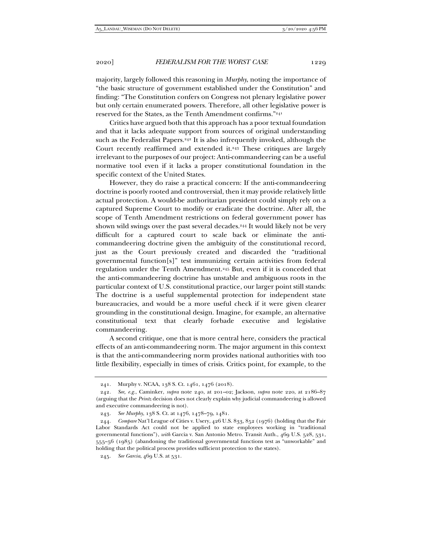majority, largely followed this reasoning in *Murphy*, noting the importance of "the basic structure of government established under the Constitution" and finding: "The Constitution confers on Congress not plenary legislative power but only certain enumerated powers. Therefore, all other legislative power is reserved for the States, as the Tenth Amendment confirms."241

Critics have argued both that this approach has a poor textual foundation and that it lacks adequate support from sources of original understanding such as the Federalist Papers.<sup>242</sup> It is also infrequently invoked, although the Court recently reaffirmed and extended it.<sup>243</sup> These critiques are largely irrelevant to the purposes of our project: Anti-commandeering can be a useful normative tool even if it lacks a proper constitutional foundation in the specific context of the United States.

However, they do raise a practical concern: If the anti-commandeering doctrine is poorly rooted and controversial, then it may provide relatively little actual protection. A would-be authoritarian president could simply rely on a captured Supreme Court to modify or eradicate the doctrine. After all, the scope of Tenth Amendment restrictions on federal government power has shown wild swings over the past several decades.<sup>244</sup> It would likely not be very difficult for a captured court to scale back or eliminate the anticommandeering doctrine given the ambiguity of the constitutional record, just as the Court previously created and discarded the "traditional governmental function[s]" test immunizing certain activities from federal regulation under the Tenth Amendment.<sup>245</sup> But, even if it is conceded that the anti-commandeering doctrine has unstable and ambiguous roots in the particular context of U.S. constitutional practice, our larger point still stands: The doctrine is a useful supplemental protection for independent state bureaucracies, and would be a more useful check if it were given clearer grounding in the constitutional design. Imagine, for example, an alternative constitutional text that clearly forbade executive and legislative commandeering.

A second critique, one that is more central here, considers the practical effects of an anti-commandeering norm. The major argument in this context is that the anti-commandeering norm provides national authorities with too little flexibility, especially in times of crisis. Critics point, for example, to the

 <sup>241.</sup> Murphy v. NCAA, 138 S. Ct. 1461, 1476 (2018).

<sup>242</sup>*. See, e.g.*, Caminker, *supra* note 240, at 201–02; Jackson, *supra* note 220, at 2186–87 (arguing that the *Printz* decision does not clearly explain why judicial commandeering is allowed and executive commandeering is not).

<sup>243</sup>*. See Murphy*, 138 S. Ct. at 1476, 1478–79, 1481.

<sup>244</sup>*. Compare* Nat'l League of Cities v. Usery, 426 U.S. 833, 852 (1976) (holding that the Fair Labor Standards Act could not be applied to state employees working in "traditional governmental functions"), *with* Garcia v. San Antonio Metro. Transit Auth., 469 U.S. 528, 531, 555–56 (1985) (abandoning the traditional governmental functions test as "unworkable" and holding that the political process provides sufficient protection to the states).

<sup>245</sup>*. See Garcia*, 469 U.S. at 531.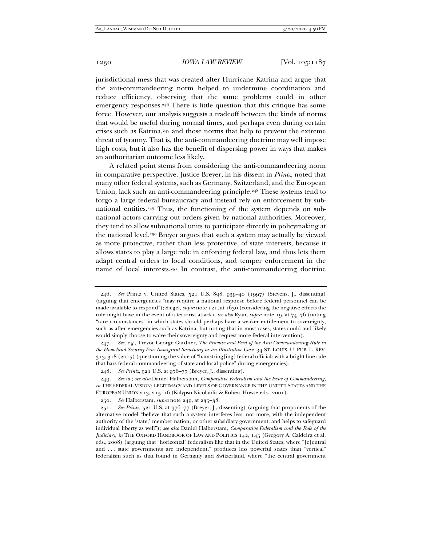jurisdictional mess that was created after Hurricane Katrina and argue that the anti-commandeering norm helped to undermine coordination and reduce efficiency, observing that the same problems could in other emergency responses.246 There is little question that this critique has some force. However, our analysis suggests a tradeoff between the kinds of norms that would be useful during normal times, and perhaps even during certain crises such as Katrina,247 and those norms that help to prevent the extreme threat of tyranny. That is, the anti-commandeering doctrine may well impose high costs, but it also has the benefit of dispersing power in ways that makes an authoritarian outcome less likely.

A related point stems from considering the anti-commandeering norm in comparative perspective. Justice Breyer, in his dissent in *Printz*, noted that many other federal systems, such as Germany, Switzerland, and the European Union, lack such an anti-commandeering principle.<sup>248</sup> These systems tend to forgo a large federal bureaucracy and instead rely on enforcement by subnational entities.249 Thus, the functioning of the system depends on subnational actors carrying out orders given by national authorities. Moreover, they tend to allow subnational units to participate directly in policymaking at the national level.250 Breyer argues that such a system may actually be viewed as more protective, rather than less protective, of state interests, because it allows states to play a large role in enforcing federal law, and thus lets them adapt central orders to local conditions, and temper enforcement in the name of local interests.251 In contrast, the anti-commandeering doctrine

<sup>246</sup>*. See* Printz v. United States, 521 U.S. 898, 939–40 (1997) (Stevens, J., dissenting) (arguing that emergencies "may require a national response before federal personnel can be made available to respond"); Siegel, *supra* note 121, at 1630 (considering the negative effects the rule might have in the event of a terrorist attack); *see also* Ryan, *supra* note 19, at 74–76 (noting "rare circumstances" in which states should perhaps have a weaker entitlement to sovereignty, such as after emergencies such as Katrina, but noting that in most cases, states could and likely would simply choose to waive their sovereignty and request more federal intervention).

<sup>247</sup>*. See, e.g.*, Trevor George Gardner, *The Promise and Peril of the Anti-Commandeering Rule in the Homeland Security Era: Immigrant Sanctuary as an Illustrative Case*, 34 ST. LOUIS. U. PUB. L. REV. 313, 318 (2015) (questioning the value of "hamstring[ing] federal officials with a bright-line rule that bars federal commandeering of state and local police" during emergencies).

<sup>248</sup>*. See Printz*, 521 U.S. at 976–77 (Breyer, J., dissenting).

<sup>249</sup>*. See id.*; *see also* Daniel Halberstam, *Comparative Federalism and the Issue of Commandeering*, *in* THE FEDERAL VISION: LEGITIMACY AND LEVELS OF GOVERNANCE IN THE UNITED STATES AND THE EUROPEAN UNION 213, 215–16 (Kalypso Nicolaidis & Robert Howse eds., 2001).

<sup>250</sup>*. See* Halberstam, *supra* note 249, at 235–38.

<sup>251</sup>*. See Printz*, 521 U.S. at 976–77 (Breyer, J., dissenting) (arguing that proponents of the alternative model "believe that such a system interferes less, not more, with the independent authority of the 'state,' member nation, or other subsidiary government, and helps to safeguard individual liberty as well"); *see also* Daniel Halberstam, *Comparative Federalism and the Role of the Judiciary*, *in* THE OXFORD HANDBOOK OF LAW AND POLITICS 142, 145 (Gregory A. Caldeira et al. eds., 2008) (arguing that "horizontal" federalism like that in the United States, where "[c]entral and . . . state governments are independent," produces less powerful states than "vertical" federalism such as that found in Germany and Switzerland, where "the central government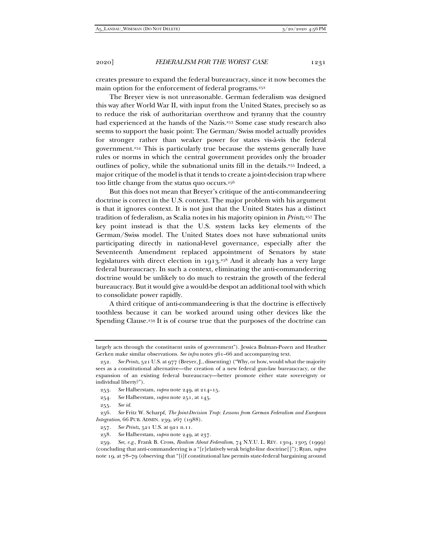creates pressure to expand the federal bureaucracy, since it now becomes the main option for the enforcement of federal programs.252

The Breyer view is not unreasonable. German federalism was designed this way after World War II, with input from the United States, precisely so as to reduce the risk of authoritarian overthrow and tyranny that the country had experienced at the hands of the Nazis.253 Some case study research also seems to support the basic point: The German/Swiss model actually provides for stronger rather than weaker power for states vis-à-vis the federal government.254 This is particularly true because the systems generally have rules or norms in which the central government provides only the broader outlines of policy, while the subnational units fill in the details.255 Indeed, a major critique of the model is that it tends to create a joint-decision trap where too little change from the status quo occurs.256

But this does not mean that Breyer's critique of the anti-commandeering doctrine is correct in the U.S. context. The major problem with his argument is that it ignores context. It is not just that the United States has a distinct tradition of federalism, as Scalia notes in his majority opinion in *Printz*.257 The key point instead is that the U.S. system lacks key elements of the German/Swiss model. The United States does not have subnational units participating directly in national-level governance, especially after the Seventeenth Amendment replaced appointment of Senators by state legislatures with direct election in 1913.258 And it already has a very large federal bureaucracy. In such a context, eliminating the anti-commandeering doctrine would be unlikely to do much to restrain the growth of the federal bureaucracy. But it would give a would-be despot an additional tool with which to consolidate power rapidly.

A third critique of anti-commandeering is that the doctrine is effectively toothless because it can be worked around using other devices like the Spending Clause.259 It is of course true that the purposes of the doctrine can

255*. See id.*

largely acts through the constituent units of government"). Jessica Bulman-Pozen and Heather Gerken make similar observations. See infra notes 361-66 and accompanying text.

<sup>252</sup>*. See Printz*, 521 U.S. at 977 (Breyer, J., dissenting) ("Why, or how, would what the majority sees as a constitutional alternative—the creation of a new federal gun-law bureaucracy, or the expansion of an existing federal bureaucracy—better promote either state sovereignty or individual liberty?").

<sup>253</sup>*. See* Halberstam, *supra* note 249, at 214–15.

<sup>254</sup>*. See* Halberstam, *supra* note 251, at 145.

<sup>256</sup>*. See* Fritz W. Scharpf, *The Joint-Decision Trap: Lessons from German Federalism and European Integration*, 66 PUB. ADMIN. 239, 267 (1988).

<sup>257</sup>*. See Printz*, 521 U.S. at 921 n.11.

<sup>258</sup>*. See* Halberstam, *supra* note 249, at 237.

<sup>259</sup>*. See, e.g.*, Frank B. Cross, *Realism About Federalism*, 74 N.Y.U. L. REV. 1304, 1305 (1999) (concluding that anti-commandeering is a "[r]elatively weak bright-line doctrine[]"); Ryan, *supra*  note 19, at 78–79 (observing that "[i]f constitutional law permits state-federal bargaining around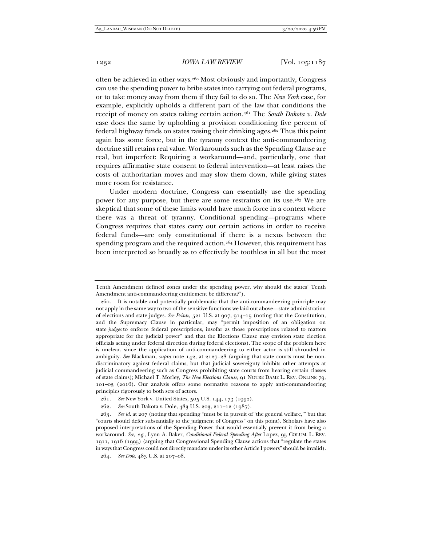often be achieved in other ways.260 Most obviously and importantly, Congress can use the spending power to bribe states into carrying out federal programs, or to take money away from them if they fail to do so. The *New York* case, for example, explicitly upholds a different part of the law that conditions the receipt of money on states taking certain action.261 The *South Dakota v. Dole* case does the same by upholding a provision conditioning five percent of federal highway funds on states raising their drinking ages.262 Thus this point again has some force, but in the tyranny context the anti-commandeering doctrine still retains real value. Workarounds such as the Spending Clause are real, but imperfect: Requiring a workaround—and, particularly, one that requires affirmative state consent to federal intervention—at least raises the costs of authoritarian moves and may slow them down, while giving states more room for resistance.

Under modern doctrine, Congress can essentially use the spending power for any purpose, but there are some restraints on its use.263 We are skeptical that some of these limits would have much force in a context where there was a threat of tyranny. Conditional spending—programs where Congress requires that states carry out certain actions in order to receive federal funds—are only constitutional if there is a nexus between the spending program and the required action.<sup>264</sup> However, this requirement has been interpreted so broadly as to effectively be toothless in all but the most

Tenth Amendment defined zones under the spending power, why should the states' Tenth Amendment anti-commandeering entitlement be different?").

 <sup>260.</sup> It is notable and potentially problematic that the anti-commandeering principle may not apply in the same way to two of the sensitive functions we laid out above—state administration of elections and state judges. *See Printz*, 521 U.S. at 907, 914–15 (noting that the Constitution, and the Supremacy Clause in particular, may "permit imposition of an obligation on state *judges* to enforce federal prescriptions, insofar as those prescriptions related to matters appropriate for the judicial power" and that the Elections Clause may envision state election officials acting under federal direction during federal elections). The scope of the problem here is unclear, since the application of anti-commandeering to either actor is still shrouded in ambiguity. *See* Blackman, *supra* note 142, at 2127–28 (arguing that state courts must be nondiscriminatory against federal claims, but that judicial sovereignty inhibits other attempts at judicial commandeering such as Congress prohibiting state courts from hearing certain classes of state claims); Michael T. Morley, *The New Elections Clause*, 91 NOTRE DAME L. REV. ONLINE 79, 101–03 (2016). Our analysis offers some normative reasons to apply anti-commandeering principles rigorously to both sets of actors.

<sup>261</sup>*. See* New York v. United States, 505 U.S. 144, 173 (1992).

<sup>262</sup>*. See* South Dakota v. Dole, 483 U.S. 203, 211–12 (1987).

<sup>263</sup>*. See id.* at 207 (noting that spending "must be in pursuit of 'the general welfare,'" but that "courts should defer substantially to the judgment of Congress" on this point). Scholars have also proposed interpretations of the Spending Power that would essentially prevent it from being a workaround. *See, e.g.*, Lynn A. Baker, *Conditional Federal Spending After* Lopez, 95 COLUM. L. REV. 1911, 1916 (1995) (arguing that Congressional Spending Clause actions that "regulate the states in ways that Congress could not directly mandate under its other Article I powers" should be invalid).

<sup>264</sup>*. See Dole*, 483 U.S. at 207–08.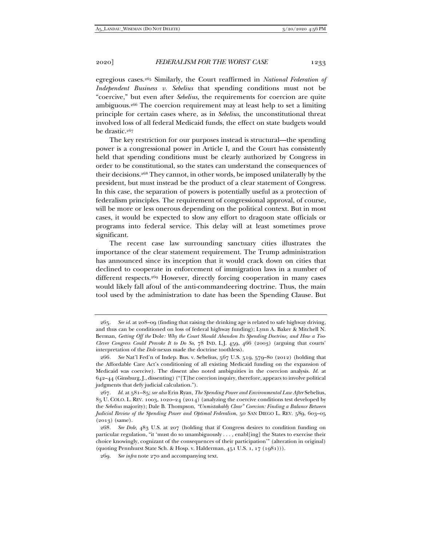egregious cases.265 Similarly, the Court reaffirmed in *National Federation of Independent Business v. Sebelius* that spending conditions must not be "coercive," but even after *Sebelius,* the requirements for coercion are quite ambiguous.266 The coercion requirement may at least help to set a limiting principle for certain cases where, as in *Sebelius*, the unconstitutional threat involved loss of all federal Medicaid funds, the effect on state budgets would be drastic.267

The key restriction for our purposes instead is structural—the spending power is a congressional power in Article I, and the Court has consistently held that spending conditions must be clearly authorized by Congress in order to be constitutional, so the states can understand the consequences of their decisions.268 They cannot, in other words, be imposed unilaterally by the president, but must instead be the product of a clear statement of Congress. In this case, the separation of powers is potentially useful as a protection of federalism principles. The requirement of congressional approval, of course, will be more or less onerous depending on the political context. But in most cases, it would be expected to slow any effort to dragoon state officials or programs into federal service. This delay will at least sometimes prove significant.

The recent case law surrounding sanctuary cities illustrates the importance of the clear statement requirement. The Trump administration has announced since its inception that it would crack down on cities that declined to cooperate in enforcement of immigration laws in a number of different respects.269 However, directly forcing cooperation in many cases would likely fall afoul of the anti-commandeering doctrine. Thus, the main tool used by the administration to date has been the Spending Clause. But

<sup>265</sup>*. See id.* at 208–09 (finding that raising the drinking age is related to safe highway driving, and thus can be conditioned on loss of federal highway funding); Lynn A. Baker & Mitchell N. Berman, *Getting Off the* Dole*: Why the Court Should Abandon Its Spending Doctrine, and How a Too-Clever Congress Could Provoke It to Do So*, 78 IND. L.J. 459, 466 (2003) (arguing that courts' interpretation of the *Dole* nexus made the doctrine toothless).

<sup>266</sup>*. See* Nat'l Fed'n of Indep. Bus. v. Sebelius, 567 U.S. 519, 579–80 (2012) (holding that the Affordable Care Act's conditioning of all existing Medicaid funding on the expansion of Medicaid was coercive). The dissent also noted ambiguities in the coercion analysis. *Id.* at  $642-44$  (Ginsburg, J., dissenting) ("[T]he coercion inquiry, therefore, appears to involve political judgments that defy judicial calculation.").

<sup>267</sup>*. Id.* at 581–85; *see also* Erin Ryan, *The Spending Power and Environmental Law After* Sebelius, 85 U. COLO. L. REV. 1003, 1020–24 (2014) (analyzing the coercive conditions test developed by the *Sebelius* majority); Dale B. Thompson, *"Unmistakably Clear" Coercion: Finding a Balance Between Judicial Review of the Spending Power and Optimal Federalism*, 50 SAN DIEGO L. REV. 589, 603-05 (2013) (same).

<sup>268</sup>*. See Dole*, 483 U.S. at 207 (holding that if Congress desires to condition funding on particular regulation, "it 'must do so unambiguously . . . , enabl[ing] the States to exercise their choice knowingly, cognizant of the consequences of their participation'" (alteration in original) (quoting Pennhurst State Sch. & Hosp. v. Halderman, 451 U.S. 1, 17 (1981))).

<sup>269</sup>*. See infra* note 270 and accompanying text.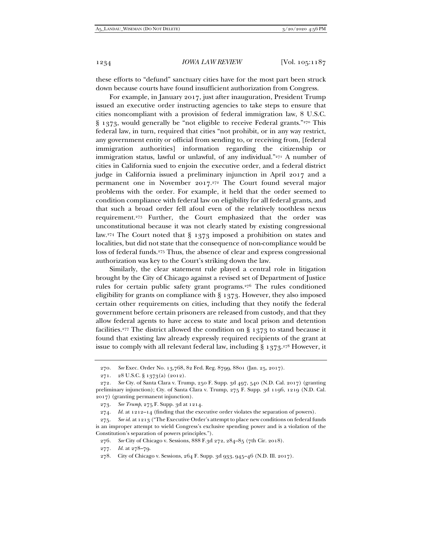these efforts to "defund" sanctuary cities have for the most part been struck down because courts have found insufficient authorization from Congress.

For example, in January 2017, just after inauguration, President Trump issued an executive order instructing agencies to take steps to ensure that cities noncompliant with a provision of federal immigration law, 8 U.S.C. § 1373, would generally be "not eligible to receive Federal grants."270 This federal law, in turn, required that cities "not prohibit, or in any way restrict, any government entity or official from sending to, or receiving from, [federal immigration authorities] information regarding the citizenship or immigration status, lawful or unlawful, of any individual."<sup>271</sup> A number of cities in California sued to enjoin the executive order, and a federal district judge in California issued a preliminary injunction in April 2017 and a permanent one in November 2017.272 The Court found several major problems with the order. For example, it held that the order seemed to condition compliance with federal law on eligibility for all federal grants, and that such a broad order fell afoul even of the relatively toothless nexus requirement.273 Further, the Court emphasized that the order was unconstitutional because it was not clearly stated by existing congressional law.274 The Court noted that § 1373 imposed a prohibition on states and localities, but did not state that the consequence of non-compliance would be loss of federal funds.<sup>275</sup> Thus, the absence of clear and express congressional authorization was key to the Court's striking down the law.

Similarly, the clear statement rule played a central role in litigation brought by the City of Chicago against a revised set of Department of Justice rules for certain public safety grant programs.276 The rules conditioned eligibility for grants on compliance with § 1373. However, they also imposed certain other requirements on cities, including that they notify the federal government before certain prisoners are released from custody, and that they allow federal agents to have access to state and local prison and detention facilities.<sup>277</sup> The district allowed the condition on  $\S$  1373 to stand because it found that existing law already expressly required recipients of the grant at issue to comply with all relevant federal law, including  $\S$  1373.<sup>278</sup> However, it

<sup>270</sup>*. See* Exec. Order No. 13,768, 82 Fed. Reg. 8799, 8801 (Jan. 25, 2017).

 <sup>271. 28</sup> U.S.C. § 1373(a) (2012).

<sup>272</sup>*. See* Cty. of Santa Clara v. Trump, 250 F. Supp. 3d 497, 540 (N.D. Cal. 2017) (granting preliminary injunction); Cty. of Santa Clara v. Trump, 275 F. Supp. 3d 1196, 1219 (N.D. Cal. 2017) (granting permanent injunction).

<sup>273</sup>*. See Trump*, 275 F. Supp. 3d at 1214.

<sup>274</sup>*. Id.* at 1212–14 (finding that the executive order violates the separation of powers).

<sup>275</sup>*. See id.* at 1213 ("The Executive Order's attempt to place new conditions on federal funds is an improper attempt to wield Congress's exclusive spending power and is a violation of the Constitution's separation of powers principles.").

<sup>276</sup>*. See* City of Chicago v. Sessions, 888 F.3d 272, 284–85 (7th Cir. 2018).

<sup>277</sup>*. Id.* at 278–79.

 <sup>278.</sup> City of Chicago v. Sessions, 264 F. Supp. 3d 933, 945–46 (N.D. Ill. 2017).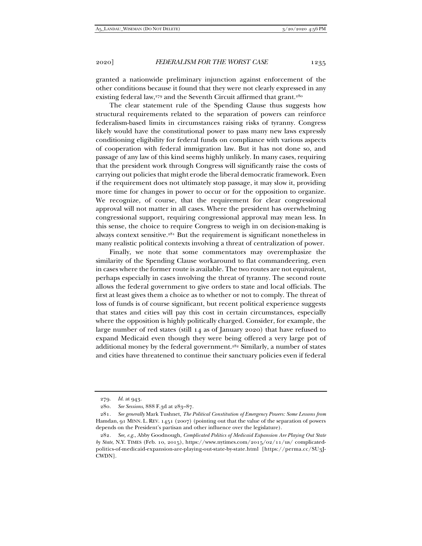granted a nationwide preliminary injunction against enforcement of the other conditions because it found that they were not clearly expressed in any existing federal law,<sup>279</sup> and the Seventh Circuit affirmed that grant.<sup>280</sup>

The clear statement rule of the Spending Clause thus suggests how structural requirements related to the separation of powers can reinforce federalism-based limits in circumstances raising risks of tyranny. Congress likely would have the constitutional power to pass many new laws expressly conditioning eligibility for federal funds on compliance with various aspects of cooperation with federal immigration law. But it has not done so, and passage of any law of this kind seems highly unlikely. In many cases, requiring that the president work through Congress will significantly raise the costs of carrying out policies that might erode the liberal democratic framework. Even if the requirement does not ultimately stop passage, it may slow it, providing more time for changes in power to occur or for the opposition to organize. We recognize, of course, that the requirement for clear congressional approval will not matter in all cases. Where the president has overwhelming congressional support, requiring congressional approval may mean less. In this sense, the choice to require Congress to weigh in on decision-making is always context sensitive.281 But the requirement is significant nonetheless in many realistic political contexts involving a threat of centralization of power.

Finally, we note that some commentators may overemphasize the similarity of the Spending Clause workaround to flat commandeering, even in cases where the former route is available. The two routes are not equivalent, perhaps especially in cases involving the threat of tyranny. The second route allows the federal government to give orders to state and local officials. The first at least gives them a choice as to whether or not to comply. The threat of loss of funds is of course significant, but recent political experience suggests that states and cities will pay this cost in certain circumstances, especially where the opposition is highly politically charged. Consider, for example, the large number of red states (still 14 as of January 2020) that have refused to expand Medicaid even though they were being offered a very large pot of additional money by the federal government.<sup>282</sup> Similarly, a number of states and cities have threatened to continue their sanctuary policies even if federal

<sup>279</sup>*. Id.* at 943.

<sup>280</sup>*. See Sessions*, 888 F.3d at 283–87.

<sup>281</sup>*. See generally* Mark Tushnet, *The Political Constitution of Emergency Powers: Some Lessons from*  Hamdan, 91 MINN. L. REV. 1451 (2007) (pointing out that the value of the separation of powers depends on the President's partisan and other influence over the legislature).

<sup>282</sup>*. See, e.g.*, Abby Goodnough, *Complicated Politics of Medicaid Expansion Are Playing Out State by State*, N.Y. TIMES (Feb. 10, 2015), https://www.nytimes.com/2015/02/11/us/ complicatedpolitics-of-medicaid-expansion-are-playing-out-state-by-state.html [https://perma.cc/SU3J-CWDN].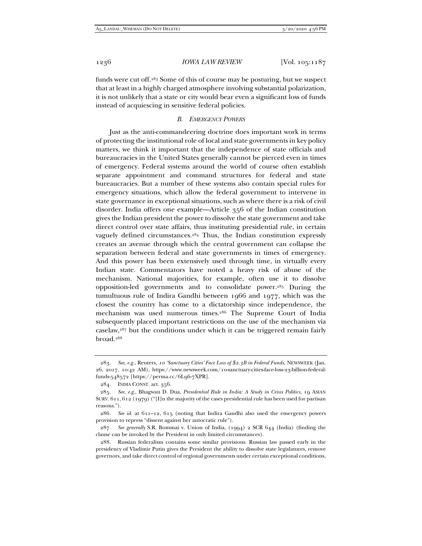funds were cut off.283 Some of this of course may be posturing, but we suspect that at least in a highly charged atmosphere involving substantial polarization, it is not unlikely that a state or city would bear even a significant loss of funds instead of acquiescing in sensitive federal policies.

## *B. EMERGENCY POWERS*

Just as the anti-commandeering doctrine does important work in terms of protecting the institutional role of local and state governments in key policy matters, we think it important that the independence of state officials and bureaucracies in the United States generally cannot be pierced even in times of emergency. Federal systems around the world of course often establish separate appointment and command structures for federal and state bureaucracies. But a number of these systems also contain special rules for emergency situations, which allow the federal government to intervene in state governance in exceptional situations, such as where there is a risk of civil disorder. India offers one example—Article 356 of the Indian constitution gives the Indian president the power to dissolve the state government and take direct control over state affairs, thus instituting presidential rule, in certain vaguely defined circumstances.<sup>284</sup> Thus, the Indian constitution expressly creates an avenue through which the central government can collapse the separation between federal and state governments in times of emergency. And this power has been extensively used through time, in virtually every Indian state. Commentators have noted a heavy risk of abuse of the mechanism. National majorities, for example, often use it to dissolve opposition-led governments and to consolidate power.285 During the tumultuous rule of Indira Gandhi between 1966 and 1977, which was the closest the country has come to a dictatorship since independence, the mechanism was used numerous times.286 The Supreme Court of India subsequently placed important restrictions on the use of the mechanism via caselaw,287 but the conditions under which it can be triggered remain fairly broad.288

<sup>283</sup>*. See, e.g.*, Reuters, *10 'Sanctuary Cities' Face Loss of \$2.3B in Federal Funds*, NEWSWEEK (Jan. 26, 2017, 10:42 AM), https://www.newsweek.com/10-sanctuary-cities-face-loss-23-billion-federalfunds-548572 [https://perma.cc/6L96-7XPR].

 <sup>284.</sup> INDIA CONST. art. 356.

<sup>285</sup>*. See, e.g.*, Bhagwan D. Dua, *Presidential Rule in India: A Study in Crisis Politics*, 19 ASIAN SURV. 611, 612 (1979) ("[I]n the majority of the cases presidential rule has been used for partisan reasons.").

<sup>286</sup>*. See id.* at 611–12, 615 (noting that Indira Gandhi also used the emergency powers provision to repress "dissent against her autocratic rule").

<sup>287</sup>*. See generally* S.R. Bommai v. Union of India, (1994) 2 SCR 644 (India) (finding the clause can be invoked by the President in only limited circumstances).

 <sup>288.</sup> Russian federalism contains some similar provisions. Russian law passed early in the presidency of Vladimir Putin gives the President the ability to dissolve state legislatures, remove governors, and take direct control of regional governments under certain exceptional conditions,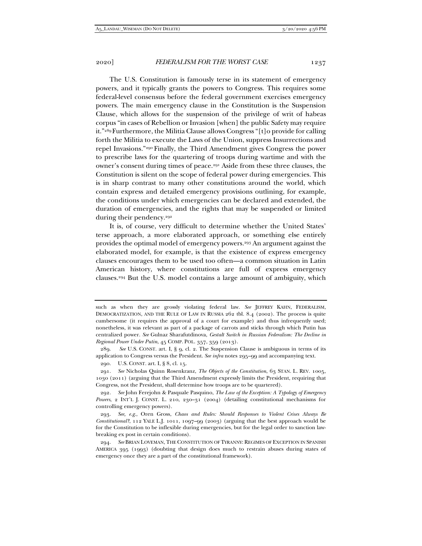The U.S. Constitution is famously terse in its statement of emergency powers, and it typically grants the powers to Congress. This requires some federal-level consensus before the federal government exercises emergency powers. The main emergency clause in the Constitution is the Suspension Clause, which allows for the suspension of the privilege of writ of habeas corpus "in cases of Rebellion or Invasion [when] the public Safety may require it."289 Furthermore, the Militia Clause allows Congress "[t]o provide for calling forth the Militia to execute the Laws of the Union, suppress Insurrections and repel Invasions."290 Finally, the Third Amendment gives Congress the power to prescribe laws for the quartering of troops during wartime and with the owner's consent during times of peace.291 Aside from these three clauses, the Constitution is silent on the scope of federal power during emergencies. This is in sharp contrast to many other constitutions around the world, which contain express and detailed emergency provisions outlining, for example, the conditions under which emergencies can be declared and extended, the duration of emergencies, and the rights that may be suspended or limited during their pendency.<sup>292</sup>

It is, of course, very difficult to determine whether the United States' terse approach, a more elaborated approach, or something else entirely provides the optimal model of emergency powers.293 An argument against the elaborated model, for example, is that the existence of express emergency clauses encourages them to be used too often—a common situation in Latin American history, where constitutions are full of express emergency clauses.294 But the U.S. model contains a large amount of ambiguity, which

such as when they are grossly violating federal law. *See* JEFFREY KAHN, FEDERALISM, DEMOCRATIZATION, AND THE RULE OF LAW IN RUSSIA 262 tbl. 8.4 (2002). The process is quite cumbersome (it requires the approval of a court for example) and thus infrequently used; nonetheless, it was relevant as part of a package of carrots and sticks through which Putin has centralized power. *See* Gulnaz Sharafutdinova, *Gestalt Switch in Russian Federalism: The Decline in Regional Power Under Putin*, 45 COMP. POL. 357, 359 (2013).

 <sup>289.</sup> *See* U.S. CONST. art. I, § 9, cl. 2. The Suspension Clause is ambiguous in terms of its application to Congress versus the President. *See infra* notes 295–99 and accompanying text.

 <sup>290.</sup> U.S. CONST. art. I, § 8, cl. 15.

 <sup>291.</sup> *See* Nicholas Quinn Rosenkranz, *The Objects of the Constitution*, 63 STAN. L. REV. 1005, 1030 (2011) (arguing that the Third Amendment expressly limits the President, requiring that Congress, not the President, shall determine how troops are to be quartered).

 <sup>292.</sup> *See* John Ferejohn & Pasquale Pasquino, *The Law of the Exception: A Typology of Emergency Powers*, 2 INT'L J. CONST. L. 210, 230–31 (2004) (detailing constitutional mechanisms for controlling emergency powers).

 <sup>293.</sup> *See, e.g*., Oren Gross, *Chaos and Rules: Should Responses to Violent Crises Always Be Constitutional?*, 112 YALE L.J. 1011, 1097–99 (2003) (arguing that the best approach would be for the Constitution to be inflexible during emergencies, but for the legal order to sanction lawbreaking ex post in certain conditions).

 <sup>294.</sup> *See* BRIAN LOVEMAN, THE CONSTITUTION OF TYRANNY: REGIMES OF EXCEPTION IN SPANISH AMERICA 395 (1993) (doubting that design does much to restrain abuses during states of emergency once they are a part of the constitutional framework).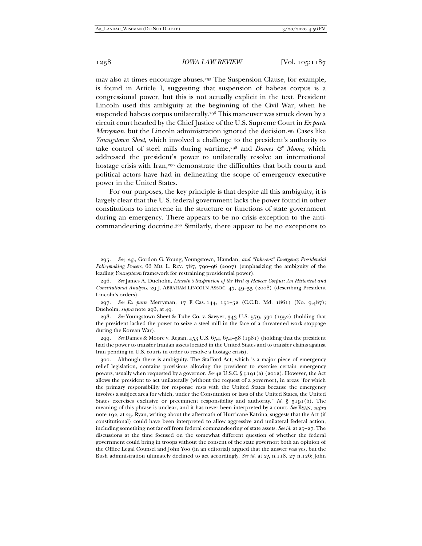may also at times encourage abuses.295 The Suspension Clause, for example, is found in Article I, suggesting that suspension of habeas corpus is a congressional power, but this is not actually explicit in the text. President Lincoln used this ambiguity at the beginning of the Civil War, when he suspended habeas corpus unilaterally.<sup>296</sup> This maneuver was struck down by a circuit court headed by the Chief Justice of the U.S. Supreme Court in *Ex parte Merryman*, but the Lincoln administration ignored the decision.<sup>297</sup> Cases like *Youngstown Sheet*, which involved a challenge to the president's authority to take control of steel mills during wartime,<sup>298</sup> and *Dames & Moore*, which addressed the president's power to unilaterally resolve an international hostage crisis with Iran,<sup>299</sup> demonstrate the difficulties that both courts and political actors have had in delineating the scope of emergency executive power in the United States.

For our purposes, the key principle is that despite all this ambiguity, it is largely clear that the U.S. federal government lacks the power found in other constitutions to intervene in the structure or functions of state government during an emergency. There appears to be no crisis exception to the anticommandeering doctrine.300 Similarly, there appear to be no exceptions to

297*. See Ex parte* Merryman, 17 F. Cas. 144, 151–52 (C.C.D. Md. 1861) (No. 9,487); Dueholm, *supra* note 296, at 49.

298*. See* Youngstown Sheet & Tube Co. v. Sawyer, 343 U.S. 579, 590 (1952) (holding that the president lacked the power to seize a steel mill in the face of a threatened work stoppage during the Korean War).

299*. See* Dames & Moore v. Regan, 453 U.S. 654, 654–58 (1981) (holding that the president had the power to transfer Iranian assets located in the United States and to transfer claims against Iran pending in U.S. courts in order to resolve a hostage crisis).

 300. Although there is ambiguity. The Stafford Act, which is a major piece of emergency relief legislation, contains provisions allowing the president to exercise certain emergency powers, usually when requested by a governor. *See* 42 U.S.C. § 5191(a) (2012). However, the Act allows the president to act unilaterally (without the request of a governor), in areas "for which the primary responsibility for response rests with the United States because the emergency involves a subject area for which, under the Constitution or laws of the United States, the United States exercises exclusive or preeminent responsibility and authority." *Id.* § 5191(b). The meaning of this phrase is unclear, and it has never been interpreted by a court. *See* RYAN, *supra* note 192, at 25. Ryan, writing about the aftermath of Hurricane Katrina, suggests that the Act (if constitutional) could have been interpreted to allow aggressive and unilateral federal action, including something not far off from federal commandeering of state assets. *See id.* at 25–27. The discussions at the time focused on the somewhat different question of whether the federal government could bring in troops without the consent of the state governor; both an opinion of the Office Legal Counsel and John Yoo (in an editorial) argued that the answer was yes, but the Bush administration ultimately declined to act accordingly. *See id.* at 25 n.118, 27 n.126; John

<sup>295</sup>*. See, e.g.*, Gordon G. Young, Youngstown*,* Hamdan*, and "Inherent" Emergency Presidential Policymaking Powers*, 66 MD. L. REV. 787, 790–96 (2007) (emphasizing the ambiguity of the leading *Youngstown* framework for restraining presidential power).

 <sup>296.</sup> *See* James A. Dueholm, *Lincoln's Suspension of the Writ of Habeas Corpus: An Historical and Constitutional Analysis*, 29 J. ABRAHAM LINCOLN ASSOC. 47, 49–55 (2008) (describing President Lincoln's orders).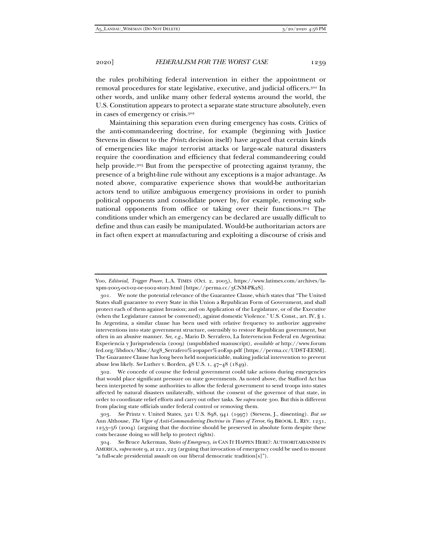the rules prohibiting federal intervention in either the appointment or removal procedures for state legislative, executive, and judicial officers.301 In other words, and unlike many other federal systems around the world, the U.S. Constitution appears to protect a separate state structure absolutely, even in cases of emergency or crisis.302

Maintaining this separation even during emergency has costs. Critics of the anti-commandeering doctrine, for example (beginning with Justice Stevens in dissent to the *Printz* decision itself) have argued that certain kinds of emergencies like major terrorist attacks or large-scale natural disasters require the coordination and efficiency that federal commandeering could help provide.303 But from the perspective of protecting against tyranny, the presence of a bright-line rule without any exceptions is a major advantage. As noted above, comparative experience shows that would-be authoritarian actors tend to utilize ambiguous emergency provisions in order to punish political opponents and consolidate power by, for example, removing subnational opponents from office or taking over their functions.304 The conditions under which an emergency can be declared are usually difficult to define and thus can easily be manipulated. Would-be authoritarian actors are in fact often expert at manufacturing and exploiting a discourse of crisis and

Yoo, *Editorial, Trigger Power*, L.A. TIMES (Oct. 2, 2005), https://www.latimes.com/archives/laxpm-2005-oct-02-oe-yoo2-story.html [https://perma.cc/3CNM-PK2S].

 <sup>301.</sup> We note the potential relevance of the Guarantee Clause, which states that "The United States shall guarantee to every State in this Union a Republican Form of Government, and shall protect each of them against Invasion; and on Application of the Legislature, or of the Executive (when the Legislature cannot be convened), against domestic Violence." U.S. Const., art. IV, § 1. In Argentina, a similar clause has been used with relative frequency to authorize aggressive interventions into state government structure, ostensibly to restore Republican government, but often in an abusive manner. *See, e.g.*, Mario D. Serrafero, La Intervencion Federal en Argentina: Experiencia y Jurisprudencia (2009) (unpublished manuscript), *available at* http://www.forum fed.org/libdocs/Misc/Arg8\_Serrafero%20paper%20Esp.pdf [https://perma.cc/UD8T-EESM]. The Guarantee Clause has long been held nonjusticiable, making judicial intervention to prevent abuse less likely. *See* Luther v. Borden, 48 U.S. 1, 47–48 (1849).

 <sup>302.</sup> We concede of course the federal government could take actions during emergencies that would place significant pressure on state governments. As noted above, the Stafford Act has been interpreted by some authorities to allow the federal government to send troops into states affected by natural disasters unilaterally, without the consent of the governor of that state, in order to coordinate relief efforts and carry out other tasks. *See supra* note 300. But this is different from placing state officials under federal control or removing them.

<sup>303</sup>*. See* Printz v. United States, 521 U.S. 898, 941 (1997) (Stevens, J., dissenting). *But see* Ann Althouse, *The Vigor of Anti-Commandeering Doctrine in Times of Terror*, 69 BROOK. L. REV. 1231, 1253–56 (2004) (arguing that the doctrine should be preserved in absolute form despite these costs because doing so will help to protect rights).

<sup>304</sup>*. See* Bruce Ackerman, *States of Emergency*, *in* CAN IT HAPPEN HERE?: AUTHORITARIANISM IN AMERICA,*supra* note 9, at 221, 223 (arguing that invocation of emergency could be used to mount "a full-scale presidential assault on our liberal democratic tradition[s]").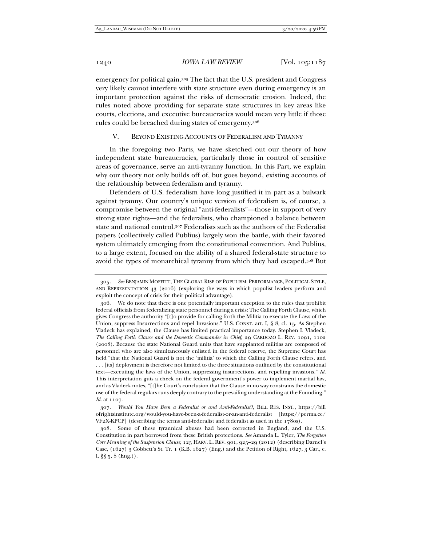emergency for political gain.305 The fact that the U.S. president and Congress very likely cannot interfere with state structure even during emergency is an important protection against the risks of democratic erosion. Indeed, the rules noted above providing for separate state structures in key areas like courts, elections, and executive bureaucracies would mean very little if those rules could be breached during states of emergency.306

## V. BEYOND EXISTING ACCOUNTS OF FEDERALISM AND TYRANNY

In the foregoing two Parts, we have sketched out our theory of how independent state bureaucracies, particularly those in control of sensitive areas of governance, serve an anti-tyranny function. In this Part, we explain why our theory not only builds off of, but goes beyond, existing accounts of the relationship between federalism and tyranny.

Defenders of U.S. federalism have long justified it in part as a bulwark against tyranny. Our country's unique version of federalism is, of course, a compromise between the original "anti-federalists"—those in support of very strong state rights—and the federalists, who championed a balance between state and national control.307 Federalists such as the authors of the Federalist papers (collectively called Publius) largely won the battle, with their favored system ultimately emerging from the constitutional convention. And Publius, to a large extent, focused on the ability of a shared federal-state structure to avoid the types of monarchical tyranny from which they had escaped.308 But

<sup>305</sup>*. See* BENJAMIN MOFFITT, THE GLOBAL RISE OF POPULISM: PERFORMANCE, POLITICAL STYLE, AND REPRESENTATION 43 (2016) (exploring the ways in which populist leaders perform and exploit the concept of crisis for their political advantage).

 <sup>306.</sup> We do note that there is one potentially important exception to the rules that prohibit federal officials from federalizing state personnel during a crisis: The Calling Forth Clause, which gives Congress the authority "[t]o provide for calling forth the Militia to execute the Laws of the Union, suppress Insurrections and repel Invasions." U.S. CONST. art. I, § 8, cl. 15. As Stephen Vladeck has explained, the Clause has limited practical importance today. Stephen I. Vladeck, *The Calling Forth Clause and the Domestic Commander in Chief*, 29 CARDOZO L. REV. 1091, 1102 (2008). Because the state National Guard units that have supplanted militias are composed of personnel who are also simultaneously enlisted in the federal reserve, the Supreme Court has held "that the National Guard is not the 'militia' to which the Calling Forth Clause refers, and . . . [its] deployment is therefore not limited to the three situations outlined by the constitutional text—executing the laws of the Union, suppressing insurrections, and repelling invasions." *Id.* This interpretation guts a check on the federal government's power to implement martial law, and as Vladeck notes, "[t]he Court's conclusion that the Clause in no way constrains the domestic use of the federal regulars runs deeply contrary to the prevailing understanding at the Founding." *Id.* at 1107.

<sup>307</sup>*. Would You Have Been a Federalist or and Anti-Federalist?*, BILL RTS. INST., https://bill ofrightsinstitute.org/would-you-have-been-a-federalist-or-an-anti-federalist [https://perma.cc/ VF2X-KPCP] (describing the terms anti-federalist and federalist as used in the 1780s).

 <sup>308.</sup> Some of these tyrannical abuses had been corrected in England, and the U.S. Constitution in part borrowed from these British protections. *See* Amanda L. Tyler, *The Forgotten Core Meaning of the Suspension Clause*, 125 HARV. L. REV. 901, 925–29 (2012) (describing Darnel's Case,  $(1627)$  3 Cobbett's St. Tr. 1 (K.B. 1627) (Eng.) and the Petition of Right, 1627, 3 Car., c. I, §§ 5, 8 (Eng.)).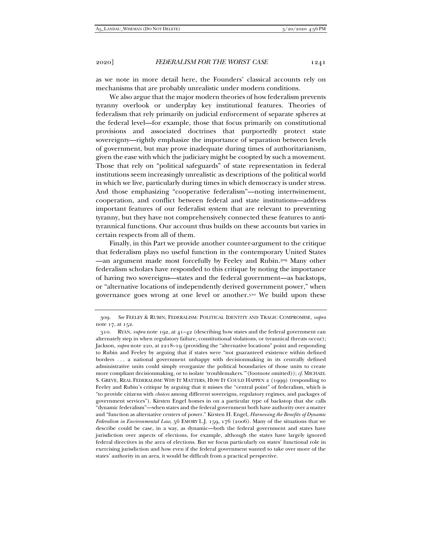as we note in more detail here, the Founders' classical accounts rely on mechanisms that are probably unrealistic under modern conditions.

We also argue that the major modern theories of how federalism prevents tyranny overlook or underplay key institutional features. Theories of federalism that rely primarily on judicial enforcement of separate spheres at the federal level—for example, those that focus primarily on constitutional provisions and associated doctrines that purportedly protect state sovereignty—rightly emphasize the importance of separation between levels of government, but may prove inadequate during times of authoritarianism, given the ease with which the judiciary might be coopted by such a movement. Those that rely on "political safeguards" of state representation in federal institutions seem increasingly unrealistic as descriptions of the political world in which we live, particularly during times in which democracy is under stress. And those emphasizing "cooperative federalism"—noting intertwinement, cooperation, and conflict between federal and state institutions—address important features of our federalist system that are relevant to preventing tyranny, but they have not comprehensively connected these features to antityrannical functions. Our account thus builds on these accounts but varies in certain respects from all of them.

Finally, in this Part we provide another counter-argument to the critique that federalism plays no useful function in the contemporary United States —an argument made most forcefully by Feeley and Rubin.309 Many other federalism scholars have responded to this critique by noting the importance of having two sovereigns—states and the federal government—as backstops, or "alternative locations of independently derived government power," when governance goes wrong at one level or another.310 We build upon these

<sup>309</sup>*. See* FEELEY & RUBIN, FEDERALISM: POLITICAL IDENTITY AND TRAGIC COMPROMISE, *supra* note 17, at 152.

 <sup>310.</sup> RYAN, *supra* note 192, at 41–42 (describing how states and the federal government can alternately step in when regulatory failure, constitutional violations, or tyrannical threats occur); Jackson, *supra* note 220, at 2218–19 (providing the "alternative locations" point and responding to Rubin and Feeley by arguing that if states were "not guaranteed existence within defined borders . . . a national government unhappy with decisionmaking in its centrally defined administrative units could simply reorganize the political boundaries of those units to create more compliant decisionmaking, or to isolate 'troublemakers.'"(footnote omitted)); *cf.* MICHAEL S. GREVE, REAL FEDERALISM: WHY IT MATTERS, HOW IT COULD HAPPEN 2 (1999) (responding to Feeley and Rubin's critique by arguing that it misses the "central point" of federalism, which is "to provide citizens with *choices* among different sovereigns, regulatory regimes, and packages of government services"). Kirsten Engel homes in on a particular type of backstop that she calls "dynamic federalism"—when states and the federal government both have authority over a matter and "function as alternative centers of power." Kirsten H. Engel, *Harnessing the Benefits of Dynamic Federalism in Environmental Law*, 56 EMORY L.J. 159, 176 (2006). Many of the situations that we describe could be case, in a way, as dynamic—both the federal government and states have jurisdiction over aspects of elections, for example, although the states have largely ignored federal directives in the area of elections. But we focus particularly on states' functional role in exercising jurisdiction and how even if the federal government wanted to take over more of the states' authority in an area, it would be difficult from a practical perspective.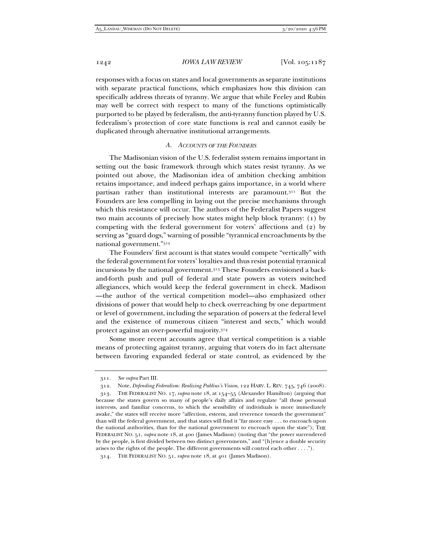responses with a focus on states and local governments as separate institutions with separate practical functions, which emphasizes how this division can specifically address threats of tyranny. We argue that while Feeley and Rubin may well be correct with respect to many of the functions optimistically purported to be played by federalism, the anti-tyranny function played by U.S. federalism's protection of core state functions is real and cannot easily be duplicated through alternative institutional arrangements.

#### *A. ACCOUNTS OF THE FOUNDERS*

The Madisonian vision of the U.S. federalist system remains important in setting out the basic framework through which states resist tyranny. As we pointed out above, the Madisonian idea of ambition checking ambition retains importance, and indeed perhaps gains importance, in a world where partisan rather than institutional interests are paramount.311 But the Founders are less compelling in laying out the precise mechanisms through which this resistance will occur. The authors of the Federalist Papers suggest two main accounts of precisely how states might help block tyranny: (1) by competing with the federal government for voters' affections and (2) by serving as "guard dogs," warning of possible "tyrannical encroachments by the national government."312

The Founders' first account is that states would compete "vertically" with the federal government for voters' loyalties and thus resist potential tyrannical incursions by the national government.313 These Founders envisioned a backand-forth push and pull of federal and state powers as voters switched allegiances, which would keep the federal government in check. Madison —the author of the vertical competition model—also emphasized other divisions of power that would help to check overreaching by one department or level of government, including the separation of powers at the federal level and the existence of numerous citizen "interest and sects," which would protect against an over-powerful majority.314

Some more recent accounts agree that vertical competition is a viable means of protecting against tyranny, arguing that voters do in fact alternate between favoring expanded federal or state control, as evidenced by the

<sup>311</sup>*. See supra* Part III.

 <sup>312.</sup> Note, *Defending Federalism: Realizing Publius's Vision*, 122 HARV. L. REV. 745, 746 (2008).

 <sup>313.</sup> THE FEDERALIST NO. 17, *supra* note 18, at 154–55 (Alexander Hamilton) (arguing that because the states govern so many of people's daily affairs and regulate "all those personal interests, and familiar concerns, to which the sensibility of individuals is more immediately awake," the states will receive more "affection, esteem, and reverence towards the government" than will the federal government, and that states will find it "far more easy . . . to encroach upon the national authorities, than for the national government to encroach upon the state"); THE FEDERALIST NO. 51, *supra* note 18, at 400 (James Madison) (noting that "the power surrendered by the people, is first divided between two distinct governments," and "[h]ence a double security arises to the rights of the people. The different governments will control each other . . . .").

 <sup>314.</sup> THE FEDERALIST NO. 51, *supra* note 18, at 401 (James Madison).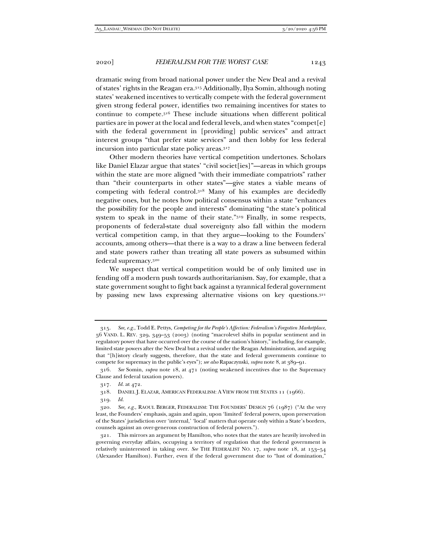dramatic swing from broad national power under the New Deal and a revival of states' rights in the Reagan era.315 Additionally, Ilya Somin, although noting states' weakened incentives to vertically compete with the federal government given strong federal power, identifies two remaining incentives for states to continue to compete.316 These include situations when different political parties are in power at the local and federal levels, and when states "compet[e] with the federal government in [providing] public services" and attract interest groups "that prefer state services" and then lobby for less federal incursion into particular state policy areas.317

Other modern theories have vertical competition undertones. Scholars like Daniel Elazar argue that states' "civil societ[ies]"—areas in which groups within the state are more aligned "with their immediate compatriots" rather than "their counterparts in other states"—give states a viable means of competing with federal control.318 Many of his examples are decidedly negative ones, but he notes how political consensus within a state "enhances the possibility for the people and interests" dominating "the state's political system to speak in the name of their state."319 Finally, in some respects, proponents of federal-state dual sovereignty also fall within the modern vertical competition camp, in that they argue—looking to the Founders' accounts, among others—that there is a way to a draw a line between federal and state powers rather than treating all state powers as subsumed within federal supremacy.320

We suspect that vertical competition would be of only limited use in fending off a modern push towards authoritarianism. Say, for example, that a state government sought to fight back against a tyrannical federal government by passing new laws expressing alternative visions on key questions.321

<sup>315</sup>*. See, e.g.*, Todd E. Pettys, *Competing for the People's Affection: Federalism's Forgotten Marketplace*, 56 VAND. L. REV. 329, 349–53 (2003) (noting "macrolevel shifts in popular sentiment and in regulatory power that have occurred over the course of the nation's history," including, for example, limited state powers after the New Deal but a revival under the Reagan Administration, and arguing that "[h]istory clearly suggests, therefore, that the state and federal governments continue to compete for supremacy in the public's eyes"); *see also* Rapaczynski, *supra* note 8, at 389–91.

<sup>316</sup>*. See* Somin, *supra* note 18, at 471 (noting weakened incentives due to the Supremacy Clause and federal taxation powers).

<sup>317</sup>*. Id.* at 472.

 <sup>318.</sup> DANIEL J. ELAZAR, AMERICAN FEDERALISM: A VIEW FROM THE STATES 11 (1966).

<sup>319</sup>*. Id.*

<sup>320</sup>*. See, e.g.*, RAOUL BERGER, FEDERALISM: THE FOUNDERS' DESIGN 76 (1987) ("At the very least, the Founders' emphasis, again and again, upon 'limited' federal powers, upon preservation of the States' jurisdiction over 'internal,' 'local' matters that operate only within a State's borders, counsels against an over-generous construction of federal powers.").

 <sup>321.</sup> This mirrors an argument by Hamilton, who notes that the states are heavily involved in governing everyday affairs, occupying a territory of regulation that the federal government is relatively uninterested in taking over. *See* THE FEDERALIST NO. 17, *supra* note 18, at 153–54 (Alexander Hamilton). Further, even if the federal government due to "lust of domination,"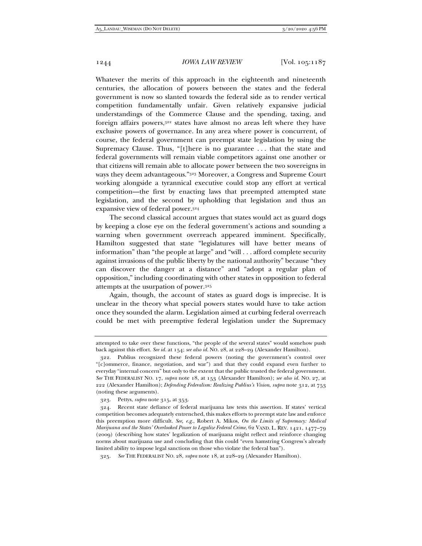Whatever the merits of this approach in the eighteenth and nineteenth centuries, the allocation of powers between the states and the federal government is now so slanted towards the federal side as to render vertical competition fundamentally unfair. Given relatively expansive judicial understandings of the Commerce Clause and the spending, taxing, and foreign affairs powers,322 states have almost no areas left where they have exclusive powers of governance. In any area where power is concurrent, of course, the federal government can preempt state legislation by using the Supremacy Clause. Thus, "[t]here is no guarantee . . . that the state and federal governments will remain viable competitors against one another or that citizens will remain able to allocate power between the two sovereigns in ways they deem advantageous."323 Moreover, a Congress and Supreme Court working alongside a tyrannical executive could stop any effort at vertical competition—the first by enacting laws that preempted attempted state legislation, and the second by upholding that legislation and thus an expansive view of federal power.324

The second classical account argues that states would act as guard dogs by keeping a close eye on the federal government's actions and sounding a warning when government overreach appeared imminent. Specifically, Hamilton suggested that state "legislatures will have better means of information" than "the people at large" and "will . . . afford complete security against invasions of the public liberty by the national authority" because "they can discover the danger at a distance" and "adopt a regular plan of opposition," including coordinating with other states in opposition to federal attempts at the usurpation of power.325

Again, though, the account of states as guard dogs is imprecise. It is unclear in the theory what special powers states would have to take action once they sounded the alarm. Legislation aimed at curbing federal overreach could be met with preemptive federal legislation under the Supremacy

attempted to take over these functions, "the people of the several states" would somehow push back against this effort. *See id.* at 154; *see also id.* NO. 28, at 228–29 (Alexander Hamilton).

 <sup>322.</sup> Publius recognized these federal powers (noting the government's control over "[c]ommerce, finance, negotiation, and war") and that they could expand even further to everyday "internal concern" but only to the extent that the public trusted the federal government. *See* THE FEDERALIST NO. 17, *supra* note 18, at 153 (Alexander Hamilton); *see also id.* NO. 27, at 222 (Alexander Hamilton); *Defending Federalism: Realizing Publius's Vision*, *supra* note 312, at 753 (noting these arguments).

 <sup>323.</sup> Pettys, *supra* note 315, at 353.

 <sup>324.</sup> Recent state defiance of federal marijuana law tests this assertion. If states' vertical competition becomes adequately entrenched, this makes efforts to preempt state law and enforce this preemption more difficult. *See, e.g.*, Robert A. Mikos, *On the Limits of Supremacy: Medical Marijuana and the States' Overlooked Power to Legalize Federal Crime*, 62 VAND. L. REV. 1421, 1477–79 (2009) (describing how states' legalization of marijuana might reflect and reinforce changing norms about marijuana use and concluding that this could "even hamstring Congress's already limited ability to impose legal sanctions on those who violate the federal ban").

<sup>325</sup>*. See* THE FEDERALIST NO. 28, *supra* note 18, at 228–29 (Alexander Hamilton).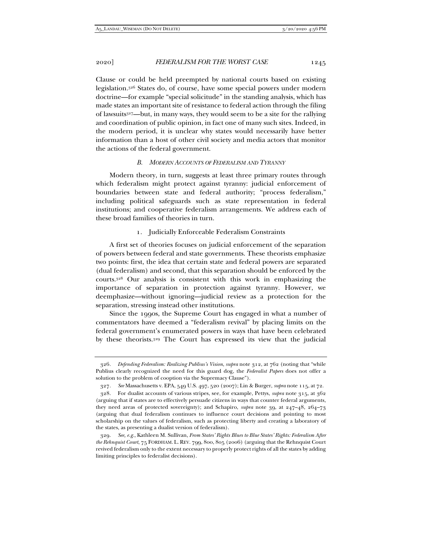Clause or could be held preempted by national courts based on existing legislation.326 States do, of course, have some special powers under modern doctrine—for example "special solicitude" in the standing analysis, which has made states an important site of resistance to federal action through the filing of lawsuits327—but, in many ways, they would seem to be a site for the rallying and coordination of public opinion, in fact one of many such sites. Indeed, in the modern period, it is unclear why states would necessarily have better information than a host of other civil society and media actors that monitor the actions of the federal government.

#### *B. MODERN ACCOUNTS OF FEDERALISM AND TYRANNY*

Modern theory, in turn, suggests at least three primary routes through which federalism might protect against tyranny: judicial enforcement of boundaries between state and federal authority; "process federalism," including political safeguards such as state representation in federal institutions; and cooperative federalism arrangements. We address each of these broad families of theories in turn.

1. Judicially Enforceable Federalism Constraints

A first set of theories focuses on judicial enforcement of the separation of powers between federal and state governments. These theorists emphasize two points: first, the idea that certain state and federal powers are separated (dual federalism) and second, that this separation should be enforced by the courts.328 Our analysis is consistent with this work in emphasizing the importance of separation in protection against tyranny. However, we deemphasize—without ignoring—judicial review as a protection for the separation, stressing instead other institutions.

Since the 1990s, the Supreme Court has engaged in what a number of commentators have deemed a "federalism revival" by placing limits on the federal government's enumerated powers in ways that have been celebrated by these theorists.329 The Court has expressed its view that the judicial

<sup>326</sup>*. Defending Federalism: Realizing Publius's Vision*, *supra* note 312, at 762 (noting that "while Publius clearly recognized the need for this guard dog, the *Federalist Papers* does not offer a solution to the problem of cooption via the Supremacy Clause").

<sup>327</sup>*. See* Massachusetts v. EPA, 549 U.S. 497, 520 (2007); Lin & Burger, *supra* note 115, at 72.

 <sup>328.</sup> For dualist accounts of various stripes, see, for example, Pettys, *supra* note 315, at 362 (arguing that if states are to effectively persuade citizens in ways that counter federal arguments, they need areas of protected sovereignty); and Schapiro, *supra* note 39, at 247–48, 264–73 (arguing that dual federalism continues to influence court decisions and pointing to most scholarship on the values of federalism, such as protecting liberty and creating a laboratory of the states, as presenting a dualist version of federalism).

<sup>329</sup>*. See, e.g.*, Kathleen M. Sullivan, *From States' Rights Blues to Blue States' Rights: Federalism After the Rehnquist Court*, 75 FORDHAM. L. REV. 799, 800, 805 (2006) (arguing that the Rehnquist Court revived federalism only to the extent necessary to properly protect rights of all the states by adding limiting principles to federalist decisions).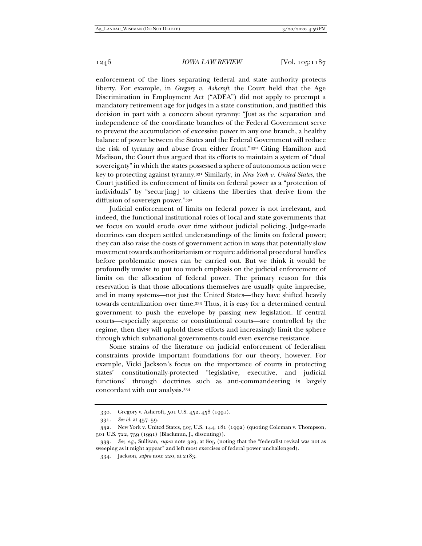enforcement of the lines separating federal and state authority protects liberty. For example, in *Gregory v. Ashcroft*, the Court held that the Age Discrimination in Employment Act ("ADEA") did not apply to preempt a mandatory retirement age for judges in a state constitution, and justified this decision in part with a concern about tyranny: "Just as the separation and independence of the coordinate branches of the Federal Government serve to prevent the accumulation of excessive power in any one branch, a healthy balance of power between the States and the Federal Government will reduce the risk of tyranny and abuse from either front."330 Citing Hamilton and Madison, the Court thus argued that its efforts to maintain a system of "dual sovereignty" in which the states possessed a sphere of autonomous action were key to protecting against tyranny.331 Similarly, in *New York v. United States*, the Court justified its enforcement of limits on federal power as a "protection of individuals" by "secur[ing] to citizens the liberties that derive from the diffusion of sovereign power."332

Judicial enforcement of limits on federal power is not irrelevant, and indeed, the functional institutional roles of local and state governments that we focus on would erode over time without judicial policing. Judge-made doctrines can deepen settled understandings of the limits on federal power; they can also raise the costs of government action in ways that potentially slow movement towards authoritarianism or require additional procedural hurdles before problematic moves can be carried out. But we think it would be profoundly unwise to put too much emphasis on the judicial enforcement of limits on the allocation of federal power. The primary reason for this reservation is that those allocations themselves are usually quite imprecise, and in many systems—not just the United States—they have shifted heavily towards centralization over time.333 Thus, it is easy for a determined central government to push the envelope by passing new legislation. If central courts—especially supreme or constitutional courts—are controlled by the regime, then they will uphold these efforts and increasingly limit the sphere through which subnational governments could even exercise resistance.

Some strains of the literature on judicial enforcement of federalism constraints provide important foundations for our theory, however. For example, Vicki Jackson's focus on the importance of courts in protecting states' constitutionally-protected "legislative, executive, and judicial functions" through doctrines such as anti-commandeering is largely concordant with our analysis.334

 <sup>330.</sup> Gregory v. Ashcroft, 501 U.S. 452, 458 (1991).

<sup>331</sup>*. See id.* at 457–59.

 <sup>332.</sup> New York v. United States, 505 U.S. 144, 181 (1992) (quoting Coleman v. Thompson, 501 U.S. 722, 759 (1991) (Blackmun, J., dissenting)).

<sup>333</sup>*. See, e.g.*, Sullivan, *supra* note 329, at 805 (noting that the "federalist revival was not as sweeping as it might appear" and left most exercises of federal power unchallenged).

 <sup>334.</sup> Jackson, *supra* note 220, at 2183.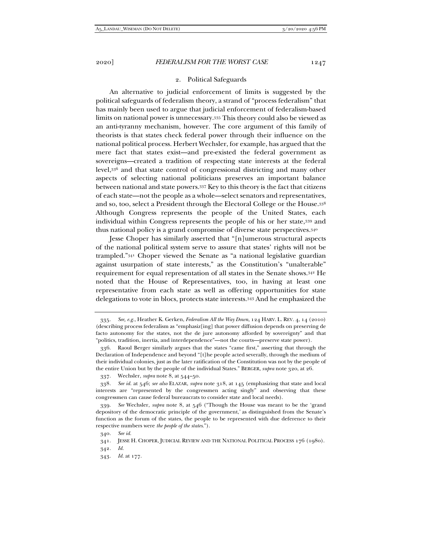#### 2. Political Safeguards

An alternative to judicial enforcement of limits is suggested by the political safeguards of federalism theory, a strand of "process federalism" that has mainly been used to argue that judicial enforcement of federalism-based limits on national power is unnecessary.335 This theory could also be viewed as an anti-tyranny mechanism, however. The core argument of this family of theorists is that states check federal power through their influence on the national political process. Herbert Wechsler, for example, has argued that the mere fact that states exist—and pre-existed the federal government as sovereigns—created a tradition of respecting state interests at the federal level,336 and that state control of congressional districting and many other aspects of selecting national politicians preserves an important balance between national and state powers.337 Key to this theory is the fact that citizens of each state—not the people as a whole—select senators and representatives, and so, too, select a President through the Electoral College or the House.338 Although Congress represents the people of the United States, each individual within Congress represents the people of his or her state,339 and thus national policy is a grand compromise of diverse state perspectives.340

Jesse Choper has similarly asserted that "[n]umerous structural aspects of the national political system serve to assure that states' rights will not be trampled."341 Choper viewed the Senate as "a national legislative guardian against usurpation of state interests," as the Constitution's "unalterable" requirement for equal representation of all states in the Senate shows.342 He noted that the House of Representatives, too, in having at least one representative from each state as well as offering opportunities for state delegations to vote in blocs, protects state interests.343 And he emphasized the

342*. Id.* 

<sup>335</sup>*. See, e.g.*, Heather K. Gerken, *Federalism All the Way Down*, 124 HARV. L. REV. 4, 14 (2010) (describing process federalism as "emphasiz[ing] that power diffusion depends on preserving de facto autonomy for the states, not the de jure autonomy afforded by sovereignty" and that "politics, tradition, inertia, and interdependence"—not the courts—preserve state power).

 <sup>336.</sup> Raoul Berger similarly argues that the states "came first," asserting that through the Declaration of Independence and beyond "[t]he people acted severally, through the medium of their individual colonies, just as the later ratification of the Constitution was not by the people of the entire Union but by the people of the individual States." BERGER, *supra* note 320, at 26.

 <sup>337.</sup> Wechsler, *supra* note 8, at 544–50.

<sup>338</sup>*. See id.* at 546; *see also* ELAZAR, *supra* note 318, at 145 (emphasizing that state and local interests are "represented by the congressmen acting singly" and observing that these congressmen can cause federal bureaucrats to consider state and local needs).

<sup>339</sup>*. See* Wechsler, *supra* note 8, at 546 ("Though the House was meant to be the 'grand depository of the democratic principle of the government,' as distinguished from the Senate's function as the forum of the states, the people to be represented with due deference to their respective numbers were *the people of the states*.").

<sup>340</sup>*. See id.*

 <sup>341.</sup> JESSE H. CHOPER, JUDICIAL REVIEW AND THE NATIONAL POLITICAL PROCESS 176 (1980).

<sup>343</sup>*. Id.* at 177.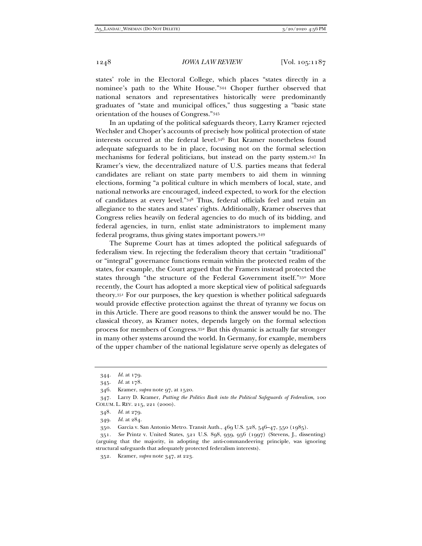states' role in the Electoral College, which places "states directly in a nominee's path to the White House."344 Choper further observed that national senators and representatives historically were predominantly graduates of "state and municipal offices," thus suggesting a "basic state orientation of the houses of Congress."345

In an updating of the political safeguards theory, Larry Kramer rejected Wechsler and Choper's accounts of precisely how political protection of state interests occurred at the federal level.346 But Kramer nonetheless found adequate safeguards to be in place, focusing not on the formal selection mechanisms for federal politicians, but instead on the party system.347 In Kramer's view, the decentralized nature of U.S. parties means that federal candidates are reliant on state party members to aid them in winning elections, forming "a political culture in which members of local, state, and national networks are encouraged, indeed expected, to work for the election of candidates at every level."348 Thus, federal officials feel and retain an allegiance to the states and states' rights. Additionally, Kramer observes that Congress relies heavily on federal agencies to do much of its bidding, and federal agencies, in turn, enlist state administrators to implement many federal programs, thus giving states important powers.349

The Supreme Court has at times adopted the political safeguards of federalism view. In rejecting the federalism theory that certain "traditional" or "integral" governance functions remain within the protected realm of the states, for example, the Court argued that the Framers instead protected the states through "the structure of the Federal Government itself."350 More recently, the Court has adopted a more skeptical view of political safeguards theory.351 For our purposes, the key question is whether political safeguards would provide effective protection against the threat of tyranny we focus on in this Article. There are good reasons to think the answer would be no. The classical theory, as Kramer notes, depends largely on the formal selection process for members of Congress.352 But this dynamic is actually far stronger in many other systems around the world. In Germany, for example, members of the upper chamber of the national legislature serve openly as delegates of

349*. Id.* at 284.

350. Garcia v. San Antonio Metro. Transit Auth., 469 U.S. 528, 546–47, 550 (1985).

352. Kramer, *supra* note 347, at 223.

<sup>344</sup>*. Id.* at 179.

<sup>345</sup>*. Id.* at 178.

 <sup>346.</sup> Kramer, *supra* note 97, at 1520.

 <sup>347.</sup> Larry D. Kramer, *Putting the Politics Back into the Political Safeguards of Federalism*, 100 COLUM. L. REV. 215, 221 (2000).

<sup>348</sup>*. Id.* at 279.

<sup>351</sup>*. See* Printz v. United States, 521 U.S. 898, 939, 956 (1997) (Stevens, J., dissenting) (arguing that the majority, in adopting the anti-commandeering principle, was ignoring structural safeguards that adequately protected federalism interests).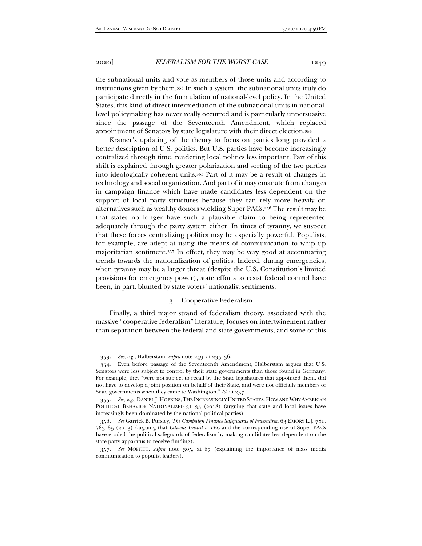the subnational units and vote as members of those units and according to instructions given by them.353 In such a system, the subnational units truly do participate directly in the formulation of national-level policy. In the United States, this kind of direct intermediation of the subnational units in nationallevel policymaking has never really occurred and is particularly unpersuasive since the passage of the Seventeenth Amendment, which replaced appointment of Senators by state legislature with their direct election.354

Kramer's updating of the theory to focus on parties long provided a better description of U.S. politics. But U.S. parties have become increasingly centralized through time, rendering local politics less important. Part of this shift is explained through greater polarization and sorting of the two parties into ideologically coherent units.355 Part of it may be a result of changes in technology and social organization. And part of it may emanate from changes in campaign finance which have made candidates less dependent on the support of local party structures because they can rely more heavily on alternatives such as wealthy donors wielding Super PACs.356 The result may be that states no longer have such a plausible claim to being represented adequately through the party system either. In times of tyranny, we suspect that these forces centralizing politics may be especially powerful. Populists, for example, are adept at using the means of communication to whip up majoritarian sentiment.357 In effect, they may be very good at accentuating trends towards the nationalization of politics. Indeed, during emergencies, when tyranny may be a larger threat (despite the U.S. Constitution's limited provisions for emergency power), state efforts to resist federal control have been, in part, blunted by state voters' nationalist sentiments.

## 3. Cooperative Federalism

Finally, a third major strand of federalism theory, associated with the massive "cooperative federalism" literature, focuses on intertwinement rather than separation between the federal and state governments, and some of this

<sup>353</sup>*. See, e*.*g.*, Halberstam, *supra* note 249, at 235–36.

 <sup>354.</sup> Even before passage of the Seventeenth Amendment, Halberstam argues that U.S. Senators were less subject to control by their state governments than those found in Germany. For example, they "were not subject to recall by the State legislatures that appointed them, did not have to develop a joint position on behalf of their State, and were not officially members of State governments when they came to Washington." *Id.* at 237.

<sup>355</sup>*. See, e.g.*, DANIEL J. HOPKINS,THE INCREASINGLY UNITED STATES: HOW AND WHY AMERICAN POLITICAL BEHAVIOR NATIONALIZED 31-35 (2018) (arguing that state and local issues have increasingly been dominated by the national political parties).

<sup>356</sup>*. See* Garrick B. Pursley, *The Campaign Finance Safeguards of Federalism*, 63 EMORY L.J. 781, 783–85 (2013) (arguing that *Citizens United v. FEC* and the corresponding rise of Super PACs have eroded the political safeguards of federalism by making candidates less dependent on the state party apparatus to receive funding).

<sup>357</sup>*. See* MOFFITT, *supra* note 305, at 87 (explaining the importance of mass media communication to populist leaders).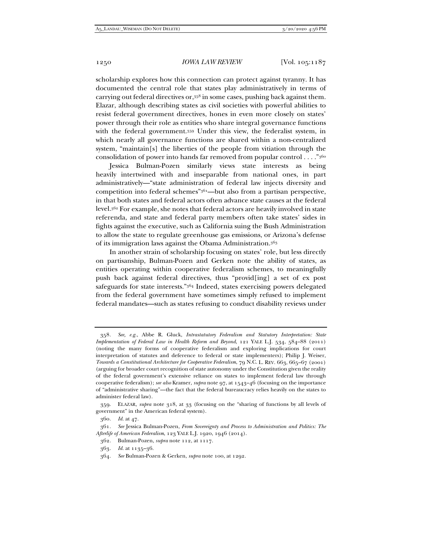scholarship explores how this connection can protect against tyranny. It has documented the central role that states play administratively in terms of carrying out federal directives or,358 in some cases, pushing back against them. Elazar, although describing states as civil societies with powerful abilities to resist federal government directives, hones in even more closely on states' power through their role as entities who share integral governance functions with the federal government.359 Under this view, the federalist system, in which nearly all governance functions are shared within a non-centralized system, "maintain[s] the liberties of the people from vitiation through the consolidation of power into hands far removed from popular control . . . ."360

Jessica Bulman-Pozen similarly views state interests as being heavily intertwined with and inseparable from national ones, in part administratively—"state administration of federal law injects diversity and competition into federal schemes"361—but also from a partisan perspective, in that both states and federal actors often advance state causes at the federal level.362 For example, she notes that federal actors are heavily involved in state referenda, and state and federal party members often take states' sides in fights against the executive, such as California suing the Bush Administration to allow the state to regulate greenhouse gas emissions, or Arizona's defense of its immigration laws against the Obama Administration.363

In another strain of scholarship focusing on states' role, but less directly on partisanship, Bulman-Pozen and Gerken note the ability of states, as entities operating within cooperative federalism schemes, to meaningfully push back against federal directives, thus "provid[ing] a set of ex post safeguards for state interests."364 Indeed, states exercising powers delegated from the federal government have sometimes simply refused to implement federal mandates—such as states refusing to conduct disability reviews under

<sup>358</sup>*. See, e.g.*, Abbe R. Gluck, *Intrastatutory Federalism and Statutory Interpretation: State Implementation of Federal Law in Health Reform and Beyond*, 121 YALE L.J. 534, 584–88 (2011) (noting the many forms of cooperative federalism and exploring implications for court interpretation of statutes and deference to federal or state implementers); Philip J. Weiser, *Towards a Constitutional Architecture for Cooperative Federalism*, 79 N.C. L. REV. 663, 665–67 (2001) (arguing for broader court recognition of state autonomy under the Constitution given the reality of the federal government's extensive reliance on states to implement federal law through cooperative federalism); *see also* Kramer, *supra* note 97, at 1543–46 (focusing on the importance of "administrative sharing"—the fact that the federal bureaucracy relies heavily on the states to administer federal law).

 <sup>359.</sup> ELAZAR, *supra* note 318, at 33 (focusing on the "sharing of functions by all levels of government" in the American federal system).

<sup>360</sup>*. Id.* at 47.

<sup>361</sup>*. See* Jessica Bulman-Pozen, *From Sovereignty and Process to Administration and Politics: The Afterlife of American Federalism*, 123 YALE L.J. 1920, 1946 (2014).

 <sup>362.</sup> Bulman-Pozen, *supra* note 112, at 1117.

<sup>363</sup>*. Id.* at 1135–36.

<sup>364</sup>*. See* Bulman-Pozen & Gerken, *supra* note 100, at 1292.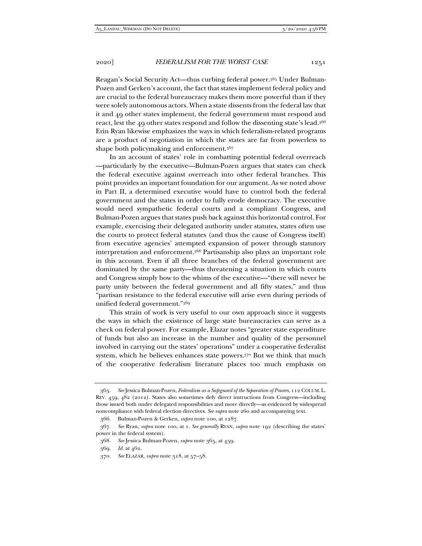Reagan's Social Security Act—thus curbing federal power.365 Under Bulman-Pozen and Gerken's account, the fact that states implement federal policy and are crucial to the federal bureaucracy makes them more powerful than if they were solely autonomous actors. When a state dissents from the federal law that it and 49 other states implement, the federal government must respond and react, lest the 49 other states respond and follow the dissenting state's lead.366 Erin Ryan likewise emphasizes the ways in which federalism-related programs are a product of negotiation in which the states are far from powerless to shape both policymaking and enforcement.367

In an account of states' role in combatting potential federal overreach —particularly by the executive—Bulman-Pozen argues that states can check the federal executive against overreach into other federal branches. This point provides an important foundation for our argument. As we noted above in Part II, a determined executive would have to control both the federal government and the states in order to fully erode democracy. The executive would need sympathetic federal courts and a compliant Congress, and Bulman-Pozen argues that states push back against this horizontal control. For example, exercising their delegated authority under statutes, states often use the courts to protect federal statutes (and thus the cause of Congress itself) from executive agencies' attempted expansion of power through statutory interpretation and enforcement.368 Partisanship also plays an important role in this account. Even if all three branches of the federal government are dominated by the same party—thus threatening a situation in which courts and Congress simply bow to the whims of the executive—"there will never be party unity between the federal government and all fifty states," and thus "partisan resistance to the federal executive will arise even during periods of unified federal government."369

This strain of work is very useful to our own approach since it suggests the ways in which the existence of large state bureaucracies can serve as a check on federal power. For example, Elazar notes "greater state expenditure of funds but also an increase in the number and quality of the personnel involved in carrying out the states' operations" under a cooperative federalist system, which he believes enhances state powers.<sup>370</sup> But we think that much of the cooperative federalism literature places too much emphasis on

<sup>365</sup>*. See* Jessica Bulman-Pozen, *Federalism as a Safeguard of the Separation of Powers*, 112 COLUM. L. REV. 459, 482 (2012). States also sometimes defy direct instructions from Congress—including those issued both under delegated responsibilities and more directly—as evidenced by widespread noncompliance with federal election directives. *See supra* note 260 and accompanying text.

 <sup>366.</sup> Bulman-Pozen & Gerken, *supra* note 100, at 1287.

<sup>367</sup>*. See* Ryan, *supra* note 100, at 1. *See generally* RYAN, *supra* note 192 (describing the states' power in the federal system).

<sup>368</sup>*. See* Jessica Bulman-Pozen, *supra* note 365, at 459.

<sup>369</sup>*. Id.* at 462.

<sup>370</sup>*. See* ELAZAR, *supra* note 318, at 57–58.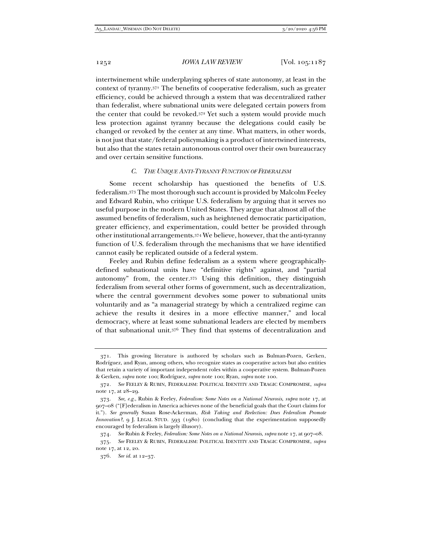intertwinement while underplaying spheres of state autonomy, at least in the context of tyranny.371 The benefits of cooperative federalism, such as greater efficiency, could be achieved through a system that was decentralized rather than federalist, where subnational units were delegated certain powers from the center that could be revoked.372 Yet such a system would provide much less protection against tyranny because the delegations could easily be changed or revoked by the center at any time. What matters, in other words, is not just that state/federal policymaking is a product of intertwined interests, but also that the states retain autonomous control over their own bureaucracy and over certain sensitive functions.

#### *C. THE UNIQUE ANTI-TYRANNY FUNCTION OF FEDERALISM*

Some recent scholarship has questioned the benefits of U.S. federalism.373 The most thorough such account is provided by Malcolm Feeley and Edward Rubin, who critique U.S. federalism by arguing that it serves no useful purpose in the modern United States. They argue that almost all of the assumed benefits of federalism, such as heightened democratic participation, greater efficiency, and experimentation, could better be provided through other institutional arrangements.374 We believe, however, that the anti-tyranny function of U.S. federalism through the mechanisms that we have identified cannot easily be replicated outside of a federal system.

Feeley and Rubin define federalism as a system where geographicallydefined subnational units have "definitive rights" against, and "partial autonomy" from, the center.375 Using this definition, they distinguish federalism from several other forms of government, such as decentralization, where the central government devolves some power to subnational units voluntarily and as "a managerial strategy by which a centralized regime can achieve the results it desires in a more effective manner," and local democracy, where at least some subnational leaders are elected by members of that subnational unit.376 They find that systems of decentralization and

374*. See* Rubin & Feeley, *Federalism: Some Notes on a National Neurosis*, *supra* note 17, at 907–08.

 <sup>371.</sup> This growing literature is authored by scholars such as Bulman-Pozen, Gerken, Rodríguez, and Ryan, among others, who recognize states as cooperative actors but also entities that retain a variety of important independent roles within a cooperative system. Bulman-Pozen & Gerken, *supra* note 100; Rodríguez, *supra* note 100; Ryan, *supra* note 100.

<sup>372</sup>*. See* FEELEY & RUBIN, FEDERALISM: POLITICAL IDENTITY AND TRAGIC COMPROMISE, *supra* note 17, at 28–29.

<sup>373</sup>*. See, e.g.*, Rubin & Feeley, *Federalism: Some Notes on a National Neurosis*, *supra* note 17, at 907–08 ("[F]ederalism in America achieves none of the beneficial goals that the Court claims for it."). *See generally* Susan Rose-Ackerman, *Risk Taking and Reelection: Does Federalism Promote Innovation?*, 9 J. LEGAL STUD. 593 (1980) (concluding that the experimentation supposedly encouraged by federalism is largely illusory).

<sup>375</sup>*. See* FEELEY & RUBIN, FEDERALISM: POLITICAL IDENTITY AND TRAGIC COMPROMISE, *supra*  note 17, at 12, 20.

<sup>376</sup>*. See id.* at 12–37.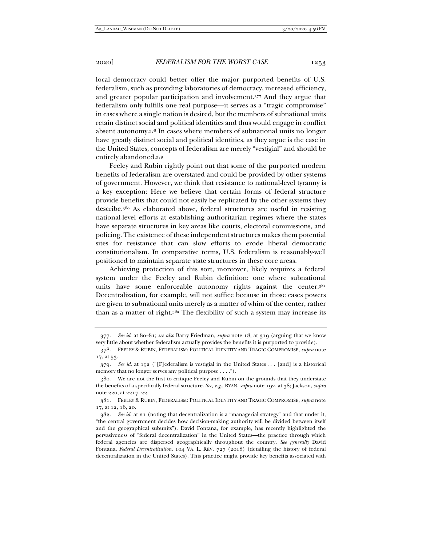local democracy could better offer the major purported benefits of U.S. federalism, such as providing laboratories of democracy, increased efficiency, and greater popular participation and involvement.377 And they argue that federalism only fulfills one real purpose—it serves as a "tragic compromise" in cases where a single nation is desired, but the members of subnational units retain distinct social and political identities and thus would engage in conflict absent autonomy.378 In cases where members of subnational units no longer have greatly distinct social and political identities, as they argue is the case in the United States, concepts of federalism are merely "vestigial" and should be entirely abandoned.379

Feeley and Rubin rightly point out that some of the purported modern benefits of federalism are overstated and could be provided by other systems of government. However, we think that resistance to national-level tyranny is a key exception: Here we believe that certain forms of federal structure provide benefits that could not easily be replicated by the other systems they describe.380 As elaborated above, federal structures are useful in resisting national-level efforts at establishing authoritarian regimes where the states have separate structures in key areas like courts, electoral commissions, and policing. The existence of these independent structures makes them potential sites for resistance that can slow efforts to erode liberal democratic constitutionalism. In comparative terms, U.S. federalism is reasonably-well positioned to maintain separate state structures in these core areas.

Achieving protection of this sort, moreover, likely requires a federal system under the Feeley and Rubin definition: one where subnational units have some enforceable autonomy rights against the center. 381 Decentralization, for example, will not suffice because in those cases powers are given to subnational units merely as a matter of whim of the center, rather than as a matter of right.382 The flexibility of such a system may increase its

<sup>377</sup>*. See id.* at 80–81; *see also* Barry Friedman, *supra* note 18, at 319 (arguing that we know very little about whether federalism actually provides the benefits it is purported to provide).

 <sup>378.</sup> FEELEY & RUBIN, FEDERALISM: POLITICAL IDENTITY AND TRAGIC COMPROMISE, *supra* note 17, at 53.

<sup>379</sup>*. See id.* at 152 ("[F]ederalism is vestigial in the United States . . . [and] is a historical memory that no longer serves any political purpose . . . .").

 <sup>380.</sup> We are not the first to critique Feeley and Rubin on the grounds that they understate the benefits of a specifically federal structure. *See, e.g.*, RYAN, *supra* note 192, at 38; Jackson, *supra*  note 220, at 2217–22.

 <sup>381.</sup> FEELEY & RUBIN, FEDERALISM: POLITICAL IDENTITY AND TRAGIC COMPROMISE, *supra* note 17, at 12, 16, 20.

<sup>382</sup>*. See id.* at 21 (noting that decentralization is a "managerial strategy" and that under it, "the central government decides how decision-making authority will be divided between itself and the geographical subunits"). David Fontana, for example, has recently highlighted the pervasiveness of "federal decentralization" in the United States—the practice through which federal agencies are dispersed geographically throughout the country. *See generally* David Fontana, *Federal Decentralization*, 104 VA. L. REV. 727 (2018) (detailing the history of federal decentralization in the United States). This practice might provide key benefits associated with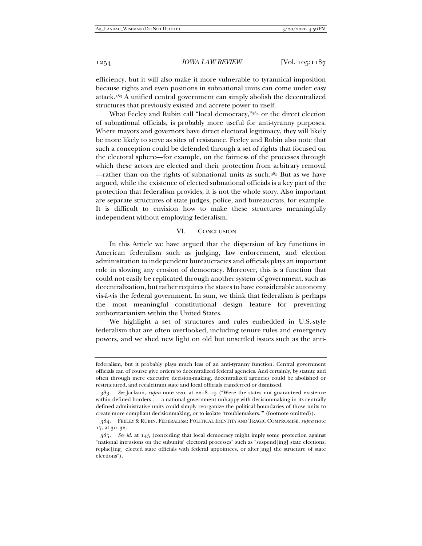efficiency, but it will also make it more vulnerable to tyrannical imposition because rights and even positions in subnational units can come under easy attack.383 A unified central government can simply abolish the decentralized structures that previously existed and accrete power to itself.

What Feeley and Rubin call "local democracy,"384 or the direct election of subnational officials, is probably more useful for anti-tyranny purposes. Where mayors and governors have direct electoral legitimacy, they will likely be more likely to serve as sites of resistance. Feeley and Rubin also note that such a conception could be defended through a set of rights that focused on the electoral sphere—for example, on the fairness of the processes through which these actors are elected and their protection from arbitrary removal —rather than on the rights of subnational units as such.385 But as we have argued, while the existence of elected subnational officials is a key part of the protection that federalism provides, it is not the whole story. Also important are separate structures of state judges, police, and bureaucrats, for example. It is difficult to envision how to make these structures meaningfully independent without employing federalism.

#### VI. CONCLUSION

In this Article we have argued that the dispersion of key functions in American federalism such as judging, law enforcement, and election administration to independent bureaucracies and officials plays an important role in slowing any erosion of democracy. Moreover, this is a function that could not easily be replicated through another system of government, such as decentralization, but rather requires the states to have considerable autonomy vis-à-vis the federal government. In sum, we think that federalism is perhaps the most meaningful constitutional design feature for preventing authoritarianism within the United States.

We highlight a set of structures and rules embedded in U.S.-style federalism that are often overlooked, including tenure rules and emergency powers, and we shed new light on old but unsettled issues such as the anti-

federalism, but it probably plays much less of an anti-tyranny function. Central government officials can of course give orders to decentralized federal agencies. And certainly, by statute and often through mere executive decision-making, decentralized agencies could be abolished or restructured, and recalcitrant state and local officials transferred or dismissed.

<sup>383</sup>*. See* Jackson, *supra* note 220, at 2218–19 ("Were the states not guaranteed existence within defined borders . . . a national government unhappy with decisionmaking in its centrally defined administrative units could simply reorganize the political boundaries of those units to create more compliant decisionmaking, or to isolate 'troublemakers.'" (footnote omitted)).

 <sup>384.</sup> FEELEY & RUBIN, FEDERALISM: POLITICAL IDENTITY AND TRAGIC COMPROMISE, *supra* note 17, at 30–32.

<sup>385</sup>*. See id.* at 143 (conceding that local democracy might imply some protection against "national intrusions on the subunits' electoral processes" such as "suspend[ing] state elections, replac[ing] elected state officials with federal appointees, or alter[ing] the structure of state elections").